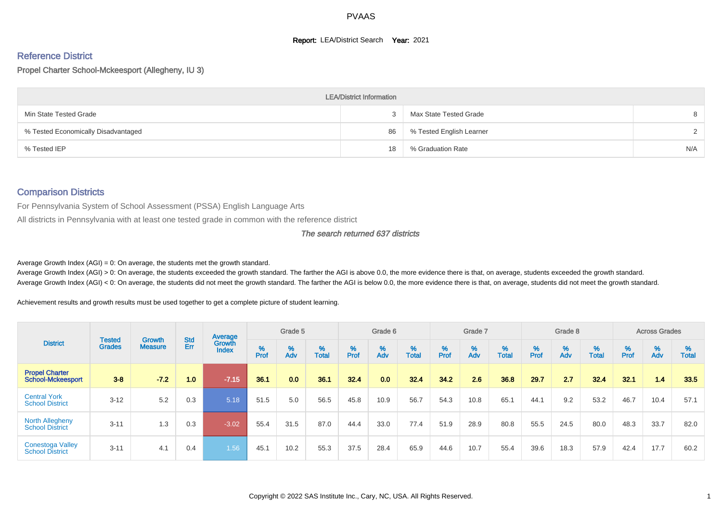#### **Report: LEA/District Search Year: 2021**

# Reference District

Propel Charter School-Mckeesport (Allegheny, IU 3)

|                                     | <b>LEA/District Information</b> |                          |               |
|-------------------------------------|---------------------------------|--------------------------|---------------|
| Min State Tested Grade              |                                 | Max State Tested Grade   | 8             |
| % Tested Economically Disadvantaged | 86                              | % Tested English Learner | $\mathcal{D}$ |
| % Tested IEP                        | 18                              | % Graduation Rate        | N/A           |

#### Comparison Districts

For Pennsylvania System of School Assessment (PSSA) English Language Arts

All districts in Pennsylvania with at least one tested grade in common with the reference district

#### The search returned 637 districts

Average Growth Index  $(AGI) = 0$ : On average, the students met the growth standard.

Average Growth Index (AGI) > 0: On average, the students exceeded the growth standard. The farther the AGI is above 0.0, the more evidence there is that, on average, students exceeded the growth standard. Average Growth Index (AGI) < 0: On average, the students did not meet the growth standard. The farther the AGI is below 0.0, the more evidence there is that, on average, students did not meet the growth standard.

Achievement results and growth results must be used together to get a complete picture of student learning.

|                                                   |                         |                          |                   | Average                |           | Grade 5  |                   |        | Grade 6  |                   |          | Grade 7  |                   |           | Grade 8  |                   |           | <b>Across Grades</b> |                   |
|---------------------------------------------------|-------------------------|--------------------------|-------------------|------------------------|-----------|----------|-------------------|--------|----------|-------------------|----------|----------|-------------------|-----------|----------|-------------------|-----------|----------------------|-------------------|
| <b>District</b>                                   | Tested<br><b>Grades</b> | Growth<br><b>Measure</b> | <b>Std</b><br>Err | Growth<br><b>Index</b> | %<br>Prof | %<br>Adv | %<br><b>Total</b> | % Pref | %<br>Adv | %<br><b>Total</b> | $%$ Prof | %<br>Adv | %<br><b>Total</b> | %<br>Prof | %<br>Adv | %<br><b>Total</b> | %<br>Prof | %<br>Adv             | %<br><b>Total</b> |
| <b>Propel Charter</b><br><b>School-Mckeesport</b> | $3 - 8$                 | $-7.2$                   | 1.0               | $-7.15$                | 36.1      | 0.0      | 36.1              | 32.4   | 0.0      | 32.4              | 34.2     | 2.6      | 36.8              | 29.7      | 2.7      | 32.4              | 32.1      | 1.4                  | 33.5              |
| <b>Central York</b><br><b>School District</b>     | $3 - 12$                | 5.2                      | 0.3               | 5.18                   | 51.5      | 5.0      | 56.5              | 45.8   | 10.9     | 56.7              | 54.3     | 10.8     | 65.1              | 44.1      | 9.2      | 53.2              | 46.7      | 10.4                 | 57.1              |
| <b>North Allegheny</b><br><b>School District</b>  | $3 - 11$                | 1.3                      | 0.3               | $-3.02$                | 55.4      | 31.5     | 87.0              | 44.4   | 33.0     | 77.4              | 51.9     | 28.9     | 80.8              | 55.5      | 24.5     | 80.0              | 48.3      | 33.7                 | 82.0              |
| <b>Conestoga Valley</b><br><b>School District</b> | $3 - 11$                | 4.1                      | 0.4               | 1.56                   | 45.1      | 10.2     | 55.3              | 37.5   | 28.4     | 65.9              | 44.6     | 10.7     | 55.4              | 39.6      | 18.3     | 57.9              | 42.4      | 17.7                 | 60.2              |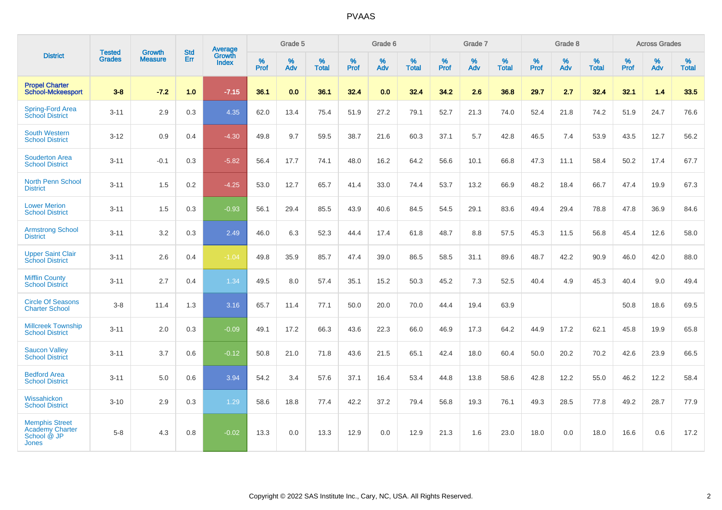|                                                                                | <b>Tested</b> | <b>Growth</b>  | <b>Std</b> | <b>Average</b>         |           | Grade 5  |                   |                  | Grade 6  |                   |           | Grade 7  |                   |                  | Grade 8  |                   |                  | <b>Across Grades</b> |                   |
|--------------------------------------------------------------------------------|---------------|----------------|------------|------------------------|-----------|----------|-------------------|------------------|----------|-------------------|-----------|----------|-------------------|------------------|----------|-------------------|------------------|----------------------|-------------------|
| <b>District</b>                                                                | <b>Grades</b> | <b>Measure</b> | Err        | Growth<br><b>Index</b> | %<br>Prof | %<br>Adv | %<br><b>Total</b> | %<br><b>Prof</b> | %<br>Adv | %<br><b>Total</b> | %<br>Prof | %<br>Adv | %<br><b>Total</b> | %<br><b>Prof</b> | %<br>Adv | %<br><b>Total</b> | %<br><b>Prof</b> | %<br>Adv             | %<br><b>Total</b> |
| <b>Propel Charter</b><br><b>School-Mckeesport</b>                              | $3 - 8$       | $-7.2$         | 1.0        | $-7.15$                | 36.1      | 0.0      | 36.1              | 32.4             | 0.0      | 32.4              | 34.2      | 2.6      | 36.8              | 29.7             | 2.7      | 32.4              | 32.1             | 1.4                  | 33.5              |
| <b>Spring-Ford Area</b><br><b>School District</b>                              | $3 - 11$      | 2.9            | 0.3        | 4.35                   | 62.0      | 13.4     | 75.4              | 51.9             | 27.2     | 79.1              | 52.7      | 21.3     | 74.0              | 52.4             | 21.8     | 74.2              | 51.9             | 24.7                 | 76.6              |
| <b>South Western</b><br><b>School District</b>                                 | $3 - 12$      | 0.9            | 0.4        | $-4.30$                | 49.8      | 9.7      | 59.5              | 38.7             | 21.6     | 60.3              | 37.1      | 5.7      | 42.8              | 46.5             | 7.4      | 53.9              | 43.5             | 12.7                 | 56.2              |
| <b>Souderton Area</b><br><b>School District</b>                                | $3 - 11$      | $-0.1$         | 0.3        | $-5.82$                | 56.4      | 17.7     | 74.1              | 48.0             | 16.2     | 64.2              | 56.6      | 10.1     | 66.8              | 47.3             | 11.1     | 58.4              | 50.2             | 17.4                 | 67.7              |
| <b>North Penn School</b><br><b>District</b>                                    | $3 - 11$      | 1.5            | 0.2        | $-4.25$                | 53.0      | 12.7     | 65.7              | 41.4             | 33.0     | 74.4              | 53.7      | 13.2     | 66.9              | 48.2             | 18.4     | 66.7              | 47.4             | 19.9                 | 67.3              |
| <b>Lower Merion</b><br><b>School District</b>                                  | $3 - 11$      | 1.5            | 0.3        | $-0.93$                | 56.1      | 29.4     | 85.5              | 43.9             | 40.6     | 84.5              | 54.5      | 29.1     | 83.6              | 49.4             | 29.4     | 78.8              | 47.8             | 36.9                 | 84.6              |
| <b>Armstrong School</b><br><b>District</b>                                     | $3 - 11$      | 3.2            | 0.3        | 2.49                   | 46.0      | 6.3      | 52.3              | 44.4             | 17.4     | 61.8              | 48.7      | 8.8      | 57.5              | 45.3             | 11.5     | 56.8              | 45.4             | 12.6                 | 58.0              |
| <b>Upper Saint Clair</b><br><b>School District</b>                             | $3 - 11$      | 2.6            | 0.4        | $-1.04$                | 49.8      | 35.9     | 85.7              | 47.4             | 39.0     | 86.5              | 58.5      | 31.1     | 89.6              | 48.7             | 42.2     | 90.9              | 46.0             | 42.0                 | 88.0              |
| <b>Mifflin County</b><br><b>School District</b>                                | $3 - 11$      | 2.7            | 0.4        | 1.34                   | 49.5      | 8.0      | 57.4              | 35.1             | 15.2     | 50.3              | 45.2      | 7.3      | 52.5              | 40.4             | 4.9      | 45.3              | 40.4             | 9.0                  | 49.4              |
| <b>Circle Of Seasons</b><br><b>Charter School</b>                              | $3 - 8$       | 11.4           | 1.3        | 3.16                   | 65.7      | 11.4     | 77.1              | 50.0             | 20.0     | 70.0              | 44.4      | 19.4     | 63.9              |                  |          |                   | 50.8             | 18.6                 | 69.5              |
| <b>Millcreek Township</b><br><b>School District</b>                            | $3 - 11$      | 2.0            | 0.3        | $-0.09$                | 49.1      | 17.2     | 66.3              | 43.6             | 22.3     | 66.0              | 46.9      | 17.3     | 64.2              | 44.9             | 17.2     | 62.1              | 45.8             | 19.9                 | 65.8              |
| <b>Saucon Valley</b><br><b>School District</b>                                 | $3 - 11$      | 3.7            | 0.6        | $-0.12$                | 50.8      | 21.0     | 71.8              | 43.6             | 21.5     | 65.1              | 42.4      | 18.0     | 60.4              | 50.0             | 20.2     | 70.2              | 42.6             | 23.9                 | 66.5              |
| <b>Bedford Area</b><br><b>School District</b>                                  | $3 - 11$      | 5.0            | 0.6        | 3.94                   | 54.2      | 3.4      | 57.6              | 37.1             | 16.4     | 53.4              | 44.8      | 13.8     | 58.6              | 42.8             | 12.2     | 55.0              | 46.2             | 12.2                 | 58.4              |
| Wissahickon<br><b>School District</b>                                          | $3 - 10$      | 2.9            | 0.3        | 1.29                   | 58.6      | 18.8     | 77.4              | 42.2             | 37.2     | 79.4              | 56.8      | 19.3     | 76.1              | 49.3             | 28.5     | 77.8              | 49.2             | 28.7                 | 77.9              |
| <b>Memphis Street</b><br><b>Academy Charter</b><br>School @ JP<br><b>Jones</b> | $5 - 8$       | 4.3            | 0.8        | $-0.02$                | 13.3      | 0.0      | 13.3              | 12.9             | 0.0      | 12.9              | 21.3      | 1.6      | 23.0              | 18.0             | 0.0      | 18.0              | 16.6             | 0.6                  | 17.2              |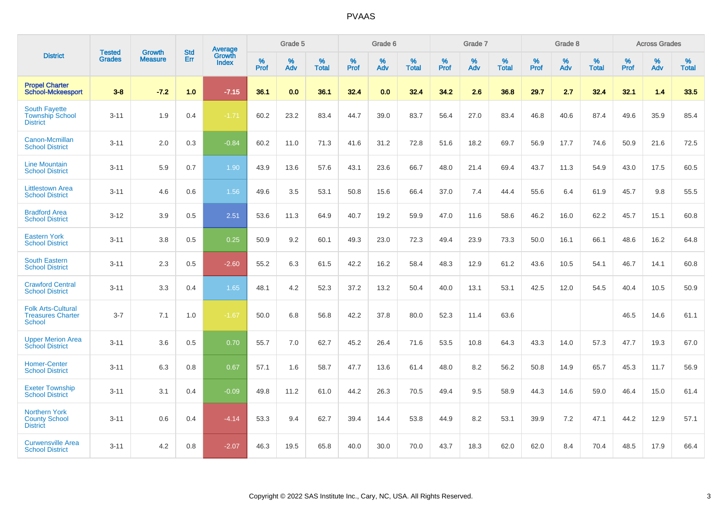|                                                                        |                                |                                 | <b>Std</b> | Average                       |           | Grade 5  |                   |           | Grade 6  |                   |           | Grade 7  |                   |           | Grade 8  |                   |           | <b>Across Grades</b> |                   |
|------------------------------------------------------------------------|--------------------------------|---------------------------------|------------|-------------------------------|-----------|----------|-------------------|-----------|----------|-------------------|-----------|----------|-------------------|-----------|----------|-------------------|-----------|----------------------|-------------------|
| <b>District</b>                                                        | <b>Tested</b><br><b>Grades</b> | <b>Growth</b><br><b>Measure</b> | Err        | <b>Growth</b><br><b>Index</b> | %<br>Prof | %<br>Adv | %<br><b>Total</b> | %<br>Prof | %<br>Adv | %<br><b>Total</b> | %<br>Prof | %<br>Adv | %<br><b>Total</b> | %<br>Prof | %<br>Adv | %<br><b>Total</b> | %<br>Prof | %<br>Adv             | %<br><b>Total</b> |
| <b>Propel Charter</b><br><b>School-Mckeesport</b>                      | $3 - 8$                        | $-7.2$                          | 1.0        | $-7.15$                       | 36.1      | 0.0      | 36.1              | 32.4      | 0.0      | 32.4              | 34.2      | 2.6      | 36.8              | 29.7      | 2.7      | 32.4              | 32.1      | 1.4                  | 33.5              |
| <b>South Fayette</b><br><b>Township School</b><br><b>District</b>      | $3 - 11$                       | 1.9                             | 0.4        | $-1.71$                       | 60.2      | 23.2     | 83.4              | 44.7      | 39.0     | 83.7              | 56.4      | 27.0     | 83.4              | 46.8      | 40.6     | 87.4              | 49.6      | 35.9                 | 85.4              |
| <b>Canon-Mcmillan</b><br><b>School District</b>                        | $3 - 11$                       | 2.0                             | 0.3        | $-0.84$                       | 60.2      | 11.0     | 71.3              | 41.6      | 31.2     | 72.8              | 51.6      | 18.2     | 69.7              | 56.9      | 17.7     | 74.6              | 50.9      | 21.6                 | 72.5              |
| <b>Line Mountain</b><br><b>School District</b>                         | $3 - 11$                       | 5.9                             | 0.7        | 1.90                          | 43.9      | 13.6     | 57.6              | 43.1      | 23.6     | 66.7              | 48.0      | 21.4     | 69.4              | 43.7      | 11.3     | 54.9              | 43.0      | 17.5                 | 60.5              |
| <b>Littlestown Area</b><br><b>School District</b>                      | $3 - 11$                       | 4.6                             | 0.6        | 1.56                          | 49.6      | 3.5      | 53.1              | 50.8      | 15.6     | 66.4              | 37.0      | 7.4      | 44.4              | 55.6      | 6.4      | 61.9              | 45.7      | 9.8                  | 55.5              |
| <b>Bradford Area</b><br><b>School District</b>                         | $3 - 12$                       | 3.9                             | 0.5        | 2.51                          | 53.6      | 11.3     | 64.9              | 40.7      | 19.2     | 59.9              | 47.0      | 11.6     | 58.6              | 46.2      | 16.0     | 62.2              | 45.7      | 15.1                 | 60.8              |
| <b>Eastern York</b><br><b>School District</b>                          | $3 - 11$                       | 3.8                             | 0.5        | 0.25                          | 50.9      | 9.2      | 60.1              | 49.3      | 23.0     | 72.3              | 49.4      | 23.9     | 73.3              | 50.0      | 16.1     | 66.1              | 48.6      | 16.2                 | 64.8              |
| <b>South Eastern</b><br><b>School District</b>                         | $3 - 11$                       | 2.3                             | 0.5        | $-2.60$                       | 55.2      | 6.3      | 61.5              | 42.2      | 16.2     | 58.4              | 48.3      | 12.9     | 61.2              | 43.6      | 10.5     | 54.1              | 46.7      | 14.1                 | 60.8              |
| <b>Crawford Central</b><br><b>School District</b>                      | $3 - 11$                       | 3.3                             | 0.4        | 1.65                          | 48.1      | 4.2      | 52.3              | 37.2      | 13.2     | 50.4              | 40.0      | 13.1     | 53.1              | 42.5      | 12.0     | 54.5              | 40.4      | 10.5                 | 50.9              |
| <b>Folk Arts-Cultural</b><br><b>Treasures Charter</b><br><b>School</b> | $3 - 7$                        | 7.1                             | 1.0        | $-1.67$                       | 50.0      | 6.8      | 56.8              | 42.2      | 37.8     | 80.0              | 52.3      | 11.4     | 63.6              |           |          |                   | 46.5      | 14.6                 | 61.1              |
| <b>Upper Merion Area</b><br><b>School District</b>                     | $3 - 11$                       | 3.6                             | 0.5        | 0.70                          | 55.7      | 7.0      | 62.7              | 45.2      | 26.4     | 71.6              | 53.5      | 10.8     | 64.3              | 43.3      | 14.0     | 57.3              | 47.7      | 19.3                 | 67.0              |
| <b>Homer-Center</b><br><b>School District</b>                          | $3 - 11$                       | 6.3                             | 0.8        | 0.67                          | 57.1      | 1.6      | 58.7              | 47.7      | 13.6     | 61.4              | 48.0      | 8.2      | 56.2              | 50.8      | 14.9     | 65.7              | 45.3      | 11.7                 | 56.9              |
| <b>Exeter Township</b><br><b>School District</b>                       | $3 - 11$                       | 3.1                             | 0.4        | $-0.09$                       | 49.8      | 11.2     | 61.0              | 44.2      | 26.3     | 70.5              | 49.4      | 9.5      | 58.9              | 44.3      | 14.6     | 59.0              | 46.4      | 15.0                 | 61.4              |
| <b>Northern York</b><br><b>County School</b><br><b>District</b>        | $3 - 11$                       | 0.6                             | 0.4        | $-4.14$                       | 53.3      | 9.4      | 62.7              | 39.4      | 14.4     | 53.8              | 44.9      | 8.2      | 53.1              | 39.9      | 7.2      | 47.1              | 44.2      | 12.9                 | 57.1              |
| <b>Curwensville Area</b><br><b>School District</b>                     | $3 - 11$                       | 4.2                             | 0.8        | $-2.07$                       | 46.3      | 19.5     | 65.8              | 40.0      | 30.0     | 70.0              | 43.7      | 18.3     | 62.0              | 62.0      | 8.4      | 70.4              | 48.5      | 17.9                 | 66.4              |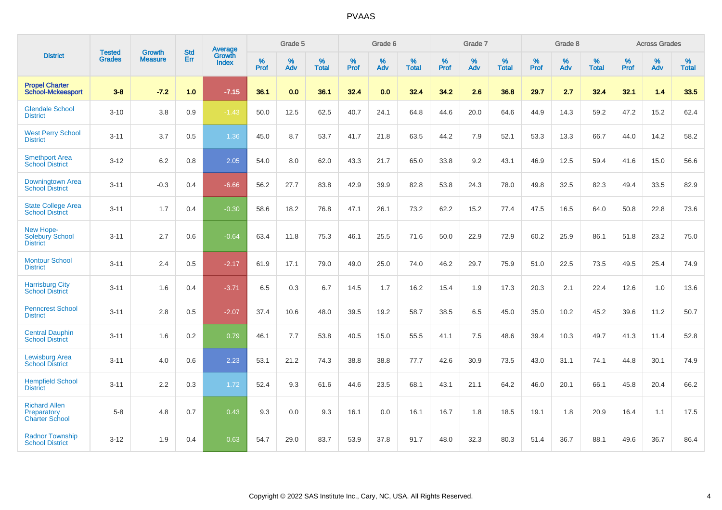|                                                               |                         |                                 | <b>Std</b> | Average                |           | Grade 5  |                   |           | Grade 6  |                   |           | Grade 7  |                   |           | Grade 8  |                   |           | <b>Across Grades</b> |                   |
|---------------------------------------------------------------|-------------------------|---------------------------------|------------|------------------------|-----------|----------|-------------------|-----------|----------|-------------------|-----------|----------|-------------------|-----------|----------|-------------------|-----------|----------------------|-------------------|
| <b>District</b>                                               | <b>Tested</b><br>Grades | <b>Growth</b><br><b>Measure</b> | Err        | Growth<br><b>Index</b> | %<br>Prof | %<br>Adv | %<br><b>Total</b> | %<br>Prof | %<br>Adv | %<br><b>Total</b> | %<br>Prof | %<br>Adv | %<br><b>Total</b> | %<br>Prof | %<br>Adv | %<br><b>Total</b> | %<br>Prof | %<br>Adv             | %<br><b>Total</b> |
| <b>Propel Charter</b><br><b>School-Mckeesport</b>             | $3 - 8$                 | $-7.2$                          | 1.0        | $-7.15$                | 36.1      | 0.0      | 36.1              | 32.4      | 0.0      | 32.4              | 34.2      | 2.6      | 36.8              | 29.7      | 2.7      | 32.4              | 32.1      | 1.4                  | 33.5              |
| <b>Glendale School</b><br><b>District</b>                     | $3 - 10$                | 3.8                             | 0.9        | $-1.43$                | 50.0      | 12.5     | 62.5              | 40.7      | 24.1     | 64.8              | 44.6      | 20.0     | 64.6              | 44.9      | 14.3     | 59.2              | 47.2      | 15.2                 | 62.4              |
| <b>West Perry School</b><br><b>District</b>                   | $3 - 11$                | 3.7                             | 0.5        | 1.36                   | 45.0      | 8.7      | 53.7              | 41.7      | 21.8     | 63.5              | 44.2      | 7.9      | 52.1              | 53.3      | 13.3     | 66.7              | 44.0      | 14.2                 | 58.2              |
| <b>Smethport Area</b><br><b>School District</b>               | $3 - 12$                | 6.2                             | 0.8        | 2.05                   | 54.0      | 8.0      | 62.0              | 43.3      | 21.7     | 65.0              | 33.8      | 9.2      | 43.1              | 46.9      | 12.5     | 59.4              | 41.6      | 15.0                 | 56.6              |
| Downingtown Area<br><b>School District</b>                    | $3 - 11$                | $-0.3$                          | 0.4        | $-6.66$                | 56.2      | 27.7     | 83.8              | 42.9      | 39.9     | 82.8              | 53.8      | 24.3     | 78.0              | 49.8      | 32.5     | 82.3              | 49.4      | 33.5                 | 82.9              |
| <b>State College Area</b><br><b>School District</b>           | $3 - 11$                | 1.7                             | 0.4        | $-0.30$                | 58.6      | 18.2     | 76.8              | 47.1      | 26.1     | 73.2              | 62.2      | 15.2     | 77.4              | 47.5      | 16.5     | 64.0              | 50.8      | 22.8                 | 73.6              |
| <b>New Hope-</b><br><b>Solebury School</b><br><b>District</b> | $3 - 11$                | 2.7                             | 0.6        | $-0.64$                | 63.4      | 11.8     | 75.3              | 46.1      | 25.5     | 71.6              | 50.0      | 22.9     | 72.9              | 60.2      | 25.9     | 86.1              | 51.8      | 23.2                 | 75.0              |
| <b>Montour School</b><br><b>District</b>                      | $3 - 11$                | 2.4                             | 0.5        | $-2.17$                | 61.9      | 17.1     | 79.0              | 49.0      | 25.0     | 74.0              | 46.2      | 29.7     | 75.9              | 51.0      | 22.5     | 73.5              | 49.5      | 25.4                 | 74.9              |
| <b>Harrisburg City</b><br><b>School District</b>              | $3 - 11$                | 1.6                             | 0.4        | $-3.71$                | 6.5       | 0.3      | 6.7               | 14.5      | 1.7      | 16.2              | 15.4      | 1.9      | 17.3              | 20.3      | 2.1      | 22.4              | 12.6      | 1.0                  | 13.6              |
| <b>Penncrest School</b><br><b>District</b>                    | $3 - 11$                | 2.8                             | 0.5        | $-2.07$                | 37.4      | 10.6     | 48.0              | 39.5      | 19.2     | 58.7              | 38.5      | 6.5      | 45.0              | 35.0      | 10.2     | 45.2              | 39.6      | 11.2                 | 50.7              |
| <b>Central Dauphin</b><br><b>School District</b>              | $3 - 11$                | 1.6                             | 0.2        | 0.79                   | 46.1      | 7.7      | 53.8              | 40.5      | 15.0     | 55.5              | 41.1      | 7.5      | 48.6              | 39.4      | 10.3     | 49.7              | 41.3      | 11.4                 | 52.8              |
| Lewisburg Area<br><b>School District</b>                      | $3 - 11$                | 4.0                             | 0.6        | 2.23                   | 53.1      | 21.2     | 74.3              | 38.8      | 38.8     | 77.7              | 42.6      | 30.9     | 73.5              | 43.0      | 31.1     | 74.1              | 44.8      | 30.1                 | 74.9              |
| <b>Hempfield School</b><br><b>District</b>                    | $3 - 11$                | 2.2                             | 0.3        | 1.72                   | 52.4      | 9.3      | 61.6              | 44.6      | 23.5     | 68.1              | 43.1      | 21.1     | 64.2              | 46.0      | 20.1     | 66.1              | 45.8      | 20.4                 | 66.2              |
| <b>Richard Allen</b><br>Preparatory<br><b>Charter School</b>  | $5 - 8$                 | 4.8                             | 0.7        | 0.43                   | 9.3       | 0.0      | 9.3               | 16.1      | 0.0      | 16.1              | 16.7      | 1.8      | 18.5              | 19.1      | 1.8      | 20.9              | 16.4      | 1.1                  | 17.5              |
| <b>Radnor Township</b><br><b>School District</b>              | $3 - 12$                | 1.9                             | 0.4        | 0.63                   | 54.7      | 29.0     | 83.7              | 53.9      | 37.8     | 91.7              | 48.0      | 32.3     | 80.3              | 51.4      | 36.7     | 88.1              | 49.6      | 36.7                 | 86.4              |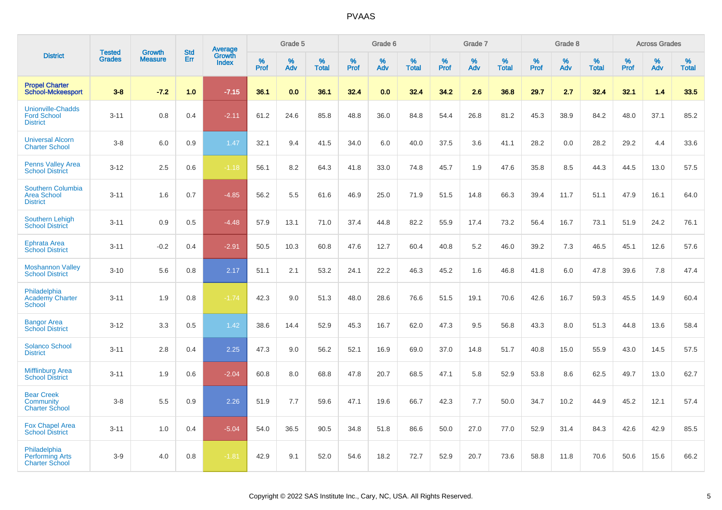|                                                                   |                                | <b>Growth</b>  | <b>Std</b> | Average                |                  | Grade 5  |                   |                  | Grade 6  |                   |                  | Grade 7  |                   |           | Grade 8  |                   |                  | <b>Across Grades</b> |                   |
|-------------------------------------------------------------------|--------------------------------|----------------|------------|------------------------|------------------|----------|-------------------|------------------|----------|-------------------|------------------|----------|-------------------|-----------|----------|-------------------|------------------|----------------------|-------------------|
| <b>District</b>                                                   | <b>Tested</b><br><b>Grades</b> | <b>Measure</b> | Err        | Growth<br><b>Index</b> | %<br><b>Prof</b> | %<br>Adv | %<br><b>Total</b> | %<br><b>Prof</b> | %<br>Adv | %<br><b>Total</b> | %<br><b>Prof</b> | %<br>Adv | %<br><b>Total</b> | %<br>Prof | %<br>Adv | %<br><b>Total</b> | %<br><b>Prof</b> | %<br>Adv             | %<br><b>Total</b> |
| <b>Propel Charter</b><br><b>School-Mckeesport</b>                 | $3-8$                          | $-7.2$         | 1.0        | $-7.15$                | 36.1             | 0.0      | 36.1              | 32.4             | 0.0      | 32.4              | 34.2             | 2.6      | 36.8              | 29.7      | 2.7      | 32.4              | 32.1             | 1.4                  | 33.5              |
| <b>Unionville-Chadds</b><br><b>Ford School</b><br><b>District</b> | $3 - 11$                       | 0.8            | 0.4        | $-2.11$                | 61.2             | 24.6     | 85.8              | 48.8             | 36.0     | 84.8              | 54.4             | 26.8     | 81.2              | 45.3      | 38.9     | 84.2              | 48.0             | 37.1                 | 85.2              |
| <b>Universal Alcorn</b><br><b>Charter School</b>                  | $3-8$                          | 6.0            | 0.9        | 1.47                   | 32.1             | 9.4      | 41.5              | 34.0             | 6.0      | 40.0              | 37.5             | 3.6      | 41.1              | 28.2      | 0.0      | 28.2              | 29.2             | 4.4                  | 33.6              |
| <b>Penns Valley Area</b><br><b>School District</b>                | $3 - 12$                       | 2.5            | 0.6        | $-1.18$                | 56.1             | 8.2      | 64.3              | 41.8             | 33.0     | 74.8              | 45.7             | 1.9      | 47.6              | 35.8      | 8.5      | 44.3              | 44.5             | 13.0                 | 57.5              |
| Southern Columbia<br><b>Area School</b><br><b>District</b>        | $3 - 11$                       | 1.6            | 0.7        | $-4.85$                | 56.2             | 5.5      | 61.6              | 46.9             | 25.0     | 71.9              | 51.5             | 14.8     | 66.3              | 39.4      | 11.7     | 51.1              | 47.9             | 16.1                 | 64.0              |
| <b>Southern Lehigh</b><br><b>School District</b>                  | $3 - 11$                       | 0.9            | 0.5        | $-4.48$                | 57.9             | 13.1     | 71.0              | 37.4             | 44.8     | 82.2              | 55.9             | 17.4     | 73.2              | 56.4      | 16.7     | 73.1              | 51.9             | 24.2                 | 76.1              |
| <b>Ephrata Area</b><br><b>School District</b>                     | $3 - 11$                       | $-0.2$         | 0.4        | $-2.91$                | 50.5             | 10.3     | 60.8              | 47.6             | 12.7     | 60.4              | 40.8             | 5.2      | 46.0              | 39.2      | 7.3      | 46.5              | 45.1             | 12.6                 | 57.6              |
| <b>Moshannon Valley</b><br><b>School District</b>                 | $3 - 10$                       | 5.6            | 0.8        | 2.17                   | 51.1             | 2.1      | 53.2              | 24.1             | 22.2     | 46.3              | 45.2             | 1.6      | 46.8              | 41.8      | 6.0      | 47.8              | 39.6             | 7.8                  | 47.4              |
| Philadelphia<br><b>Academy Charter</b><br><b>School</b>           | $3 - 11$                       | 1.9            | 0.8        | $-1.74$                | 42.3             | 9.0      | 51.3              | 48.0             | 28.6     | 76.6              | 51.5             | 19.1     | 70.6              | 42.6      | 16.7     | 59.3              | 45.5             | 14.9                 | 60.4              |
| <b>Bangor Area</b><br><b>School District</b>                      | $3 - 12$                       | 3.3            | 0.5        | 1.42                   | 38.6             | 14.4     | 52.9              | 45.3             | 16.7     | 62.0              | 47.3             | 9.5      | 56.8              | 43.3      | 8.0      | 51.3              | 44.8             | 13.6                 | 58.4              |
| <b>Solanco School</b><br><b>District</b>                          | $3 - 11$                       | 2.8            | 0.4        | 2.25                   | 47.3             | 9.0      | 56.2              | 52.1             | 16.9     | 69.0              | 37.0             | 14.8     | 51.7              | 40.8      | 15.0     | 55.9              | 43.0             | 14.5                 | 57.5              |
| <b>Mifflinburg Area</b><br><b>School District</b>                 | $3 - 11$                       | 1.9            | 0.6        | $-2.04$                | 60.8             | 8.0      | 68.8              | 47.8             | 20.7     | 68.5              | 47.1             | 5.8      | 52.9              | 53.8      | 8.6      | 62.5              | 49.7             | 13.0                 | 62.7              |
| <b>Bear Creek</b><br>Community<br><b>Charter School</b>           | $3-8$                          | 5.5            | 0.9        | 2.26                   | 51.9             | 7.7      | 59.6              | 47.1             | 19.6     | 66.7              | 42.3             | 7.7      | 50.0              | 34.7      | 10.2     | 44.9              | 45.2             | 12.1                 | 57.4              |
| <b>Fox Chapel Area</b><br><b>School District</b>                  | $3 - 11$                       | 1.0            | 0.4        | $-5.04$                | 54.0             | 36.5     | 90.5              | 34.8             | 51.8     | 86.6              | 50.0             | 27.0     | 77.0              | 52.9      | 31.4     | 84.3              | 42.6             | 42.9                 | 85.5              |
| Philadelphia<br><b>Performing Arts</b><br><b>Charter School</b>   | $3-9$                          | 4.0            | 0.8        | $-1.81$                | 42.9             | 9.1      | 52.0              | 54.6             | 18.2     | 72.7              | 52.9             | 20.7     | 73.6              | 58.8      | 11.8     | 70.6              | 50.6             | 15.6                 | 66.2              |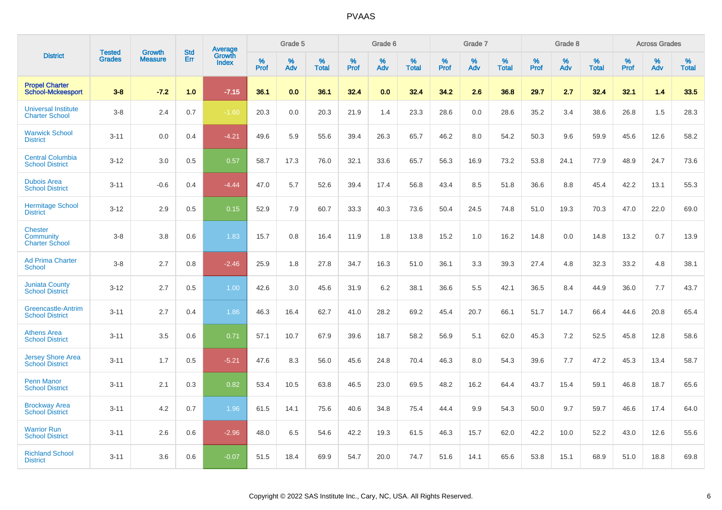|                                                             |                         | <b>Growth</b>  | <b>Std</b> | Average                |              | Grade 5     |                      |              | Grade 6     |                      |              | Grade 7     |                      |              | Grade 8     |                      |                     | <b>Across Grades</b> |                      |
|-------------------------------------------------------------|-------------------------|----------------|------------|------------------------|--------------|-------------|----------------------|--------------|-------------|----------------------|--------------|-------------|----------------------|--------------|-------------|----------------------|---------------------|----------------------|----------------------|
| <b>District</b>                                             | Tested<br><b>Grades</b> | <b>Measure</b> | Err        | Growth<br><b>Index</b> | $\%$<br>Prof | $\%$<br>Adv | $\%$<br><b>Total</b> | $\%$<br>Prof | $\%$<br>Adv | $\%$<br><b>Total</b> | $\%$<br>Prof | $\%$<br>Adv | $\%$<br><b>Total</b> | $\%$<br>Prof | $\%$<br>Adv | $\%$<br><b>Total</b> | $\%$<br><b>Prof</b> | $\%$<br>Adv          | $\%$<br><b>Total</b> |
| <b>Propel Charter</b><br><b>School-Mckeesport</b>           | $3 - 8$                 | $-7.2$         | 1.0        | $-7.15$                | 36.1         | 0.0         | 36.1                 | 32.4         | 0.0         | 32.4                 | 34.2         | 2.6         | 36.8                 | 29.7         | 2.7         | 32.4                 | 32.1                | 1.4                  | 33.5                 |
| <b>Universal Institute</b><br><b>Charter School</b>         | $3 - 8$                 | 2.4            | 0.7        | $-1.60$                | 20.3         | 0.0         | 20.3                 | 21.9         | 1.4         | 23.3                 | 28.6         | 0.0         | 28.6                 | 35.2         | 3.4         | 38.6                 | 26.8                | 1.5                  | 28.3                 |
| <b>Warwick School</b><br><b>District</b>                    | $3 - 11$                | 0.0            | 0.4        | $-4.21$                | 49.6         | 5.9         | 55.6                 | 39.4         | 26.3        | 65.7                 | 46.2         | 8.0         | 54.2                 | 50.3         | 9.6         | 59.9                 | 45.6                | 12.6                 | 58.2                 |
| <b>Central Columbia</b><br><b>School District</b>           | $3 - 12$                | 3.0            | 0.5        | 0.57                   | 58.7         | 17.3        | 76.0                 | 32.1         | 33.6        | 65.7                 | 56.3         | 16.9        | 73.2                 | 53.8         | 24.1        | 77.9                 | 48.9                | 24.7                 | 73.6                 |
| <b>Dubois Area</b><br><b>School District</b>                | $3 - 11$                | $-0.6$         | 0.4        | $-4.44$                | 47.0         | 5.7         | 52.6                 | 39.4         | 17.4        | 56.8                 | 43.4         | 8.5         | 51.8                 | 36.6         | 8.8         | 45.4                 | 42.2                | 13.1                 | 55.3                 |
| <b>Hermitage School</b><br><b>District</b>                  | $3 - 12$                | 2.9            | 0.5        | 0.15                   | 52.9         | 7.9         | 60.7                 | 33.3         | 40.3        | 73.6                 | 50.4         | 24.5        | 74.8                 | 51.0         | 19.3        | 70.3                 | 47.0                | 22.0                 | 69.0                 |
| <b>Chester</b><br><b>Community</b><br><b>Charter School</b> | $3 - 8$                 | 3.8            | 0.6        | 1.83                   | 15.7         | 0.8         | 16.4                 | 11.9         | 1.8         | 13.8                 | 15.2         | 1.0         | 16.2                 | 14.8         | 0.0         | 14.8                 | 13.2                | 0.7                  | 13.9                 |
| <b>Ad Prima Charter</b><br><b>School</b>                    | $3 - 8$                 | 2.7            | 0.8        | $-2.46$                | 25.9         | 1.8         | 27.8                 | 34.7         | 16.3        | 51.0                 | 36.1         | 3.3         | 39.3                 | 27.4         | 4.8         | 32.3                 | 33.2                | 4.8                  | 38.1                 |
| <b>Juniata County</b><br><b>School District</b>             | $3 - 12$                | 2.7            | 0.5        | 1.00                   | 42.6         | 3.0         | 45.6                 | 31.9         | 6.2         | 38.1                 | 36.6         | 5.5         | 42.1                 | 36.5         | 8.4         | 44.9                 | 36.0                | 7.7                  | 43.7                 |
| <b>Greencastle-Antrim</b><br><b>School District</b>         | $3 - 11$                | 2.7            | 0.4        | 1.86                   | 46.3         | 16.4        | 62.7                 | 41.0         | 28.2        | 69.2                 | 45.4         | 20.7        | 66.1                 | 51.7         | 14.7        | 66.4                 | 44.6                | 20.8                 | 65.4                 |
| <b>Athens Area</b><br><b>School District</b>                | $3 - 11$                | 3.5            | 0.6        | 0.71                   | 57.1         | 10.7        | 67.9                 | 39.6         | 18.7        | 58.2                 | 56.9         | 5.1         | 62.0                 | 45.3         | 7.2         | 52.5                 | 45.8                | 12.8                 | 58.6                 |
| <b>Jersey Shore Area</b><br><b>School District</b>          | $3 - 11$                | 1.7            | 0.5        | $-5.21$                | 47.6         | 8.3         | 56.0                 | 45.6         | 24.8        | 70.4                 | 46.3         | 8.0         | 54.3                 | 39.6         | 7.7         | 47.2                 | 45.3                | 13.4                 | 58.7                 |
| <b>Penn Manor</b><br><b>School District</b>                 | $3 - 11$                | 2.1            | 0.3        | 0.82                   | 53.4         | 10.5        | 63.8                 | 46.5         | 23.0        | 69.5                 | 48.2         | 16.2        | 64.4                 | 43.7         | 15.4        | 59.1                 | 46.8                | 18.7                 | 65.6                 |
| <b>Brockway Area</b><br><b>School District</b>              | $3 - 11$                | 4.2            | 0.7        | 1.96                   | 61.5         | 14.1        | 75.6                 | 40.6         | 34.8        | 75.4                 | 44.4         | 9.9         | 54.3                 | 50.0         | 9.7         | 59.7                 | 46.6                | 17.4                 | 64.0                 |
| <b>Warrior Run</b><br><b>School District</b>                | $3 - 11$                | 2.6            | 0.6        | $-2.96$                | 48.0         | 6.5         | 54.6                 | 42.2         | 19.3        | 61.5                 | 46.3         | 15.7        | 62.0                 | 42.2         | 10.0        | 52.2                 | 43.0                | 12.6                 | 55.6                 |
| <b>Richland School</b><br><b>District</b>                   | $3 - 11$                | 3.6            | 0.6        | $-0.07$                | 51.5         | 18.4        | 69.9                 | 54.7         | 20.0        | 74.7                 | 51.6         | 14.1        | 65.6                 | 53.8         | 15.1        | 68.9                 | 51.0                | 18.8                 | 69.8                 |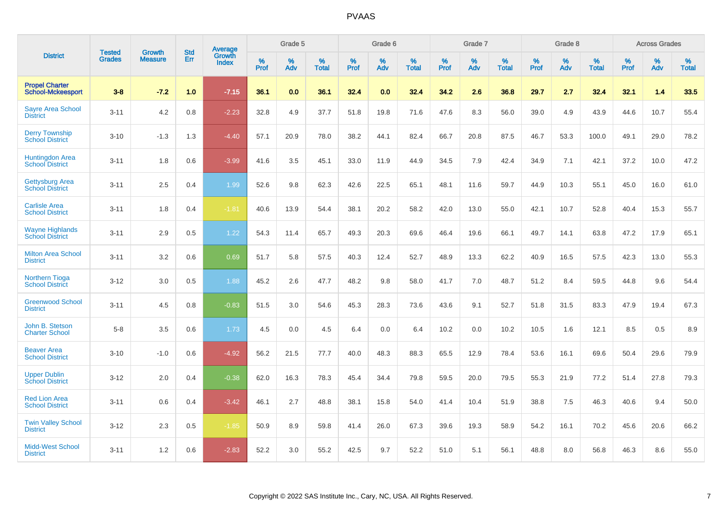|                                                   | <b>Tested</b> | <b>Growth</b>  | <b>Std</b> |                                          |              | Grade 5     |                   |              | Grade 6     |                   |              | Grade 7     |                   |              | Grade 8  |                   |              | <b>Across Grades</b> |                   |
|---------------------------------------------------|---------------|----------------|------------|------------------------------------------|--------------|-------------|-------------------|--------------|-------------|-------------------|--------------|-------------|-------------------|--------------|----------|-------------------|--------------|----------------------|-------------------|
| <b>District</b>                                   | <b>Grades</b> | <b>Measure</b> | Err        | <b>Average</b><br>Growth<br><b>Index</b> | $\%$<br>Prof | $\%$<br>Adv | %<br><b>Total</b> | $\%$<br>Prof | $\%$<br>Adv | %<br><b>Total</b> | $\%$<br>Prof | $\%$<br>Adv | %<br><b>Total</b> | $\%$<br>Prof | %<br>Adv | %<br><b>Total</b> | $\%$<br>Prof | $\%$<br>Adv          | %<br><b>Total</b> |
| <b>Propel Charter</b><br><b>School-Mckeesport</b> | $3 - 8$       | $-7.2$         | 1.0        | $-7.15$                                  | 36.1         | 0.0         | 36.1              | 32.4         | 0.0         | 32.4              | 34.2         | 2.6         | 36.8              | 29.7         | 2.7      | 32.4              | 32.1         | 1.4                  | 33.5              |
| <b>Sayre Area School</b><br><b>District</b>       | $3 - 11$      | 4.2            | 0.8        | $-2.23$                                  | 32.8         | 4.9         | 37.7              | 51.8         | 19.8        | 71.6              | 47.6         | 8.3         | 56.0              | 39.0         | 4.9      | 43.9              | 44.6         | 10.7                 | 55.4              |
| <b>Derry Township</b><br><b>School District</b>   | $3 - 10$      | $-1.3$         | 1.3        | $-4.40$                                  | 57.1         | 20.9        | 78.0              | 38.2         | 44.1        | 82.4              | 66.7         | 20.8        | 87.5              | 46.7         | 53.3     | 100.0             | 49.1         | 29.0                 | 78.2              |
| <b>Huntingdon Area</b><br><b>School District</b>  | $3 - 11$      | 1.8            | 0.6        | $-3.99$                                  | 41.6         | 3.5         | 45.1              | 33.0         | 11.9        | 44.9              | 34.5         | 7.9         | 42.4              | 34.9         | 7.1      | 42.1              | 37.2         | 10.0                 | 47.2              |
| <b>Gettysburg Area</b><br><b>School District</b>  | $3 - 11$      | 2.5            | 0.4        | 1.99                                     | 52.6         | 9.8         | 62.3              | 42.6         | 22.5        | 65.1              | 48.1         | 11.6        | 59.7              | 44.9         | 10.3     | 55.1              | 45.0         | 16.0                 | 61.0              |
| <b>Carlisle Area</b><br><b>School District</b>    | $3 - 11$      | 1.8            | 0.4        | $-1.81$                                  | 40.6         | 13.9        | 54.4              | 38.1         | 20.2        | 58.2              | 42.0         | 13.0        | 55.0              | 42.1         | 10.7     | 52.8              | 40.4         | 15.3                 | 55.7              |
| <b>Wayne Highlands</b><br><b>School District</b>  | $3 - 11$      | 2.9            | 0.5        | 1.22                                     | 54.3         | 11.4        | 65.7              | 49.3         | 20.3        | 69.6              | 46.4         | 19.6        | 66.1              | 49.7         | 14.1     | 63.8              | 47.2         | 17.9                 | 65.1              |
| <b>Milton Area School</b><br><b>District</b>      | $3 - 11$      | 3.2            | 0.6        | 0.69                                     | 51.7         | 5.8         | 57.5              | 40.3         | 12.4        | 52.7              | 48.9         | 13.3        | 62.2              | 40.9         | 16.5     | 57.5              | 42.3         | 13.0                 | 55.3              |
| <b>Northern Tioga</b><br><b>School District</b>   | $3 - 12$      | 3.0            | 0.5        | 1.88                                     | 45.2         | 2.6         | 47.7              | 48.2         | 9.8         | 58.0              | 41.7         | 7.0         | 48.7              | 51.2         | 8.4      | 59.5              | 44.8         | 9.6                  | 54.4              |
| <b>Greenwood School</b><br><b>District</b>        | $3 - 11$      | 4.5            | 0.8        | $-0.83$                                  | 51.5         | 3.0         | 54.6              | 45.3         | 28.3        | 73.6              | 43.6         | 9.1         | 52.7              | 51.8         | 31.5     | 83.3              | 47.9         | 19.4                 | 67.3              |
| John B. Stetson<br><b>Charter School</b>          | $5 - 8$       | 3.5            | 0.6        | 1.73                                     | 4.5          | 0.0         | 4.5               | 6.4          | 0.0         | 6.4               | 10.2         | 0.0         | 10.2              | 10.5         | 1.6      | 12.1              | 8.5          | 0.5                  | 8.9               |
| <b>Beaver Area</b><br><b>School District</b>      | $3 - 10$      | $-1.0$         | 0.6        | $-4.92$                                  | 56.2         | 21.5        | 77.7              | 40.0         | 48.3        | 88.3              | 65.5         | 12.9        | 78.4              | 53.6         | 16.1     | 69.6              | 50.4         | 29.6                 | 79.9              |
| <b>Upper Dublin</b><br><b>School District</b>     | $3 - 12$      | 2.0            | 0.4        | $-0.38$                                  | 62.0         | 16.3        | 78.3              | 45.4         | 34.4        | 79.8              | 59.5         | 20.0        | 79.5              | 55.3         | 21.9     | 77.2              | 51.4         | 27.8                 | 79.3              |
| <b>Red Lion Area</b><br><b>School District</b>    | $3 - 11$      | 0.6            | 0.4        | $-3.42$                                  | 46.1         | 2.7         | 48.8              | 38.1         | 15.8        | 54.0              | 41.4         | 10.4        | 51.9              | 38.8         | 7.5      | 46.3              | 40.6         | 9.4                  | 50.0              |
| <b>Twin Valley School</b><br><b>District</b>      | $3 - 12$      | 2.3            | 0.5        | $-1.85$                                  | 50.9         | 8.9         | 59.8              | 41.4         | 26.0        | 67.3              | 39.6         | 19.3        | 58.9              | 54.2         | 16.1     | 70.2              | 45.6         | 20.6                 | 66.2              |
| <b>Midd-West School</b><br><b>District</b>        | $3 - 11$      | 1.2            | 0.6        | $-2.83$                                  | 52.2         | 3.0         | 55.2              | 42.5         | 9.7         | 52.2              | 51.0         | 5.1         | 56.1              | 48.8         | 8.0      | 56.8              | 46.3         | 8.6                  | 55.0              |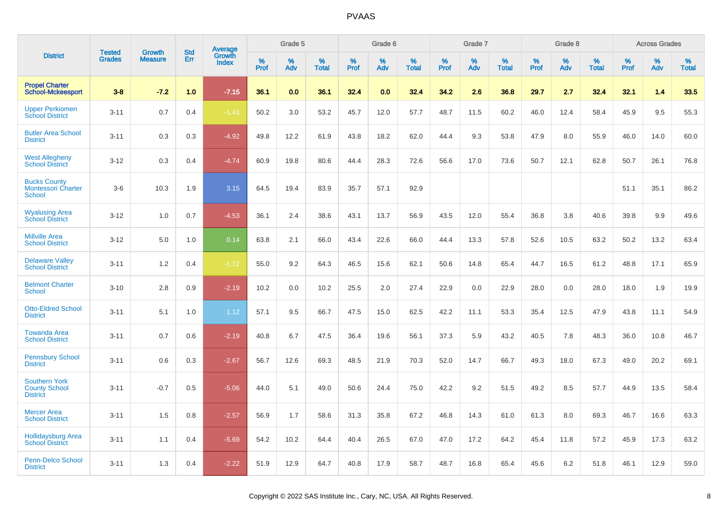|                                                                 | <b>Tested</b> | <b>Growth</b>  | <b>Std</b> | Average                |              | Grade 5  |                   |              | Grade 6  |                   |              | Grade 7  |                   |              | Grade 8  |                   |              | <b>Across Grades</b> |                   |
|-----------------------------------------------------------------|---------------|----------------|------------|------------------------|--------------|----------|-------------------|--------------|----------|-------------------|--------------|----------|-------------------|--------------|----------|-------------------|--------------|----------------------|-------------------|
| <b>District</b>                                                 | <b>Grades</b> | <b>Measure</b> | Err        | Growth<br><b>Index</b> | $\%$<br>Prof | %<br>Adv | %<br><b>Total</b> | $\%$<br>Prof | %<br>Adv | %<br><b>Total</b> | $\%$<br>Prof | %<br>Adv | %<br><b>Total</b> | $\%$<br>Prof | %<br>Adv | %<br><b>Total</b> | $\%$<br>Prof | %<br>Adv             | %<br><b>Total</b> |
| <b>Propel Charter</b><br><b>School-Mckeesport</b>               | $3 - 8$       | $-7.2$         | 1.0        | $-7.15$                | 36.1         | 0.0      | 36.1              | 32.4         | 0.0      | 32.4              | 34.2         | 2.6      | 36.8              | 29.7         | 2.7      | 32.4              | 32.1         | 1.4                  | 33.5              |
| <b>Upper Perkiomen</b><br><b>School District</b>                | $3 - 11$      | 0.7            | 0.4        | $-1.43$                | 50.2         | 3.0      | 53.2              | 45.7         | 12.0     | 57.7              | 48.7         | 11.5     | 60.2              | 46.0         | 12.4     | 58.4              | 45.9         | 9.5                  | 55.3              |
| <b>Butler Area School</b><br><b>District</b>                    | $3 - 11$      | 0.3            | 0.3        | $-4.92$                | 49.8         | 12.2     | 61.9              | 43.8         | 18.2     | 62.0              | 44.4         | 9.3      | 53.8              | 47.9         | 8.0      | 55.9              | 46.0         | 14.0                 | 60.0              |
| <b>West Allegheny</b><br><b>School District</b>                 | $3 - 12$      | 0.3            | 0.4        | $-4.74$                | 60.9         | 19.8     | 80.6              | 44.4         | 28.3     | 72.6              | 56.6         | 17.0     | 73.6              | 50.7         | 12.1     | 62.8              | 50.7         | 26.1                 | 76.8              |
| <b>Bucks County</b><br><b>Montessori Charter</b><br>School      | $3-6$         | 10.3           | 1.9        | 3.15                   | 64.5         | 19.4     | 83.9              | 35.7         | 57.1     | 92.9              |              |          |                   |              |          |                   | 51.1         | 35.1                 | 86.2              |
| <b>Wyalusing Area</b><br><b>School District</b>                 | $3 - 12$      | 1.0            | 0.7        | $-4.53$                | 36.1         | 2.4      | 38.6              | 43.1         | 13.7     | 56.9              | 43.5         | 12.0     | 55.4              | 36.8         | 3.8      | 40.6              | 39.8         | 9.9                  | 49.6              |
| <b>Millville Area</b><br><b>School District</b>                 | $3 - 12$      | 5.0            | 1.0        | 0.14                   | 63.8         | 2.1      | 66.0              | 43.4         | 22.6     | 66.0              | 44.4         | 13.3     | 57.8              | 52.6         | 10.5     | 63.2              | 50.2         | 13.2                 | 63.4              |
| <b>Delaware Valley</b><br><b>School District</b>                | $3 - 11$      | 1.2            | 0.4        | $-1.72$                | 55.0         | 9.2      | 64.3              | 46.5         | 15.6     | 62.1              | 50.6         | 14.8     | 65.4              | 44.7         | 16.5     | 61.2              | 48.8         | 17.1                 | 65.9              |
| <b>Belmont Charter</b><br><b>School</b>                         | $3 - 10$      | 2.8            | 0.9        | $-2.19$                | 10.2         | 0.0      | 10.2              | 25.5         | 2.0      | 27.4              | 22.9         | 0.0      | 22.9              | 28.0         | 0.0      | 28.0              | 18.0         | 1.9                  | 19.9              |
| <b>Otto-Eldred School</b><br><b>District</b>                    | $3 - 11$      | 5.1            | 1.0        | 1.12                   | 57.1         | 9.5      | 66.7              | 47.5         | 15.0     | 62.5              | 42.2         | 11.1     | 53.3              | 35.4         | 12.5     | 47.9              | 43.8         | 11.1                 | 54.9              |
| <b>Towanda Area</b><br><b>School District</b>                   | $3 - 11$      | 0.7            | 0.6        | $-2.19$                | 40.8         | 6.7      | 47.5              | 36.4         | 19.6     | 56.1              | 37.3         | 5.9      | 43.2              | 40.5         | 7.8      | 48.3              | 36.0         | 10.8                 | 46.7              |
| <b>Pennsbury School</b><br><b>District</b>                      | $3 - 11$      | 0.6            | 0.3        | $-2.67$                | 56.7         | 12.6     | 69.3              | 48.5         | 21.9     | 70.3              | 52.0         | 14.7     | 66.7              | 49.3         | 18.0     | 67.3              | 49.0         | 20.2                 | 69.1              |
| <b>Southern York</b><br><b>County School</b><br><b>District</b> | $3 - 11$      | $-0.7$         | 0.5        | $-5.06$                | 44.0         | 5.1      | 49.0              | 50.6         | 24.4     | 75.0              | 42.2         | 9.2      | 51.5              | 49.2         | 8.5      | 57.7              | 44.9         | 13.5                 | 58.4              |
| <b>Mercer Area</b><br><b>School District</b>                    | $3 - 11$      | 1.5            | 0.8        | $-2.57$                | 56.9         | 1.7      | 58.6              | 31.3         | 35.8     | 67.2              | 46.8         | 14.3     | 61.0              | 61.3         | 8.0      | 69.3              | 46.7         | 16.6                 | 63.3              |
| <b>Hollidaysburg Area</b><br><b>School District</b>             | $3 - 11$      | 1.1            | 0.4        | $-5.69$                | 54.2         | 10.2     | 64.4              | 40.4         | 26.5     | 67.0              | 47.0         | 17.2     | 64.2              | 45.4         | 11.8     | 57.2              | 45.9         | 17.3                 | 63.2              |
| <b>Penn-Delco School</b><br><b>District</b>                     | $3 - 11$      | 1.3            | 0.4        | $-2.22$                | 51.9         | 12.9     | 64.7              | 40.8         | 17.9     | 58.7              | 48.7         | 16.8     | 65.4              | 45.6         | 6.2      | 51.8              | 46.1         | 12.9                 | 59.0              |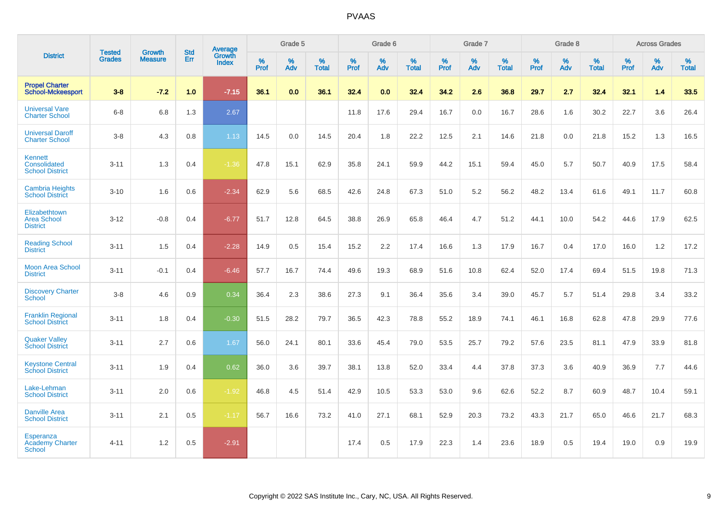|                                                             | <b>Tested</b> | <b>Growth</b>  | <b>Std</b> | Average                |              | Grade 5  |                   |           | Grade 6  |                   |           | Grade 7  |                   |           | Grade 8  |                   |           | <b>Across Grades</b> |                   |
|-------------------------------------------------------------|---------------|----------------|------------|------------------------|--------------|----------|-------------------|-----------|----------|-------------------|-----------|----------|-------------------|-----------|----------|-------------------|-----------|----------------------|-------------------|
| <b>District</b>                                             | <b>Grades</b> | <b>Measure</b> | Err        | Growth<br><b>Index</b> | $\%$<br>Prof | %<br>Adv | %<br><b>Total</b> | %<br>Prof | %<br>Adv | %<br><b>Total</b> | %<br>Prof | %<br>Adv | %<br><b>Total</b> | %<br>Prof | %<br>Adv | %<br><b>Total</b> | %<br>Prof | %<br>Adv             | %<br><b>Total</b> |
| <b>Propel Charter</b><br><b>School-Mckeesport</b>           | $3 - 8$       | $-7.2$         | 1.0        | $-7.15$                | 36.1         | 0.0      | 36.1              | 32.4      | 0.0      | 32.4              | 34.2      | 2.6      | 36.8              | 29.7      | 2.7      | 32.4              | 32.1      | 1.4                  | 33.5              |
| <b>Universal Vare</b><br><b>Charter School</b>              | $6 - 8$       | 6.8            | 1.3        | 2.67                   |              |          |                   | 11.8      | 17.6     | 29.4              | 16.7      | 0.0      | 16.7              | 28.6      | 1.6      | 30.2              | 22.7      | 3.6                  | 26.4              |
| <b>Universal Daroff</b><br><b>Charter School</b>            | $3 - 8$       | 4.3            | 0.8        | 1.13                   | 14.5         | 0.0      | 14.5              | 20.4      | 1.8      | 22.2              | 12.5      | 2.1      | 14.6              | 21.8      | 0.0      | 21.8              | 15.2      | 1.3                  | 16.5              |
| <b>Kennett</b><br>Consolidated<br><b>School District</b>    | $3 - 11$      | 1.3            | 0.4        | $-1.36$                | 47.8         | 15.1     | 62.9              | 35.8      | 24.1     | 59.9              | 44.2      | 15.1     | 59.4              | 45.0      | 5.7      | 50.7              | 40.9      | 17.5                 | 58.4              |
| <b>Cambria Heights</b><br><b>School District</b>            | $3 - 10$      | 1.6            | 0.6        | $-2.34$                | 62.9         | 5.6      | 68.5              | 42.6      | 24.8     | 67.3              | 51.0      | 5.2      | 56.2              | 48.2      | 13.4     | 61.6              | 49.1      | 11.7                 | 60.8              |
| Elizabethtown<br><b>Area School</b><br><b>District</b>      | $3 - 12$      | $-0.8$         | 0.4        | $-6.77$                | 51.7         | 12.8     | 64.5              | 38.8      | 26.9     | 65.8              | 46.4      | 4.7      | 51.2              | 44.1      | 10.0     | 54.2              | 44.6      | 17.9                 | 62.5              |
| <b>Reading School</b><br><b>District</b>                    | $3 - 11$      | 1.5            | 0.4        | $-2.28$                | 14.9         | 0.5      | 15.4              | 15.2      | 2.2      | 17.4              | 16.6      | 1.3      | 17.9              | 16.7      | 0.4      | 17.0              | 16.0      | 1.2                  | 17.2              |
| <b>Moon Area School</b><br><b>District</b>                  | $3 - 11$      | $-0.1$         | 0.4        | $-6.46$                | 57.7         | 16.7     | 74.4              | 49.6      | 19.3     | 68.9              | 51.6      | 10.8     | 62.4              | 52.0      | 17.4     | 69.4              | 51.5      | 19.8                 | 71.3              |
| <b>Discovery Charter</b><br><b>School</b>                   | $3 - 8$       | 4.6            | 0.9        | 0.34                   | 36.4         | 2.3      | 38.6              | 27.3      | 9.1      | 36.4              | 35.6      | 3.4      | 39.0              | 45.7      | 5.7      | 51.4              | 29.8      | 3.4                  | 33.2              |
| <b>Franklin Regional</b><br><b>School District</b>          | $3 - 11$      | 1.8            | 0.4        | $-0.30$                | 51.5         | 28.2     | 79.7              | 36.5      | 42.3     | 78.8              | 55.2      | 18.9     | 74.1              | 46.1      | 16.8     | 62.8              | 47.8      | 29.9                 | 77.6              |
| <b>Quaker Valley</b><br><b>School District</b>              | $3 - 11$      | 2.7            | 0.6        | 1.67                   | 56.0         | 24.1     | 80.1              | 33.6      | 45.4     | 79.0              | 53.5      | 25.7     | 79.2              | 57.6      | 23.5     | 81.1              | 47.9      | 33.9                 | 81.8              |
| <b>Keystone Central</b><br><b>School District</b>           | $3 - 11$      | 1.9            | 0.4        | 0.62                   | 36.0         | 3.6      | 39.7              | 38.1      | 13.8     | 52.0              | 33.4      | 4.4      | 37.8              | 37.3      | 3.6      | 40.9              | 36.9      | 7.7                  | 44.6              |
| Lake-Lehman<br><b>School District</b>                       | $3 - 11$      | 2.0            | 0.6        | $-1.92$                | 46.8         | 4.5      | 51.4              | 42.9      | 10.5     | 53.3              | 53.0      | 9.6      | 62.6              | 52.2      | 8.7      | 60.9              | 48.7      | 10.4                 | 59.1              |
| <b>Danville Area</b><br><b>School District</b>              | $3 - 11$      | 2.1            | 0.5        | $-1.17$                | 56.7         | 16.6     | 73.2              | 41.0      | 27.1     | 68.1              | 52.9      | 20.3     | 73.2              | 43.3      | 21.7     | 65.0              | 46.6      | 21.7                 | 68.3              |
| <b>Esperanza</b><br><b>Academy Charter</b><br><b>School</b> | $4 - 11$      | 1.2            | 0.5        | $-2.91$                |              |          |                   | 17.4      | 0.5      | 17.9              | 22.3      | 1.4      | 23.6              | 18.9      | 0.5      | 19.4              | 19.0      | 0.9                  | 19.9              |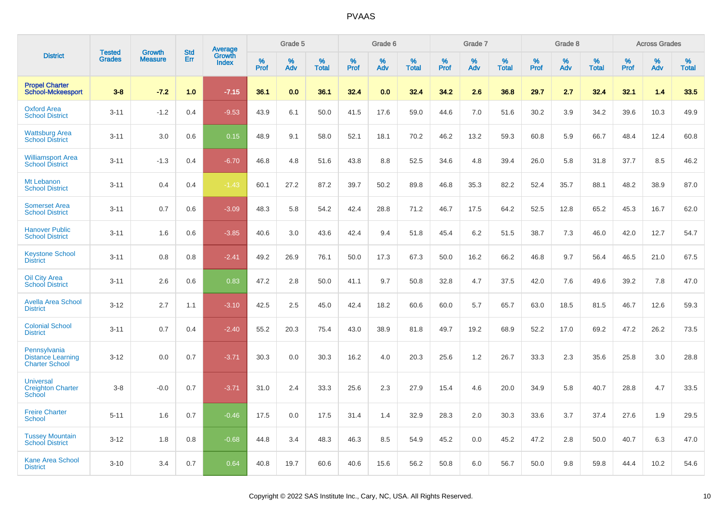|                                                                   | <b>Tested</b> | <b>Growth</b>  | <b>Std</b> | Average                |              | Grade 5  |                   |              | Grade 6  |                   |              | Grade 7  |                   |              | Grade 8  |                   |              | <b>Across Grades</b> |                   |
|-------------------------------------------------------------------|---------------|----------------|------------|------------------------|--------------|----------|-------------------|--------------|----------|-------------------|--------------|----------|-------------------|--------------|----------|-------------------|--------------|----------------------|-------------------|
| <b>District</b>                                                   | <b>Grades</b> | <b>Measure</b> | Err        | Growth<br><b>Index</b> | $\%$<br>Prof | %<br>Adv | %<br><b>Total</b> | $\%$<br>Prof | %<br>Adv | %<br><b>Total</b> | $\%$<br>Prof | %<br>Adv | %<br><b>Total</b> | $\%$<br>Prof | %<br>Adv | %<br><b>Total</b> | $\%$<br>Prof | %<br>Adv             | %<br><b>Total</b> |
| <b>Propel Charter</b><br><b>School-Mckeesport</b>                 | $3 - 8$       | $-7.2$         | 1.0        | $-7.15$                | 36.1         | 0.0      | 36.1              | 32.4         | 0.0      | 32.4              | 34.2         | 2.6      | 36.8              | 29.7         | 2.7      | 32.4              | 32.1         | 1.4                  | 33.5              |
| <b>Oxford Area</b><br><b>School District</b>                      | $3 - 11$      | $-1.2$         | 0.4        | $-9.53$                | 43.9         | 6.1      | 50.0              | 41.5         | 17.6     | 59.0              | 44.6         | 7.0      | 51.6              | 30.2         | 3.9      | 34.2              | 39.6         | 10.3                 | 49.9              |
| <b>Wattsburg Area</b><br><b>School District</b>                   | $3 - 11$      | 3.0            | 0.6        | 0.15                   | 48.9         | 9.1      | 58.0              | 52.1         | 18.1     | 70.2              | 46.2         | 13.2     | 59.3              | 60.8         | 5.9      | 66.7              | 48.4         | 12.4                 | 60.8              |
| <b>Williamsport Area</b><br><b>School District</b>                | $3 - 11$      | $-1.3$         | 0.4        | $-6.70$                | 46.8         | 4.8      | 51.6              | 43.8         | 8.8      | 52.5              | 34.6         | 4.8      | 39.4              | 26.0         | 5.8      | 31.8              | 37.7         | 8.5                  | 46.2              |
| Mt Lebanon<br><b>School District</b>                              | $3 - 11$      | 0.4            | 0.4        | $-1.43$                | 60.1         | 27.2     | 87.2              | 39.7         | 50.2     | 89.8              | 46.8         | 35.3     | 82.2              | 52.4         | 35.7     | 88.1              | 48.2         | 38.9                 | 87.0              |
| <b>Somerset Area</b><br><b>School District</b>                    | $3 - 11$      | 0.7            | 0.6        | $-3.09$                | 48.3         | 5.8      | 54.2              | 42.4         | 28.8     | 71.2              | 46.7         | 17.5     | 64.2              | 52.5         | 12.8     | 65.2              | 45.3         | 16.7                 | 62.0              |
| <b>Hanover Public</b><br><b>School District</b>                   | $3 - 11$      | 1.6            | 0.6        | $-3.85$                | 40.6         | 3.0      | 43.6              | 42.4         | 9.4      | 51.8              | 45.4         | 6.2      | 51.5              | 38.7         | 7.3      | 46.0              | 42.0         | 12.7                 | 54.7              |
| <b>Keystone School</b><br><b>District</b>                         | $3 - 11$      | 0.8            | 0.8        | $-2.41$                | 49.2         | 26.9     | 76.1              | 50.0         | 17.3     | 67.3              | 50.0         | 16.2     | 66.2              | 46.8         | 9.7      | 56.4              | 46.5         | 21.0                 | 67.5              |
| <b>Oil City Area</b><br><b>School District</b>                    | $3 - 11$      | 2.6            | 0.6        | 0.83                   | 47.2         | 2.8      | 50.0              | 41.1         | 9.7      | 50.8              | 32.8         | 4.7      | 37.5              | 42.0         | 7.6      | 49.6              | 39.2         | 7.8                  | 47.0              |
| <b>Avella Area School</b><br><b>District</b>                      | $3 - 12$      | 2.7            | 1.1        | $-3.10$                | 42.5         | 2.5      | 45.0              | 42.4         | 18.2     | 60.6              | 60.0         | 5.7      | 65.7              | 63.0         | 18.5     | 81.5              | 46.7         | 12.6                 | 59.3              |
| <b>Colonial School</b><br><b>District</b>                         | $3 - 11$      | 0.7            | 0.4        | $-2.40$                | 55.2         | 20.3     | 75.4              | 43.0         | 38.9     | 81.8              | 49.7         | 19.2     | 68.9              | 52.2         | 17.0     | 69.2              | 47.2         | 26.2                 | 73.5              |
| Pennsylvania<br><b>Distance Learning</b><br><b>Charter School</b> | $3 - 12$      | 0.0            | 0.7        | $-3.71$                | 30.3         | 0.0      | 30.3              | 16.2         | 4.0      | 20.3              | 25.6         | 1.2      | 26.7              | 33.3         | 2.3      | 35.6              | 25.8         | 3.0                  | 28.8              |
| <b>Universal</b><br><b>Creighton Charter</b><br>School            | $3 - 8$       | $-0.0$         | 0.7        | $-3.71$                | 31.0         | 2.4      | 33.3              | 25.6         | 2.3      | 27.9              | 15.4         | 4.6      | 20.0              | 34.9         | 5.8      | 40.7              | 28.8         | 4.7                  | 33.5              |
| <b>Freire Charter</b><br><b>School</b>                            | $5 - 11$      | 1.6            | 0.7        | $-0.46$                | 17.5         | 0.0      | 17.5              | 31.4         | 1.4      | 32.9              | 28.3         | 2.0      | 30.3              | 33.6         | 3.7      | 37.4              | 27.6         | 1.9                  | 29.5              |
| <b>Tussey Mountain</b><br><b>School District</b>                  | $3 - 12$      | 1.8            | 0.8        | $-0.68$                | 44.8         | 3.4      | 48.3              | 46.3         | 8.5      | 54.9              | 45.2         | 0.0      | 45.2              | 47.2         | 2.8      | 50.0              | 40.7         | 6.3                  | 47.0              |
| <b>Kane Area School</b><br><b>District</b>                        | $3 - 10$      | 3.4            | 0.7        | 0.64                   | 40.8         | 19.7     | 60.6              | 40.6         | 15.6     | 56.2              | 50.8         | 6.0      | 56.7              | 50.0         | 9.8      | 59.8              | 44.4         | 10.2                 | 54.6              |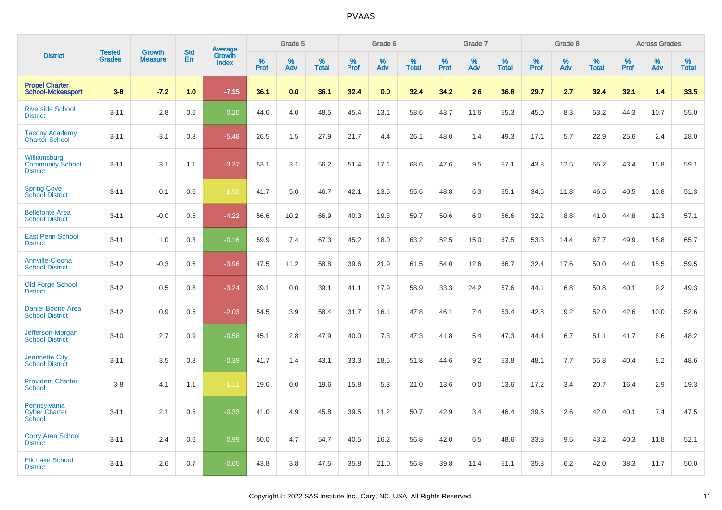|                                                            | <b>Tested</b> | <b>Growth</b>  | <b>Std</b> | Average                |              | Grade 5  |                   |              | Grade 6  |                   |              | Grade 7  |                   |              | Grade 8  |                   |              | <b>Across Grades</b> |                   |
|------------------------------------------------------------|---------------|----------------|------------|------------------------|--------------|----------|-------------------|--------------|----------|-------------------|--------------|----------|-------------------|--------------|----------|-------------------|--------------|----------------------|-------------------|
| <b>District</b>                                            | <b>Grades</b> | <b>Measure</b> | Err        | Growth<br><b>Index</b> | $\%$<br>Prof | %<br>Adv | %<br><b>Total</b> | $\%$<br>Prof | %<br>Adv | %<br><b>Total</b> | $\%$<br>Prof | %<br>Adv | %<br><b>Total</b> | $\%$<br>Prof | %<br>Adv | %<br><b>Total</b> | $\%$<br>Prof | %<br>Adv             | %<br><b>Total</b> |
| <b>Propel Charter</b><br><b>School-Mckeesport</b>          | $3 - 8$       | $-7.2$         | 1.0        | $-7.15$                | 36.1         | 0.0      | 36.1              | 32.4         | 0.0      | 32.4              | 34.2         | 2.6      | 36.8              | 29.7         | 2.7      | 32.4              | 32.1         | 1.4                  | 33.5              |
| <b>Riverside School</b><br><b>District</b>                 | $3 - 11$      | 2.8            | 0.6        | 0.20                   | 44.6         | 4.0      | 48.5              | 45.4         | 13.1     | 58.6              | 43.7         | 11.6     | 55.3              | 45.0         | 8.3      | 53.2              | 44.3         | 10.7                 | 55.0              |
| <b>Tacony Academy</b><br><b>Charter School</b>             | $3 - 11$      | $-3.1$         | 0.8        | $-5.48$                | 26.5         | 1.5      | 27.9              | 21.7         | 4.4      | 26.1              | 48.0         | 1.4      | 49.3              | 17.1         | 5.7      | 22.9              | 25.6         | 2.4                  | 28.0              |
| Williamsburg<br><b>Community School</b><br><b>District</b> | $3 - 11$      | 3.1            | 1.1        | $-3.37$                | 53.1         | 3.1      | 56.2              | 51.4         | 17.1     | 68.6              | 47.6         | 9.5      | 57.1              | 43.8         | 12.5     | 56.2              | 43.4         | 15.8                 | 59.1              |
| <b>Spring Cove</b><br>School District                      | $3 - 11$      | 0.1            | 0.6        | $-1.56$                | 41.7         | 5.0      | 46.7              | 42.1         | 13.5     | 55.6              | 48.8         | 6.3      | 55.1              | 34.6         | 11.8     | 46.5              | 40.5         | 10.8                 | 51.3              |
| <b>Bellefonte Area</b><br><b>School District</b>           | $3 - 11$      | $-0.0$         | 0.5        | $-4.22$                | 56.6         | 10.2     | 66.9              | 40.3         | 19.3     | 59.7              | 50.6         | 6.0      | 56.6              | 32.2         | 8.8      | 41.0              | 44.8         | 12.3                 | 57.1              |
| <b>East Penn School</b><br><b>District</b>                 | $3 - 11$      | 1.0            | 0.3        | $-0.16$                | 59.9         | 7.4      | 67.3              | 45.2         | 18.0     | 63.2              | 52.5         | 15.0     | 67.5              | 53.3         | 14.4     | 67.7              | 49.9         | 15.8                 | 65.7              |
| <b>Annville-Cleona</b><br><b>School District</b>           | $3 - 12$      | $-0.3$         | 0.6        | $-3.96$                | 47.5         | 11.2     | 58.8              | 39.6         | 21.9     | 61.5              | 54.0         | 12.6     | 66.7              | 32.4         | 17.6     | 50.0              | 44.0         | 15.5                 | 59.5              |
| <b>Old Forge School</b><br><b>District</b>                 | $3 - 12$      | 0.5            | 0.8        | $-3.24$                | 39.1         | 0.0      | 39.1              | 41.1         | 17.9     | 58.9              | 33.3         | 24.2     | 57.6              | 44.1         | 6.8      | 50.8              | 40.1         | 9.2                  | 49.3              |
| <b>Daniel Boone Area</b><br><b>School District</b>         | $3 - 12$      | 0.9            | 0.5        | $-2.03$                | 54.5         | 3.9      | 58.4              | 31.7         | 16.1     | 47.8              | 46.1         | 7.4      | 53.4              | 42.8         | 9.2      | 52.0              | 42.6         | 10.0                 | 52.6              |
| Jefferson-Morgan<br><b>School District</b>                 | $3 - 10$      | 2.7            | 0.9        | $-0.58$                | 45.1         | 2.8      | 47.9              | 40.0         | 7.3      | 47.3              | 41.8         | 5.4      | 47.3              | 44.4         | 6.7      | 51.1              | 41.7         | 6.6                  | 48.2              |
| <b>Jeannette City</b><br><b>School District</b>            | $3 - 11$      | 3.5            | 0.8        | $-0.39$                | 41.7         | 1.4      | 43.1              | 33.3         | 18.5     | 51.8              | 44.6         | 9.2      | 53.8              | 48.1         | 7.7      | 55.8              | 40.4         | 8.2                  | 48.6              |
| <b>Provident Charter</b><br><b>School</b>                  | $3 - 8$       | 4.1            | 1.1        | $-1.11$                | 19.6         | 0.0      | 19.6              | 15.8         | 5.3      | 21.0              | 13.6         | 0.0      | 13.6              | 17.2         | 3.4      | 20.7              | 16.4         | 2.9                  | 19.3              |
| Pennsylvania<br><b>Cyber Charter</b><br>School             | $3 - 11$      | 2.1            | 0.5        | $-0.33$                | 41.0         | 4.9      | 45.8              | 39.5         | 11.2     | 50.7              | 42.9         | 3.4      | 46.4              | 39.5         | 2.6      | 42.0              | 40.1         | 7.4                  | 47.5              |
| <b>Corry Area School</b><br><b>District</b>                | $3 - 11$      | 2.4            | 0.6        | 0.99                   | 50.0         | 4.7      | 54.7              | 40.5         | 16.2     | 56.8              | 42.0         | 6.5      | 48.6              | 33.8         | 9.5      | 43.2              | 40.3         | 11.8                 | 52.1              |
| <b>Elk Lake School</b><br><b>District</b>                  | $3 - 11$      | 2.6            | 0.7        | $-0.65$                | 43.8         | 3.8      | 47.5              | 35.8         | 21.0     | 56.8              | 39.8         | 11.4     | 51.1              | 35.8         | 6.2      | 42.0              | 38.3         | 11.7                 | 50.0              |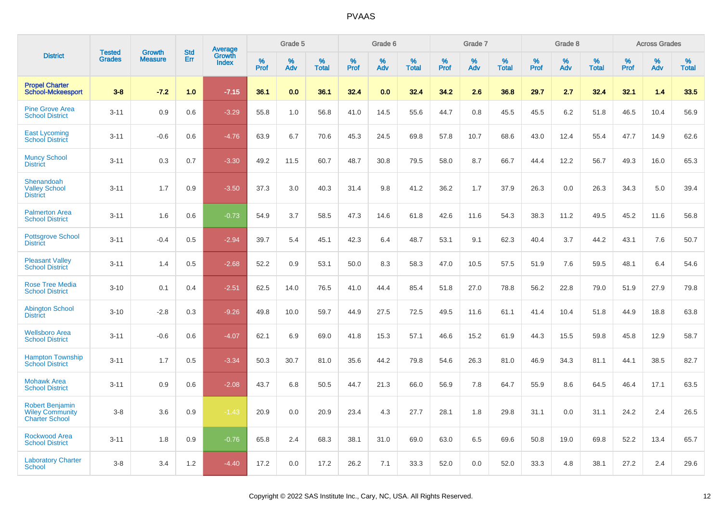|                                                                           |                                |                                 | <b>Std</b> | Average         |              | Grade 5     |                      |              | Grade 6     |                      |              | Grade 7     |                   |              | Grade 8     |                      |                     | <b>Across Grades</b> |                   |
|---------------------------------------------------------------------------|--------------------------------|---------------------------------|------------|-----------------|--------------|-------------|----------------------|--------------|-------------|----------------------|--------------|-------------|-------------------|--------------|-------------|----------------------|---------------------|----------------------|-------------------|
| <b>District</b>                                                           | <b>Tested</b><br><b>Grades</b> | <b>Growth</b><br><b>Measure</b> | Err        | Growth<br>Index | $\%$<br>Prof | $\%$<br>Adv | $\%$<br><b>Total</b> | $\%$<br>Prof | $\%$<br>Adv | $\%$<br><b>Total</b> | $\%$<br>Prof | $\%$<br>Adv | %<br><b>Total</b> | $\%$<br>Prof | $\%$<br>Adv | $\%$<br><b>Total</b> | $\%$<br><b>Prof</b> | $\%$<br>Adv          | %<br><b>Total</b> |
| <b>Propel Charter</b><br><b>School-Mckeesport</b>                         | $3 - 8$                        | $-7.2$                          | 1.0        | $-7.15$         | 36.1         | 0.0         | 36.1                 | 32.4         | 0.0         | 32.4                 | 34.2         | 2.6         | 36.8              | 29.7         | 2.7         | 32.4                 | 32.1                | 1.4                  | 33.5              |
| <b>Pine Grove Area</b><br><b>School District</b>                          | $3 - 11$                       | 0.9                             | 0.6        | $-3.29$         | 55.8         | 1.0         | 56.8                 | 41.0         | 14.5        | 55.6                 | 44.7         | 0.8         | 45.5              | 45.5         | 6.2         | 51.8                 | 46.5                | 10.4                 | 56.9              |
| <b>East Lycoming</b><br><b>School District</b>                            | $3 - 11$                       | $-0.6$                          | 0.6        | $-4.76$         | 63.9         | 6.7         | 70.6                 | 45.3         | 24.5        | 69.8                 | 57.8         | 10.7        | 68.6              | 43.0         | 12.4        | 55.4                 | 47.7                | 14.9                 | 62.6              |
| <b>Muncy School</b><br><b>District</b>                                    | $3 - 11$                       | 0.3                             | 0.7        | $-3.30$         | 49.2         | 11.5        | 60.7                 | 48.7         | 30.8        | 79.5                 | 58.0         | 8.7         | 66.7              | 44.4         | 12.2        | 56.7                 | 49.3                | 16.0                 | 65.3              |
| Shenandoah<br><b>Valley School</b><br><b>District</b>                     | $3 - 11$                       | 1.7                             | 0.9        | $-3.50$         | 37.3         | 3.0         | 40.3                 | 31.4         | 9.8         | 41.2                 | 36.2         | 1.7         | 37.9              | 26.3         | 0.0         | 26.3                 | 34.3                | 5.0                  | 39.4              |
| <b>Palmerton Area</b><br><b>School District</b>                           | $3 - 11$                       | 1.6                             | 0.6        | $-0.73$         | 54.9         | 3.7         | 58.5                 | 47.3         | 14.6        | 61.8                 | 42.6         | 11.6        | 54.3              | 38.3         | 11.2        | 49.5                 | 45.2                | 11.6                 | 56.8              |
| <b>Pottsgrove School</b><br><b>District</b>                               | $3 - 11$                       | $-0.4$                          | 0.5        | $-2.94$         | 39.7         | 5.4         | 45.1                 | 42.3         | 6.4         | 48.7                 | 53.1         | 9.1         | 62.3              | 40.4         | 3.7         | 44.2                 | 43.1                | 7.6                  | 50.7              |
| <b>Pleasant Valley</b><br><b>School District</b>                          | $3 - 11$                       | 1.4                             | 0.5        | $-2.68$         | 52.2         | 0.9         | 53.1                 | 50.0         | 8.3         | 58.3                 | 47.0         | 10.5        | 57.5              | 51.9         | 7.6         | 59.5                 | 48.1                | 6.4                  | 54.6              |
| <b>Rose Tree Media</b><br><b>School District</b>                          | $3 - 10$                       | 0.1                             | 0.4        | $-2.51$         | 62.5         | 14.0        | 76.5                 | 41.0         | 44.4        | 85.4                 | 51.8         | 27.0        | 78.8              | 56.2         | 22.8        | 79.0                 | 51.9                | 27.9                 | 79.8              |
| <b>Abington School</b><br><b>District</b>                                 | $3 - 10$                       | $-2.8$                          | 0.3        | $-9.26$         | 49.8         | 10.0        | 59.7                 | 44.9         | 27.5        | 72.5                 | 49.5         | 11.6        | 61.1              | 41.4         | 10.4        | 51.8                 | 44.9                | 18.8                 | 63.8              |
| <b>Wellsboro Area</b><br><b>School District</b>                           | $3 - 11$                       | $-0.6$                          | 0.6        | $-4.07$         | 62.1         | 6.9         | 69.0                 | 41.8         | 15.3        | 57.1                 | 46.6         | 15.2        | 61.9              | 44.3         | 15.5        | 59.8                 | 45.8                | 12.9                 | 58.7              |
| <b>Hampton Township</b><br><b>School District</b>                         | $3 - 11$                       | 1.7                             | 0.5        | $-3.34$         | 50.3         | 30.7        | 81.0                 | 35.6         | 44.2        | 79.8                 | 54.6         | 26.3        | 81.0              | 46.9         | 34.3        | 81.1                 | 44.1                | 38.5                 | 82.7              |
| <b>Mohawk Area</b><br><b>School District</b>                              | $3 - 11$                       | 0.9                             | 0.6        | $-2.08$         | 43.7         | 6.8         | 50.5                 | 44.7         | 21.3        | 66.0                 | 56.9         | 7.8         | 64.7              | 55.9         | 8.6         | 64.5                 | 46.4                | 17.1                 | 63.5              |
| <b>Robert Benjamin</b><br><b>Wiley Community</b><br><b>Charter School</b> | $3 - 8$                        | 3.6                             | 0.9        | $-1.43$         | 20.9         | 0.0         | 20.9                 | 23.4         | 4.3         | 27.7                 | 28.1         | 1.8         | 29.8              | 31.1         | 0.0         | 31.1                 | 24.2                | 2.4                  | 26.5              |
| <b>Rockwood Area</b><br><b>School District</b>                            | $3 - 11$                       | 1.8                             | 0.9        | $-0.76$         | 65.8         | 2.4         | 68.3                 | 38.1         | 31.0        | 69.0                 | 63.0         | 6.5         | 69.6              | 50.8         | 19.0        | 69.8                 | 52.2                | 13.4                 | 65.7              |
| <b>Laboratory Charter</b><br><b>School</b>                                | $3 - 8$                        | 3.4                             | 1.2        | $-4.40$         | 17.2         | 0.0         | 17.2                 | 26.2         | 7.1         | 33.3                 | 52.0         | 0.0         | 52.0              | 33.3         | 4.8         | 38.1                 | 27.2                | 2.4                  | 29.6              |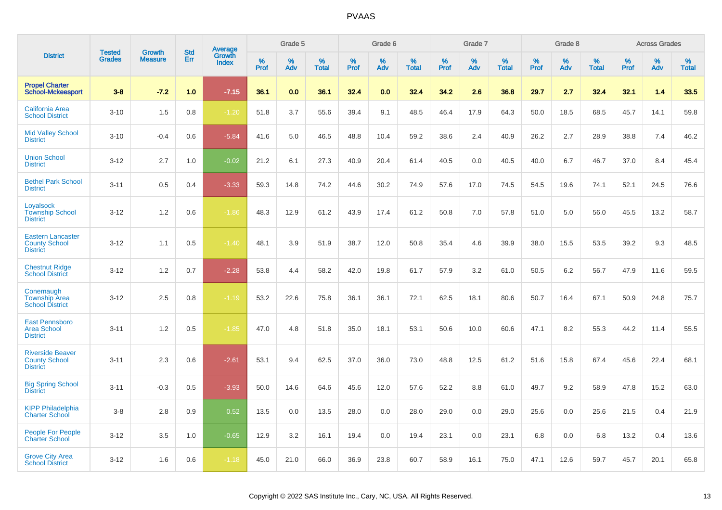|                                                                     |                                |                                 | <b>Std</b> | Average                |           | Grade 5  |                   |           | Grade 6  |                   |           | Grade 7  |                   |           | Grade 8  |                   |              | <b>Across Grades</b> |                   |
|---------------------------------------------------------------------|--------------------------------|---------------------------------|------------|------------------------|-----------|----------|-------------------|-----------|----------|-------------------|-----------|----------|-------------------|-----------|----------|-------------------|--------------|----------------------|-------------------|
| <b>District</b>                                                     | <b>Tested</b><br><b>Grades</b> | <b>Growth</b><br><b>Measure</b> | Err        | Growth<br><b>Index</b> | %<br>Prof | %<br>Adv | %<br><b>Total</b> | %<br>Prof | %<br>Adv | %<br><b>Total</b> | %<br>Prof | %<br>Adv | %<br><b>Total</b> | %<br>Prof | %<br>Adv | %<br><b>Total</b> | $\%$<br>Prof | %<br>Adv             | %<br><b>Total</b> |
| <b>Propel Charter</b><br><b>School-Mckeesport</b>                   | $3 - 8$                        | $-7.2$                          | 1.0        | $-7.15$                | 36.1      | 0.0      | 36.1              | 32.4      | 0.0      | 32.4              | 34.2      | 2.6      | 36.8              | 29.7      | 2.7      | 32.4              | 32.1         | 1.4                  | 33.5              |
| <b>California Area</b><br><b>School District</b>                    | $3 - 10$                       | 1.5                             | 0.8        | $-1.20$                | 51.8      | 3.7      | 55.6              | 39.4      | 9.1      | 48.5              | 46.4      | 17.9     | 64.3              | 50.0      | 18.5     | 68.5              | 45.7         | 14.1                 | 59.8              |
| <b>Mid Valley School</b><br><b>District</b>                         | $3 - 10$                       | $-0.4$                          | 0.6        | $-5.84$                | 41.6      | 5.0      | 46.5              | 48.8      | 10.4     | 59.2              | 38.6      | 2.4      | 40.9              | 26.2      | 2.7      | 28.9              | 38.8         | 7.4                  | 46.2              |
| <b>Union School</b><br><b>District</b>                              | $3 - 12$                       | 2.7                             | 1.0        | $-0.02$                | 21.2      | 6.1      | 27.3              | 40.9      | 20.4     | 61.4              | 40.5      | 0.0      | 40.5              | 40.0      | 6.7      | 46.7              | 37.0         | 8.4                  | 45.4              |
| <b>Bethel Park School</b><br><b>District</b>                        | $3 - 11$                       | 0.5                             | 0.4        | $-3.33$                | 59.3      | 14.8     | 74.2              | 44.6      | 30.2     | 74.9              | 57.6      | 17.0     | 74.5              | 54.5      | 19.6     | 74.1              | 52.1         | 24.5                 | 76.6              |
| Loyalsock<br><b>Township School</b><br><b>District</b>              | $3 - 12$                       | 1.2                             | 0.6        | $-1.86$                | 48.3      | 12.9     | 61.2              | 43.9      | 17.4     | 61.2              | 50.8      | 7.0      | 57.8              | 51.0      | 5.0      | 56.0              | 45.5         | 13.2                 | 58.7              |
| <b>Eastern Lancaster</b><br><b>County School</b><br><b>District</b> | $3 - 12$                       | 1.1                             | 0.5        | $-1.40$                | 48.1      | 3.9      | 51.9              | 38.7      | 12.0     | 50.8              | 35.4      | 4.6      | 39.9              | 38.0      | 15.5     | 53.5              | 39.2         | 9.3                  | 48.5              |
| <b>Chestnut Ridge</b><br><b>School District</b>                     | $3 - 12$                       | 1.2                             | 0.7        | $-2.28$                | 53.8      | 4.4      | 58.2              | 42.0      | 19.8     | 61.7              | 57.9      | 3.2      | 61.0              | 50.5      | 6.2      | 56.7              | 47.9         | 11.6                 | 59.5              |
| Conemaugh<br><b>Township Area</b><br><b>School District</b>         | $3 - 12$                       | 2.5                             | 0.8        | $-1.19$                | 53.2      | 22.6     | 75.8              | 36.1      | 36.1     | 72.1              | 62.5      | 18.1     | 80.6              | 50.7      | 16.4     | 67.1              | 50.9         | 24.8                 | 75.7              |
| <b>East Pennsboro</b><br><b>Area School</b><br><b>District</b>      | $3 - 11$                       | 1.2                             | 0.5        | $-1.85$                | 47.0      | 4.8      | 51.8              | 35.0      | 18.1     | 53.1              | 50.6      | 10.0     | 60.6              | 47.1      | 8.2      | 55.3              | 44.2         | 11.4                 | 55.5              |
| <b>Riverside Beaver</b><br><b>County School</b><br><b>District</b>  | $3 - 11$                       | 2.3                             | 0.6        | $-2.61$                | 53.1      | 9.4      | 62.5              | 37.0      | 36.0     | 73.0              | 48.8      | 12.5     | 61.2              | 51.6      | 15.8     | 67.4              | 45.6         | 22.4                 | 68.1              |
| <b>Big Spring School</b><br><b>District</b>                         | $3 - 11$                       | $-0.3$                          | 0.5        | $-3.93$                | 50.0      | 14.6     | 64.6              | 45.6      | 12.0     | 57.6              | 52.2      | 8.8      | 61.0              | 49.7      | 9.2      | 58.9              | 47.8         | 15.2                 | 63.0              |
| <b>KIPP Philadelphia</b><br><b>Charter School</b>                   | $3-8$                          | 2.8                             | 0.9        | 0.52                   | 13.5      | 0.0      | 13.5              | 28.0      | 0.0      | 28.0              | 29.0      | 0.0      | 29.0              | 25.6      | 0.0      | 25.6              | 21.5         | 0.4                  | 21.9              |
| <b>People For People</b><br><b>Charter School</b>                   | $3 - 12$                       | 3.5                             | 1.0        | $-0.65$                | 12.9      | 3.2      | 16.1              | 19.4      | 0.0      | 19.4              | 23.1      | 0.0      | 23.1              | 6.8       | 0.0      | 6.8               | 13.2         | 0.4                  | 13.6              |
| <b>Grove City Area</b><br><b>School District</b>                    | $3 - 12$                       | 1.6                             | 0.6        | $-1.18$                | 45.0      | 21.0     | 66.0              | 36.9      | 23.8     | 60.7              | 58.9      | 16.1     | 75.0              | 47.1      | 12.6     | 59.7              | 45.7         | 20.1                 | 65.8              |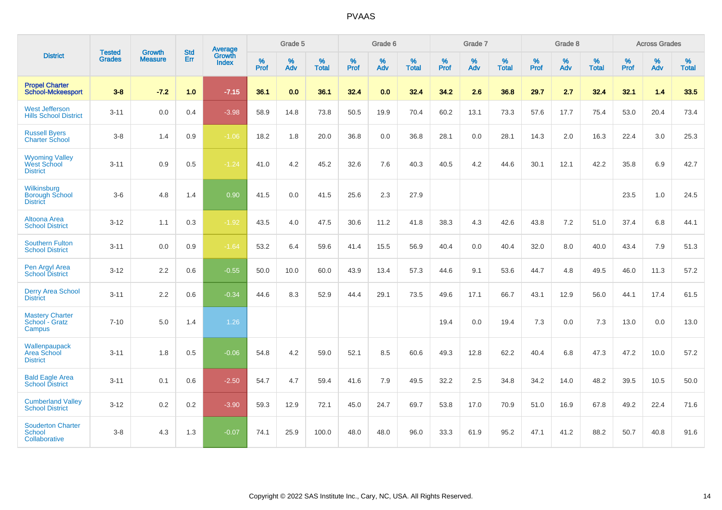|                                                         | <b>Tested</b> | <b>Growth</b>  | <b>Std</b> | Average                |           | Grade 5  |                   |           | Grade 6  |                   |           | Grade 7  |                   |           | Grade 8  |                   |           | <b>Across Grades</b> |                   |
|---------------------------------------------------------|---------------|----------------|------------|------------------------|-----------|----------|-------------------|-----------|----------|-------------------|-----------|----------|-------------------|-----------|----------|-------------------|-----------|----------------------|-------------------|
| <b>District</b>                                         | <b>Grades</b> | <b>Measure</b> | <b>Err</b> | Growth<br><b>Index</b> | %<br>Prof | %<br>Adv | %<br><b>Total</b> | %<br>Prof | %<br>Adv | %<br><b>Total</b> | %<br>Prof | %<br>Adv | %<br><b>Total</b> | %<br>Prof | %<br>Adv | %<br><b>Total</b> | %<br>Prof | %<br>Adv             | %<br><b>Total</b> |
| <b>Propel Charter</b><br><b>School-Mckeesport</b>       | $3 - 8$       | $-7.2$         | 1.0        | $-7.15$                | 36.1      | 0.0      | 36.1              | 32.4      | 0.0      | 32.4              | 34.2      | 2.6      | 36.8              | 29.7      | 2.7      | 32.4              | 32.1      | 1.4                  | 33.5              |
| <b>West Jefferson</b><br><b>Hills School District</b>   | $3 - 11$      | 0.0            | 0.4        | $-3.98$                | 58.9      | 14.8     | 73.8              | 50.5      | 19.9     | 70.4              | 60.2      | 13.1     | 73.3              | 57.6      | 17.7     | 75.4              | 53.0      | 20.4                 | 73.4              |
| <b>Russell Byers</b><br><b>Charter School</b>           | $3 - 8$       | 1.4            | 0.9        | $-1.06$                | 18.2      | 1.8      | 20.0              | 36.8      | 0.0      | 36.8              | 28.1      | 0.0      | 28.1              | 14.3      | 2.0      | 16.3              | 22.4      | 3.0                  | 25.3              |
| <b>Wyoming Valley</b><br>West School<br><b>District</b> | $3 - 11$      | 0.9            | 0.5        | $-1.24$                | 41.0      | 4.2      | 45.2              | 32.6      | 7.6      | 40.3              | 40.5      | 4.2      | 44.6              | 30.1      | 12.1     | 42.2              | 35.8      | 6.9                  | 42.7              |
| Wilkinsburg<br><b>Borough School</b><br><b>District</b> | $3-6$         | 4.8            | 1.4        | 0.90                   | 41.5      | 0.0      | 41.5              | 25.6      | 2.3      | 27.9              |           |          |                   |           |          |                   | 23.5      | 1.0                  | 24.5              |
| <b>Altoona Area</b><br><b>School District</b>           | $3 - 12$      | 1.1            | 0.3        | $-1.92$                | 43.5      | 4.0      | 47.5              | 30.6      | 11.2     | 41.8              | 38.3      | 4.3      | 42.6              | 43.8      | 7.2      | 51.0              | 37.4      | 6.8                  | 44.1              |
| <b>Southern Fulton</b><br><b>School District</b>        | $3 - 11$      | 0.0            | 0.9        | $-1.64$                | 53.2      | 6.4      | 59.6              | 41.4      | 15.5     | 56.9              | 40.4      | 0.0      | 40.4              | 32.0      | 8.0      | 40.0              | 43.4      | 7.9                  | 51.3              |
| Pen Argyl Area<br><b>School District</b>                | $3 - 12$      | 2.2            | 0.6        | $-0.55$                | 50.0      | 10.0     | 60.0              | 43.9      | 13.4     | 57.3              | 44.6      | 9.1      | 53.6              | 44.7      | 4.8      | 49.5              | 46.0      | 11.3                 | 57.2              |
| <b>Derry Area School</b><br><b>District</b>             | $3 - 11$      | 2.2            | 0.6        | $-0.34$                | 44.6      | 8.3      | 52.9              | 44.4      | 29.1     | 73.5              | 49.6      | 17.1     | 66.7              | 43.1      | 12.9     | 56.0              | 44.1      | 17.4                 | 61.5              |
| <b>Mastery Charter</b><br>School - Gratz<br>Campus      | $7 - 10$      | 5.0            | 1.4        | 1.26                   |           |          |                   |           |          |                   | 19.4      | 0.0      | 19.4              | 7.3       | 0.0      | 7.3               | 13.0      | 0.0                  | 13.0              |
| Wallenpaupack<br>Area School<br><b>District</b>         | $3 - 11$      | 1.8            | 0.5        | $-0.06$                | 54.8      | 4.2      | 59.0              | 52.1      | 8.5      | 60.6              | 49.3      | 12.8     | 62.2              | 40.4      | 6.8      | 47.3              | 47.2      | 10.0                 | 57.2              |
| <b>Bald Eagle Area</b><br><b>School District</b>        | $3 - 11$      | 0.1            | 0.6        | $-2.50$                | 54.7      | 4.7      | 59.4              | 41.6      | 7.9      | 49.5              | 32.2      | 2.5      | 34.8              | 34.2      | 14.0     | 48.2              | 39.5      | 10.5                 | 50.0              |
| <b>Cumberland Valley</b><br><b>School District</b>      | $3 - 12$      | $0.2\,$        | 0.2        | $-3.90$                | 59.3      | 12.9     | 72.1              | 45.0      | 24.7     | 69.7              | 53.8      | 17.0     | 70.9              | 51.0      | 16.9     | 67.8              | 49.2      | 22.4                 | 71.6              |
| <b>Souderton Charter</b><br>School<br>Collaborative     | $3 - 8$       | 4.3            | 1.3        | $-0.07$                | 74.1      | 25.9     | 100.0             | 48.0      | 48.0     | 96.0              | 33.3      | 61.9     | 95.2              | 47.1      | 41.2     | 88.2              | 50.7      | 40.8                 | 91.6              |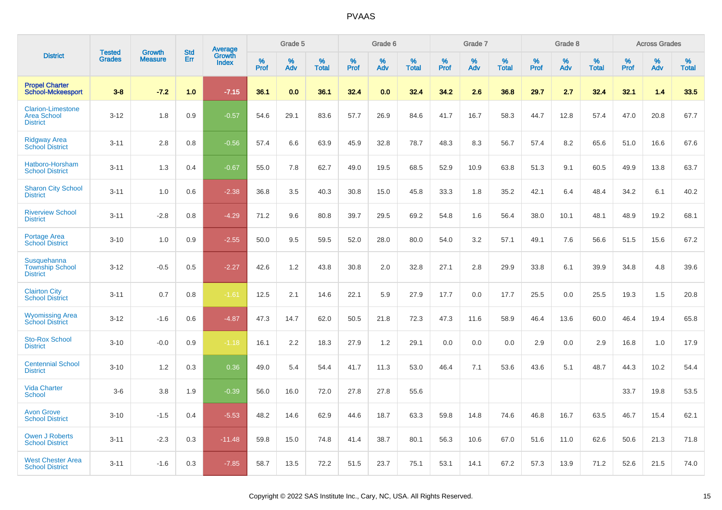|                                                                   | <b>Tested</b> | <b>Growth</b>  | <b>Std</b> | Average                |              | Grade 5  |                   |           | Grade 6  |                   |              | Grade 7  |                   |              | Grade 8  |                   |              | <b>Across Grades</b> |                   |
|-------------------------------------------------------------------|---------------|----------------|------------|------------------------|--------------|----------|-------------------|-----------|----------|-------------------|--------------|----------|-------------------|--------------|----------|-------------------|--------------|----------------------|-------------------|
| <b>District</b>                                                   | <b>Grades</b> | <b>Measure</b> | Err        | Growth<br><b>Index</b> | $\%$<br>Prof | %<br>Adv | %<br><b>Total</b> | %<br>Prof | %<br>Adv | %<br><b>Total</b> | $\%$<br>Prof | %<br>Adv | %<br><b>Total</b> | $\%$<br>Prof | %<br>Adv | %<br><b>Total</b> | $\%$<br>Prof | %<br>Adv             | %<br><b>Total</b> |
| <b>Propel Charter</b><br><b>School-Mckeesport</b>                 | $3 - 8$       | $-7.2$         | 1.0        | $-7.15$                | 36.1         | 0.0      | 36.1              | 32.4      | 0.0      | 32.4              | 34.2         | 2.6      | 36.8              | 29.7         | 2.7      | 32.4              | 32.1         | 1.4                  | 33.5              |
| <b>Clarion-Limestone</b><br><b>Area School</b><br><b>District</b> | $3 - 12$      | 1.8            | 0.9        | $-0.57$                | 54.6         | 29.1     | 83.6              | 57.7      | 26.9     | 84.6              | 41.7         | 16.7     | 58.3              | 44.7         | 12.8     | 57.4              | 47.0         | 20.8                 | 67.7              |
| <b>Ridgway Area</b><br><b>School District</b>                     | $3 - 11$      | 2.8            | 0.8        | $-0.56$                | 57.4         | 6.6      | 63.9              | 45.9      | 32.8     | 78.7              | 48.3         | 8.3      | 56.7              | 57.4         | 8.2      | 65.6              | 51.0         | 16.6                 | 67.6              |
| Hatboro-Horsham<br><b>School District</b>                         | $3 - 11$      | 1.3            | 0.4        | $-0.67$                | 55.0         | 7.8      | 62.7              | 49.0      | 19.5     | 68.5              | 52.9         | 10.9     | 63.8              | 51.3         | 9.1      | 60.5              | 49.9         | 13.8                 | 63.7              |
| <b>Sharon City School</b><br><b>District</b>                      | $3 - 11$      | 1.0            | 0.6        | $-2.38$                | 36.8         | 3.5      | 40.3              | 30.8      | 15.0     | 45.8              | 33.3         | 1.8      | 35.2              | 42.1         | 6.4      | 48.4              | 34.2         | 6.1                  | 40.2              |
| <b>Riverview School</b><br><b>District</b>                        | $3 - 11$      | $-2.8$         | 0.8        | $-4.29$                | 71.2         | 9.6      | 80.8              | 39.7      | 29.5     | 69.2              | 54.8         | 1.6      | 56.4              | 38.0         | 10.1     | 48.1              | 48.9         | 19.2                 | 68.1              |
| <b>Portage Area</b><br><b>School District</b>                     | $3 - 10$      | 1.0            | 0.9        | $-2.55$                | 50.0         | 9.5      | 59.5              | 52.0      | 28.0     | 80.0              | 54.0         | 3.2      | 57.1              | 49.1         | 7.6      | 56.6              | 51.5         | 15.6                 | 67.2              |
| Susquehanna<br><b>Township School</b><br><b>District</b>          | $3 - 12$      | $-0.5$         | 0.5        | $-2.27$                | 42.6         | 1.2      | 43.8              | 30.8      | 2.0      | 32.8              | 27.1         | 2.8      | 29.9              | 33.8         | 6.1      | 39.9              | 34.8         | 4.8                  | 39.6              |
| <b>Clairton City</b><br><b>School District</b>                    | $3 - 11$      | 0.7            | 0.8        | $-1.61$                | 12.5         | 2.1      | 14.6              | 22.1      | 5.9      | 27.9              | 17.7         | 0.0      | 17.7              | 25.5         | 0.0      | 25.5              | 19.3         | 1.5                  | 20.8              |
| <b>Wyomissing Area</b><br><b>School District</b>                  | $3 - 12$      | $-1.6$         | 0.6        | $-4.87$                | 47.3         | 14.7     | 62.0              | 50.5      | 21.8     | 72.3              | 47.3         | 11.6     | 58.9              | 46.4         | 13.6     | 60.0              | 46.4         | 19.4                 | 65.8              |
| <b>Sto-Rox School</b><br><b>District</b>                          | $3 - 10$      | $-0.0$         | 0.9        | $-1.18$                | 16.1         | 2.2      | 18.3              | 27.9      | 1.2      | 29.1              | 0.0          | 0.0      | 0.0               | 2.9          | 0.0      | 2.9               | 16.8         | 1.0                  | 17.9              |
| <b>Centennial School</b><br><b>District</b>                       | $3 - 10$      | 1.2            | 0.3        | 0.36                   | 49.0         | 5.4      | 54.4              | 41.7      | 11.3     | 53.0              | 46.4         | 7.1      | 53.6              | 43.6         | 5.1      | 48.7              | 44.3         | 10.2                 | 54.4              |
| <b>Vida Charter</b><br><b>School</b>                              | $3-6$         | 3.8            | 1.9        | $-0.39$                | 56.0         | 16.0     | 72.0              | 27.8      | 27.8     | 55.6              |              |          |                   |              |          |                   | 33.7         | 19.8                 | 53.5              |
| <b>Avon Grove</b><br><b>School District</b>                       | $3 - 10$      | $-1.5$         | 0.4        | $-5.53$                | 48.2         | 14.6     | 62.9              | 44.6      | 18.7     | 63.3              | 59.8         | 14.8     | 74.6              | 46.8         | 16.7     | 63.5              | 46.7         | 15.4                 | 62.1              |
| <b>Owen J Roberts</b><br><b>School District</b>                   | $3 - 11$      | $-2.3$         | 0.3        | $-11.48$               | 59.8         | 15.0     | 74.8              | 41.4      | 38.7     | 80.1              | 56.3         | 10.6     | 67.0              | 51.6         | 11.0     | 62.6              | 50.6         | 21.3                 | 71.8              |
| <b>West Chester Area</b><br><b>School District</b>                | $3 - 11$      | $-1.6$         | 0.3        | $-7.85$                | 58.7         | 13.5     | 72.2              | 51.5      | 23.7     | 75.1              | 53.1         | 14.1     | 67.2              | 57.3         | 13.9     | 71.2              | 52.6         | 21.5                 | 74.0              |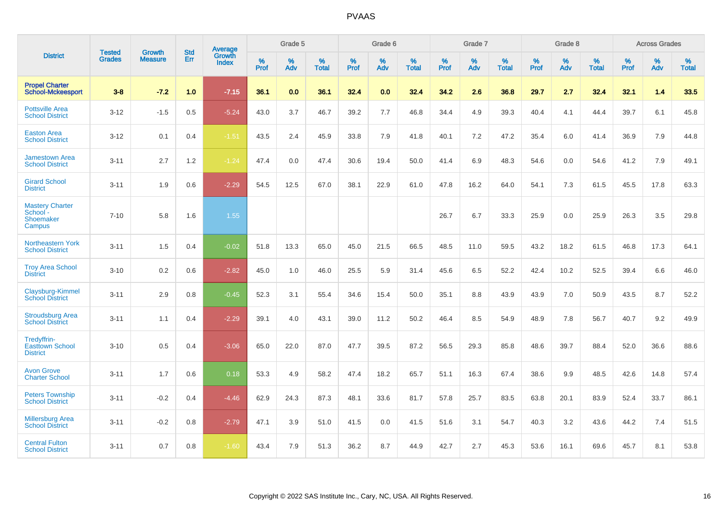|                                                           | <b>Tested</b> | <b>Growth</b>  | <b>Std</b> | Average                |           | Grade 5  |                   |           | Grade 6  |                   |           | Grade 7  |                   |           | Grade 8  |                   |           | <b>Across Grades</b> |                   |
|-----------------------------------------------------------|---------------|----------------|------------|------------------------|-----------|----------|-------------------|-----------|----------|-------------------|-----------|----------|-------------------|-----------|----------|-------------------|-----------|----------------------|-------------------|
| <b>District</b>                                           | <b>Grades</b> | <b>Measure</b> | Err        | Growth<br><b>Index</b> | %<br>Prof | %<br>Adv | %<br><b>Total</b> | %<br>Prof | %<br>Adv | %<br><b>Total</b> | %<br>Prof | %<br>Adv | %<br><b>Total</b> | %<br>Prof | %<br>Adv | %<br><b>Total</b> | %<br>Prof | %<br>Adv             | %<br><b>Total</b> |
| <b>Propel Charter</b><br><b>School-Mckeesport</b>         | $3 - 8$       | $-7.2$         | 1.0        | $-7.15$                | 36.1      | 0.0      | 36.1              | 32.4      | 0.0      | 32.4              | 34.2      | 2.6      | 36.8              | 29.7      | 2.7      | 32.4              | 32.1      | 1.4                  | 33.5              |
| <b>Pottsville Area</b><br><b>School District</b>          | $3 - 12$      | $-1.5$         | 0.5        | $-5.24$                | 43.0      | 3.7      | 46.7              | 39.2      | 7.7      | 46.8              | 34.4      | 4.9      | 39.3              | 40.4      | 4.1      | 44.4              | 39.7      | 6.1                  | 45.8              |
| <b>Easton Area</b><br><b>School District</b>              | $3 - 12$      | 0.1            | 0.4        | $-1.51$                | 43.5      | 2.4      | 45.9              | 33.8      | 7.9      | 41.8              | 40.1      | 7.2      | 47.2              | 35.4      | 6.0      | 41.4              | 36.9      | 7.9                  | 44.8              |
| <b>Jamestown Area</b><br><b>School District</b>           | $3 - 11$      | 2.7            | 1.2        | $-1.24$                | 47.4      | 0.0      | 47.4              | 30.6      | 19.4     | 50.0              | 41.4      | 6.9      | 48.3              | 54.6      | 0.0      | 54.6              | 41.2      | 7.9                  | 49.1              |
| <b>Girard School</b><br><b>District</b>                   | $3 - 11$      | 1.9            | 0.6        | $-2.29$                | 54.5      | 12.5     | 67.0              | 38.1      | 22.9     | 61.0              | 47.8      | 16.2     | 64.0              | 54.1      | 7.3      | 61.5              | 45.5      | 17.8                 | 63.3              |
| <b>Mastery Charter</b><br>School -<br>Shoemaker<br>Campus | $7 - 10$      | 5.8            | 1.6        | 1.55                   |           |          |                   |           |          |                   | 26.7      | 6.7      | 33.3              | 25.9      | 0.0      | 25.9              | 26.3      | 3.5                  | 29.8              |
| <b>Northeastern York</b><br><b>School District</b>        | $3 - 11$      | 1.5            | 0.4        | $-0.02$                | 51.8      | 13.3     | 65.0              | 45.0      | 21.5     | 66.5              | 48.5      | 11.0     | 59.5              | 43.2      | 18.2     | 61.5              | 46.8      | 17.3                 | 64.1              |
| <b>Troy Area School</b><br><b>District</b>                | $3 - 10$      | 0.2            | 0.6        | $-2.82$                | 45.0      | 1.0      | 46.0              | 25.5      | 5.9      | 31.4              | 45.6      | 6.5      | 52.2              | 42.4      | 10.2     | 52.5              | 39.4      | 6.6                  | 46.0              |
| Claysburg-Kimmel<br><b>School District</b>                | $3 - 11$      | 2.9            | 0.8        | $-0.45$                | 52.3      | 3.1      | 55.4              | 34.6      | 15.4     | 50.0              | 35.1      | 8.8      | 43.9              | 43.9      | 7.0      | 50.9              | 43.5      | 8.7                  | 52.2              |
| <b>Stroudsburg Area</b><br><b>School District</b>         | $3 - 11$      | 1.1            | 0.4        | $-2.29$                | 39.1      | 4.0      | 43.1              | 39.0      | 11.2     | 50.2              | 46.4      | 8.5      | 54.9              | 48.9      | 7.8      | 56.7              | 40.7      | 9.2                  | 49.9              |
| Tredyffrin-<br><b>Easttown School</b><br><b>District</b>  | $3 - 10$      | 0.5            | 0.4        | $-3.06$                | 65.0      | 22.0     | 87.0              | 47.7      | 39.5     | 87.2              | 56.5      | 29.3     | 85.8              | 48.6      | 39.7     | 88.4              | 52.0      | 36.6                 | 88.6              |
| <b>Avon Grove</b><br><b>Charter School</b>                | $3 - 11$      | 1.7            | 0.6        | 0.18                   | 53.3      | 4.9      | 58.2              | 47.4      | 18.2     | 65.7              | 51.1      | 16.3     | 67.4              | 38.6      | 9.9      | 48.5              | 42.6      | 14.8                 | 57.4              |
| <b>Peters Township</b><br><b>School District</b>          | $3 - 11$      | $-0.2$         | 0.4        | $-4.46$                | 62.9      | 24.3     | 87.3              | 48.1      | 33.6     | 81.7              | 57.8      | 25.7     | 83.5              | 63.8      | 20.1     | 83.9              | 52.4      | 33.7                 | 86.1              |
| <b>Millersburg Area</b><br><b>School District</b>         | $3 - 11$      | $-0.2$         | 0.8        | $-2.79$                | 47.1      | 3.9      | 51.0              | 41.5      | 0.0      | 41.5              | 51.6      | 3.1      | 54.7              | 40.3      | 3.2      | 43.6              | 44.2      | 7.4                  | 51.5              |
| <b>Central Fulton</b><br><b>School District</b>           | $3 - 11$      | 0.7            | 0.8        | $-1.60$                | 43.4      | 7.9      | 51.3              | 36.2      | 8.7      | 44.9              | 42.7      | 2.7      | 45.3              | 53.6      | 16.1     | 69.6              | 45.7      | 8.1                  | 53.8              |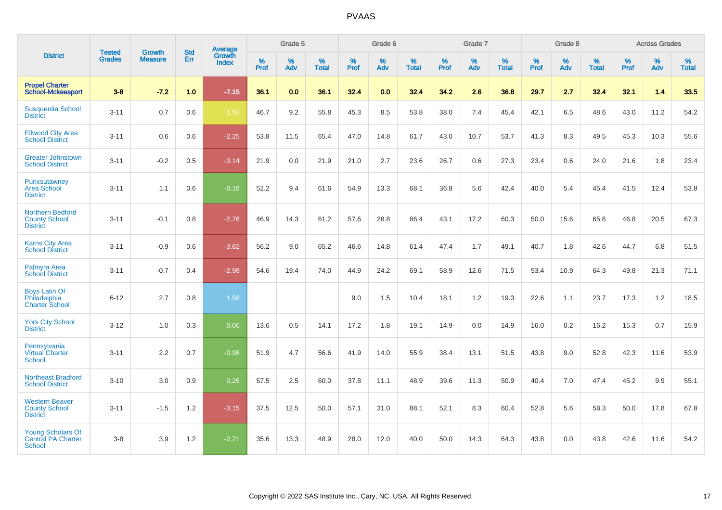|                                                                        |                                |                          | <b>Std</b> | <b>Average</b>         |           | Grade 5  |                   |           | Grade 6  |                   |           | Grade 7  |                   |           | Grade 8  |                   |           | <b>Across Grades</b> |                   |
|------------------------------------------------------------------------|--------------------------------|--------------------------|------------|------------------------|-----------|----------|-------------------|-----------|----------|-------------------|-----------|----------|-------------------|-----------|----------|-------------------|-----------|----------------------|-------------------|
| <b>District</b>                                                        | <b>Tested</b><br><b>Grades</b> | Growth<br><b>Measure</b> | Err        | Growth<br><b>Index</b> | %<br>Prof | %<br>Adv | %<br><b>Total</b> | %<br>Prof | %<br>Adv | %<br><b>Total</b> | %<br>Prof | %<br>Adv | %<br><b>Total</b> | %<br>Prof | %<br>Adv | %<br><b>Total</b> | %<br>Prof | %<br>Adv             | %<br><b>Total</b> |
| <b>Propel Charter</b><br><b>School-Mckeesport</b>                      | $3 - 8$                        | $-7.2$                   | 1.0        | $-7.15$                | 36.1      | 0.0      | 36.1              | 32.4      | 0.0      | 32.4              | 34.2      | 2.6      | 36.8              | 29.7      | 2.7      | 32.4              | 32.1      | 1.4                  | 33.5              |
| <b>Susquenita School</b><br><b>District</b>                            | $3 - 11$                       | 0.7                      | 0.6        | $-1.50$                | 46.7      | 9.2      | 55.8              | 45.3      | 8.5      | 53.8              | 38.0      | 7.4      | 45.4              | 42.1      | 6.5      | 48.6              | 43.0      | 11.2                 | 54.2              |
| <b>Ellwood City Area</b><br><b>School District</b>                     | $3 - 11$                       | 0.6                      | 0.6        | $-2.25$                | 53.8      | 11.5     | 65.4              | 47.0      | 14.8     | 61.7              | 43.0      | 10.7     | 53.7              | 41.3      | 8.3      | 49.5              | 45.3      | 10.3                 | 55.6              |
| <b>Greater Johnstown</b><br><b>School District</b>                     | $3 - 11$                       | $-0.2$                   | 0.5        | $-3.14$                | 21.9      | 0.0      | 21.9              | 21.0      | 2.7      | 23.6              | 26.7      | 0.6      | 27.3              | 23.4      | 0.6      | 24.0              | 21.6      | 1.8                  | 23.4              |
| Punxsutawney<br><b>Area School</b><br><b>District</b>                  | $3 - 11$                       | 1.1                      | 0.6        | $-0.16$                | 52.2      | 9.4      | 61.6              | 54.9      | 13.3     | 68.1              | 36.8      | 5.6      | 42.4              | 40.0      | 5.4      | 45.4              | 41.5      | 12.4                 | 53.8              |
| <b>Northern Bedford</b><br><b>County School</b><br><b>District</b>     | $3 - 11$                       | $-0.1$                   | 0.8        | $-2.76$                | 46.9      | 14.3     | 61.2              | 57.6      | 28.8     | 86.4              | 43.1      | 17.2     | 60.3              | 50.0      | 15.6     | 65.6              | 46.8      | 20.5                 | 67.3              |
| <b>Karns City Area</b><br><b>School District</b>                       | $3 - 11$                       | $-0.9$                   | 0.6        | $-3.82$                | 56.2      | 9.0      | 65.2              | 46.6      | 14.8     | 61.4              | 47.4      | 1.7      | 49.1              | 40.7      | 1.8      | 42.6              | 44.7      | 6.8                  | 51.5              |
| Palmyra Area<br><b>School District</b>                                 | $3 - 11$                       | $-0.7$                   | 0.4        | $-2.98$                | 54.6      | 19.4     | 74.0              | 44.9      | 24.2     | 69.1              | 58.9      | 12.6     | 71.5              | 53.4      | 10.9     | 64.3              | 49.8      | 21.3                 | 71.1              |
| <b>Boys Latin Of</b><br>Philadelphia<br><b>Charter School</b>          | $6 - 12$                       | 2.7                      | 0.8        | 1.58                   |           |          |                   | 9.0       | 1.5      | 10.4              | 18.1      | 1.2      | 19.3              | 22.6      | 1.1      | 23.7              | 17.3      | 1.2                  | 18.5              |
| <b>York City School</b><br><b>District</b>                             | $3 - 12$                       | 1.0                      | 0.3        | 0.06                   | 13.6      | 0.5      | 14.1              | 17.2      | 1.8      | 19.1              | 14.9      | 0.0      | 14.9              | 16.0      | 0.2      | 16.2              | 15.3      | 0.7                  | 15.9              |
| Pennsylvania<br><b>Virtual Charter</b><br><b>School</b>                | $3 - 11$                       | 2.2                      | 0.7        | $-0.98$                | 51.9      | 4.7      | 56.6              | 41.9      | 14.0     | 55.9              | 38.4      | 13.1     | 51.5              | 43.8      | 9.0      | 52.8              | 42.3      | 11.6                 | 53.9              |
| <b>Northeast Bradford</b><br><b>School District</b>                    | $3 - 10$                       | 3.0                      | 0.9        | 0.26                   | 57.5      | 2.5      | 60.0              | 37.8      | 11.1     | 48.9              | 39.6      | 11.3     | 50.9              | 40.4      | 7.0      | 47.4              | 45.2      | 9.9                  | 55.1              |
| <b>Western Beaver</b><br><b>County School</b><br><b>District</b>       | $3 - 11$                       | $-1.5$                   | 1.2        | $-3.15$                | 37.5      | 12.5     | 50.0              | 57.1      | 31.0     | 88.1              | 52.1      | 8.3      | 60.4              | 52.8      | 5.6      | 58.3              | 50.0      | 17.8                 | 67.8              |
| <b>Young Scholars Of</b><br><b>Central PA Charter</b><br><b>School</b> | $3-8$                          | 3.9                      | 1.2        | $-0.71$                | 35.6      | 13.3     | 48.9              | 28.0      | 12.0     | 40.0              | 50.0      | 14.3     | 64.3              | 43.8      | 0.0      | 43.8              | 42.6      | 11.6                 | 54.2              |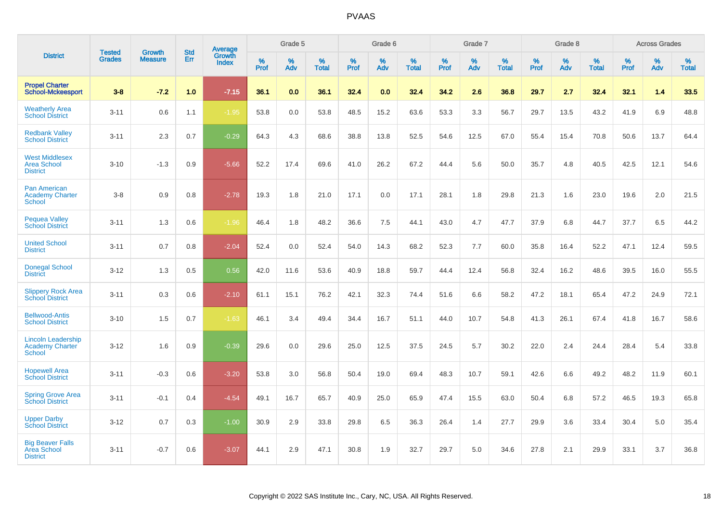|                                                                      |                                |                                 | <b>Std</b> | Average         |           | Grade 5  |                   |           | Grade 6  |                   |           | Grade 7  |                   |           | Grade 8  |                   |              | <b>Across Grades</b> |                   |
|----------------------------------------------------------------------|--------------------------------|---------------------------------|------------|-----------------|-----------|----------|-------------------|-----------|----------|-------------------|-----------|----------|-------------------|-----------|----------|-------------------|--------------|----------------------|-------------------|
| <b>District</b>                                                      | <b>Tested</b><br><b>Grades</b> | <b>Growth</b><br><b>Measure</b> | Err        | Growth<br>Index | %<br>Prof | %<br>Adv | %<br><b>Total</b> | %<br>Prof | %<br>Adv | %<br><b>Total</b> | %<br>Prof | %<br>Adv | %<br><b>Total</b> | %<br>Prof | %<br>Adv | %<br><b>Total</b> | $\%$<br>Prof | %<br>Adv             | %<br><b>Total</b> |
| <b>Propel Charter</b><br><b>School-Mckeesport</b>                    | $3 - 8$                        | $-7.2$                          | 1.0        | $-7.15$         | 36.1      | 0.0      | 36.1              | 32.4      | 0.0      | 32.4              | 34.2      | 2.6      | 36.8              | 29.7      | 2.7      | 32.4              | 32.1         | 1.4                  | 33.5              |
| <b>Weatherly Area</b><br><b>School District</b>                      | $3 - 11$                       | 0.6                             | 1.1        | $-1.95$         | 53.8      | 0.0      | 53.8              | 48.5      | 15.2     | 63.6              | 53.3      | 3.3      | 56.7              | 29.7      | 13.5     | 43.2              | 41.9         | 6.9                  | 48.8              |
| <b>Redbank Valley</b><br><b>School District</b>                      | $3 - 11$                       | 2.3                             | 0.7        | $-0.29$         | 64.3      | 4.3      | 68.6              | 38.8      | 13.8     | 52.5              | 54.6      | 12.5     | 67.0              | 55.4      | 15.4     | 70.8              | 50.6         | 13.7                 | 64.4              |
| <b>West Middlesex</b><br><b>Area School</b><br><b>District</b>       | $3 - 10$                       | $-1.3$                          | 0.9        | $-5.66$         | 52.2      | 17.4     | 69.6              | 41.0      | 26.2     | 67.2              | 44.4      | 5.6      | 50.0              | 35.7      | 4.8      | 40.5              | 42.5         | 12.1                 | 54.6              |
| <b>Pan American</b><br><b>Academy Charter</b><br><b>School</b>       | $3 - 8$                        | 0.9                             | 0.8        | $-2.78$         | 19.3      | 1.8      | 21.0              | 17.1      | 0.0      | 17.1              | 28.1      | 1.8      | 29.8              | 21.3      | 1.6      | 23.0              | 19.6         | 2.0                  | 21.5              |
| <b>Pequea Valley</b><br><b>School District</b>                       | $3 - 11$                       | 1.3                             | 0.6        | $-1.96$         | 46.4      | 1.8      | 48.2              | 36.6      | 7.5      | 44.1              | 43.0      | 4.7      | 47.7              | 37.9      | 6.8      | 44.7              | 37.7         | 6.5                  | 44.2              |
| <b>United School</b><br><b>District</b>                              | $3 - 11$                       | 0.7                             | 0.8        | $-2.04$         | 52.4      | 0.0      | 52.4              | 54.0      | 14.3     | 68.2              | 52.3      | 7.7      | 60.0              | 35.8      | 16.4     | 52.2              | 47.1         | 12.4                 | 59.5              |
| <b>Donegal School</b><br><b>District</b>                             | $3 - 12$                       | 1.3                             | 0.5        | 0.56            | 42.0      | 11.6     | 53.6              | 40.9      | 18.8     | 59.7              | 44.4      | 12.4     | 56.8              | 32.4      | 16.2     | 48.6              | 39.5         | 16.0                 | 55.5              |
| <b>Slippery Rock Area</b><br><b>School District</b>                  | $3 - 11$                       | 0.3                             | 0.6        | $-2.10$         | 61.1      | 15.1     | 76.2              | 42.1      | 32.3     | 74.4              | 51.6      | 6.6      | 58.2              | 47.2      | 18.1     | 65.4              | 47.2         | 24.9                 | 72.1              |
| <b>Bellwood-Antis</b><br><b>School District</b>                      | $3 - 10$                       | 1.5                             | 0.7        | $-1.63$         | 46.1      | 3.4      | 49.4              | 34.4      | 16.7     | 51.1              | 44.0      | 10.7     | 54.8              | 41.3      | 26.1     | 67.4              | 41.8         | 16.7                 | 58.6              |
| <b>Lincoln Leadership</b><br><b>Academy Charter</b><br><b>School</b> | $3 - 12$                       | 1.6                             | 0.9        | $-0.39$         | 29.6      | 0.0      | 29.6              | 25.0      | 12.5     | 37.5              | 24.5      | 5.7      | 30.2              | 22.0      | 2.4      | 24.4              | 28.4         | 5.4                  | 33.8              |
| <b>Hopewell Area</b><br><b>School District</b>                       | $3 - 11$                       | $-0.3$                          | 0.6        | $-3.20$         | 53.8      | 3.0      | 56.8              | 50.4      | 19.0     | 69.4              | 48.3      | 10.7     | 59.1              | 42.6      | 6.6      | 49.2              | 48.2         | 11.9                 | 60.1              |
| <b>Spring Grove Area</b><br><b>School District</b>                   | $3 - 11$                       | $-0.1$                          | 0.4        | $-4.54$         | 49.1      | 16.7     | 65.7              | 40.9      | 25.0     | 65.9              | 47.4      | 15.5     | 63.0              | 50.4      | 6.8      | 57.2              | 46.5         | 19.3                 | 65.8              |
| <b>Upper Darby</b><br><b>School District</b>                         | $3 - 12$                       | 0.7                             | 0.3        | $-1.00$         | 30.9      | 2.9      | 33.8              | 29.8      | 6.5      | 36.3              | 26.4      | 1.4      | 27.7              | 29.9      | 3.6      | 33.4              | 30.4         | 5.0                  | 35.4              |
| <b>Big Beaver Falls</b><br>Area School<br><b>District</b>            | $3 - 11$                       | $-0.7$                          | 0.6        | $-3.07$         | 44.1      | 2.9      | 47.1              | 30.8      | 1.9      | 32.7              | 29.7      | 5.0      | 34.6              | 27.8      | 2.1      | 29.9              | 33.1         | 3.7                  | 36.8              |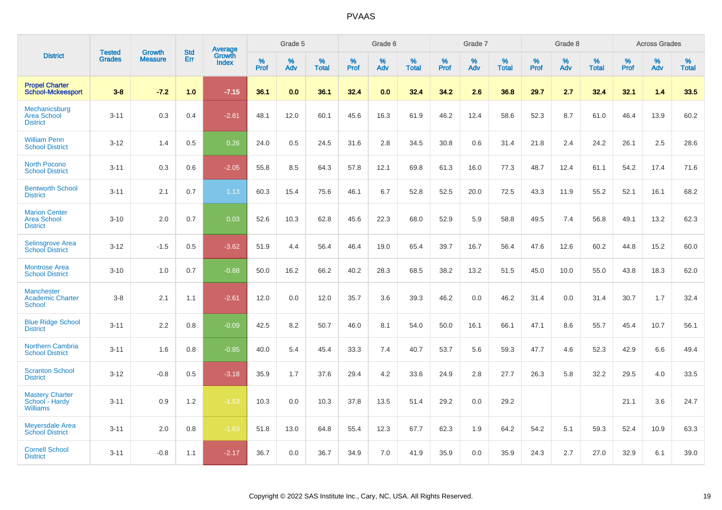|                                                               |                                | <b>Growth</b>  | <b>Std</b> | Average<br>Growth |              | Grade 5  |                   |              | Grade 6  |                   |              | Grade 7  |                   |              | Grade 8  |                   |              | <b>Across Grades</b> |                   |
|---------------------------------------------------------------|--------------------------------|----------------|------------|-------------------|--------------|----------|-------------------|--------------|----------|-------------------|--------------|----------|-------------------|--------------|----------|-------------------|--------------|----------------------|-------------------|
| <b>District</b>                                               | <b>Tested</b><br><b>Grades</b> | <b>Measure</b> | <b>Err</b> | Index             | $\%$<br>Prof | %<br>Adv | %<br><b>Total</b> | $\%$<br>Prof | %<br>Adv | %<br><b>Total</b> | $\%$<br>Prof | %<br>Adv | %<br><b>Total</b> | $\%$<br>Prof | %<br>Adv | %<br><b>Total</b> | $\%$<br>Prof | %<br>Adv             | %<br><b>Total</b> |
| <b>Propel Charter</b><br><b>School-Mckeesport</b>             | $3 - 8$                        | $-7.2$         | 1.0        | $-7.15$           | 36.1         | 0.0      | 36.1              | 32.4         | 0.0      | 32.4              | 34.2         | 2.6      | 36.8              | 29.7         | 2.7      | 32.4              | 32.1         | 1.4                  | 33.5              |
| Mechanicsburg<br><b>Area School</b><br><b>District</b>        | $3 - 11$                       | 0.3            | 0.4        | $-2.81$           | 48.1         | 12.0     | 60.1              | 45.6         | 16.3     | 61.9              | 46.2         | 12.4     | 58.6              | 52.3         | 8.7      | 61.0              | 46.4         | 13.9                 | 60.2              |
| <b>William Penn</b><br><b>School District</b>                 | $3 - 12$                       | 1.4            | 0.5        | 0.26              | 24.0         | 0.5      | 24.5              | 31.6         | 2.8      | 34.5              | 30.8         | 0.6      | 31.4              | 21.8         | 2.4      | 24.2              | 26.1         | 2.5                  | 28.6              |
| <b>North Pocono</b><br><b>School District</b>                 | $3 - 11$                       | 0.3            | 0.6        | $-2.05$           | 55.8         | 8.5      | 64.3              | 57.8         | 12.1     | 69.8              | 61.3         | 16.0     | 77.3              | 48.7         | 12.4     | 61.1              | 54.2         | 17.4                 | 71.6              |
| <b>Bentworth School</b><br><b>District</b>                    | $3 - 11$                       | 2.1            | 0.7        | 1.13              | 60.3         | 15.4     | 75.6              | 46.1         | 6.7      | 52.8              | 52.5         | 20.0     | 72.5              | 43.3         | 11.9     | 55.2              | 52.1         | 16.1                 | 68.2              |
| <b>Marion Center</b><br><b>Area School</b><br><b>District</b> | $3 - 10$                       | 2.0            | 0.7        | 0.03              | 52.6         | 10.3     | 62.8              | 45.6         | 22.3     | 68.0              | 52.9         | 5.9      | 58.8              | 49.5         | 7.4      | 56.8              | 49.1         | 13.2                 | 62.3              |
| Selinsgrove Area<br><b>School District</b>                    | $3 - 12$                       | $-1.5$         | 0.5        | $-3.62$           | 51.9         | 4.4      | 56.4              | 46.4         | 19.0     | 65.4              | 39.7         | 16.7     | 56.4              | 47.6         | 12.6     | 60.2              | 44.8         | 15.2                 | 60.0              |
| <b>Montrose Area</b><br><b>School District</b>                | $3 - 10$                       | 1.0            | 0.7        | $-0.88$           | 50.0         | 16.2     | 66.2              | 40.2         | 28.3     | 68.5              | 38.2         | 13.2     | 51.5              | 45.0         | 10.0     | 55.0              | 43.8         | 18.3                 | 62.0              |
| <b>Manchester</b><br><b>Academic Charter</b><br>School        | $3 - 8$                        | 2.1            | 1.1        | $-2.61$           | 12.0         | 0.0      | 12.0              | 35.7         | 3.6      | 39.3              | 46.2         | 0.0      | 46.2              | 31.4         | 0.0      | 31.4              | 30.7         | 1.7                  | 32.4              |
| <b>Blue Ridge School</b><br><b>District</b>                   | $3 - 11$                       | 2.2            | 0.8        | $-0.09$           | 42.5         | 8.2      | 50.7              | 46.0         | 8.1      | 54.0              | 50.0         | 16.1     | 66.1              | 47.1         | 8.6      | 55.7              | 45.4         | 10.7                 | 56.1              |
| <b>Northern Cambria</b><br><b>School District</b>             | $3 - 11$                       | 1.6            | 0.8        | $-0.85$           | 40.0         | 5.4      | 45.4              | 33.3         | 7.4      | 40.7              | 53.7         | 5.6      | 59.3              | 47.7         | 4.6      | 52.3              | 42.9         | 6.6                  | 49.4              |
| <b>Scranton School</b><br><b>District</b>                     | $3 - 12$                       | $-0.8$         | 0.5        | $-3.18$           | 35.9         | 1.7      | 37.6              | 29.4         | 4.2      | 33.6              | 24.9         | 2.8      | 27.7              | 26.3         | 5.8      | 32.2              | 29.5         | 4.0                  | 33.5              |
| <b>Mastery Charter</b><br>School - Hardy<br><b>Williams</b>   | $3 - 11$                       | 0.9            | 1.2        | $-1.53$           | 10.3         | 0.0      | 10.3              | 37.8         | 13.5     | 51.4              | 29.2         | 0.0      | 29.2              |              |          |                   | 21.1         | 3.6                  | 24.7              |
| <b>Meyersdale Area</b><br><b>School District</b>              | $3 - 11$                       | 2.0            | 0.8        | $-1.63$           | 51.8         | 13.0     | 64.8              | 55.4         | 12.3     | 67.7              | 62.3         | 1.9      | 64.2              | 54.2         | 5.1      | 59.3              | 52.4         | 10.9                 | 63.3              |
| <b>Cornell School</b><br><b>District</b>                      | $3 - 11$                       | $-0.8$         | 1.1        | $-2.17$           | 36.7         | 0.0      | 36.7              | 34.9         | 7.0      | 41.9              | 35.9         | 0.0      | 35.9              | 24.3         | 2.7      | 27.0              | 32.9         | 6.1                  | 39.0              |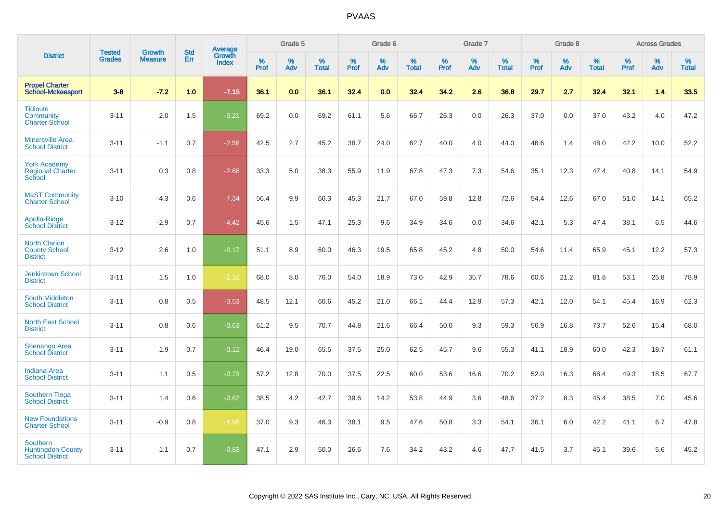|                                                                       |                                |                                 | <b>Std</b> | Average         |              | Grade 5  |                   |           | Grade 6  |                   |           | Grade 7  |                   |           | Grade 8  |                   |              | <b>Across Grades</b> |                   |
|-----------------------------------------------------------------------|--------------------------------|---------------------------------|------------|-----------------|--------------|----------|-------------------|-----------|----------|-------------------|-----------|----------|-------------------|-----------|----------|-------------------|--------------|----------------------|-------------------|
| <b>District</b>                                                       | <b>Tested</b><br><b>Grades</b> | <b>Growth</b><br><b>Measure</b> | <b>Err</b> | Growth<br>Index | $\%$<br>Prof | %<br>Adv | %<br><b>Total</b> | %<br>Prof | %<br>Adv | %<br><b>Total</b> | %<br>Prof | %<br>Adv | %<br><b>Total</b> | %<br>Prof | %<br>Adv | %<br><b>Total</b> | $\%$<br>Prof | %<br>Adv             | %<br><b>Total</b> |
| <b>Propel Charter</b><br><b>School-Mckeesport</b>                     | $3 - 8$                        | $-7.2$                          | 1.0        | $-7.15$         | 36.1         | 0.0      | 36.1              | 32.4      | 0.0      | 32.4              | 34.2      | 2.6      | 36.8              | 29.7      | 2.7      | 32.4              | 32.1         | 1.4                  | 33.5              |
| <b>Tidioute</b><br>Community<br><b>Charter School</b>                 | $3 - 11$                       | 2.0                             | 1.5        | $-0.21$         | 69.2         | 0.0      | 69.2              | 61.1      | 5.6      | 66.7              | 26.3      | 0.0      | 26.3              | 37.0      | 0.0      | 37.0              | 43.2         | 4.0                  | 47.2              |
| <b>Minersville Area</b><br><b>School District</b>                     | $3 - 11$                       | $-1.1$                          | 0.7        | $-2.58$         | 42.5         | 2.7      | 45.2              | 38.7      | 24.0     | 62.7              | 40.0      | 4.0      | 44.0              | 46.6      | 1.4      | 48.0              | 42.2         | 10.0                 | 52.2              |
| <b>York Academy</b><br><b>Regional Charter</b><br>School              | $3 - 11$                       | 0.3                             | 0.8        | $-2.68$         | 33.3         | 5.0      | 38.3              | 55.9      | 11.9     | 67.8              | 47.3      | 7.3      | 54.6              | 35.1      | 12.3     | 47.4              | 40.8         | 14.1                 | 54.9              |
| <b>MaST Community</b><br><b>Charter School</b>                        | $3 - 10$                       | $-4.3$                          | 0.6        | $-7.34$         | 56.4         | 9.9      | 66.3              | 45.3      | 21.7     | 67.0              | 59.8      | 12.8     | 72.6              | 54.4      | 12.6     | 67.0              | 51.0         | 14.1                 | 65.2              |
| Apollo-Ridge<br><b>School District</b>                                | $3 - 12$                       | $-2.9$                          | 0.7        | $-4.42$         | 45.6         | 1.5      | 47.1              | 25.3      | 9.6      | 34.9              | 34.6      | 0.0      | 34.6              | 42.1      | 5.3      | 47.4              | 38.1         | 6.5                  | 44.6              |
| <b>North Clarion</b><br><b>County School</b><br><b>District</b>       | $3 - 12$                       | 2.6                             | 1.0        | $-0.17$         | 51.1         | 8.9      | 60.0              | 46.3      | 19.5     | 65.8              | 45.2      | 4.8      | 50.0              | 54.6      | 11.4     | 65.9              | 45.1         | 12.2                 | 57.3              |
| <b>Jenkintown School</b><br><b>District</b>                           | $3 - 11$                       | 1.5                             | 1.0        | $-1.16$         | 68.0         | 8.0      | 76.0              | 54.0      | 18.9     | 73.0              | 42.9      | 35.7     | 78.6              | 60.6      | 21.2     | 81.8              | 53.1         | 25.8                 | 78.9              |
| <b>South Middleton</b><br><b>School District</b>                      | $3 - 11$                       | 0.8                             | 0.5        | $-3.53$         | 48.5         | 12.1     | 60.6              | 45.2      | 21.0     | 66.1              | 44.4      | 12.9     | 57.3              | 42.1      | 12.0     | 54.1              | 45.4         | 16.9                 | 62.3              |
| <b>North East School</b><br><b>District</b>                           | $3 - 11$                       | 0.8                             | 0.6        | $-0.63$         | 61.2         | 9.5      | 70.7              | 44.8      | 21.6     | 66.4              | 50.0      | 9.3      | 59.3              | 56.9      | 16.8     | 73.7              | 52.6         | 15.4                 | 68.0              |
| <b>Shenango Area</b><br><b>School District</b>                        | $3 - 11$                       | 1.9                             | 0.7        | $-0.12$         | 46.4         | 19.0     | 65.5              | 37.5      | 25.0     | 62.5              | 45.7      | 9.6      | 55.3              | 41.1      | 18.9     | 60.0              | 42.3         | 18.7                 | 61.1              |
| <b>Indiana Area</b><br><b>School District</b>                         | $3 - 11$                       | 1.1                             | 0.5        | $-0.73$         | 57.2         | 12.8     | 70.0              | 37.5      | 22.5     | 60.0              | 53.6      | 16.6     | 70.2              | 52.0      | 16.3     | 68.4              | 49.3         | 18.5                 | 67.7              |
| <b>Southern Tioga</b><br><b>School District</b>                       | $3 - 11$                       | 1.4                             | 0.6        | $-0.62$         | 38.5         | 4.2      | 42.7              | 39.6      | 14.2     | 53.8              | 44.9      | 3.6      | 48.6              | 37.2      | 8.3      | 45.4              | 38.5         | 7.0                  | 45.6              |
| <b>New Foundations</b><br><b>Charter School</b>                       | $3 - 11$                       | $-0.9$                          | 0.8        | $-1.98$         | 37.0         | 9.3      | 46.3              | 38.1      | 9.5      | 47.6              | 50.8      | 3.3      | 54.1              | 36.1      | 6.0      | 42.2              | 41.1         | 6.7                  | 47.8              |
| <b>Southern</b><br><b>Huntingdon County</b><br><b>School District</b> | $3 - 11$                       | 1.1                             | 0.7        | $-0.83$         | 47.1         | 2.9      | 50.0              | 26.6      | 7.6      | 34.2              | 43.2      | 4.6      | 47.7              | 41.5      | 3.7      | 45.1              | 39.6         | 5.6                  | 45.2              |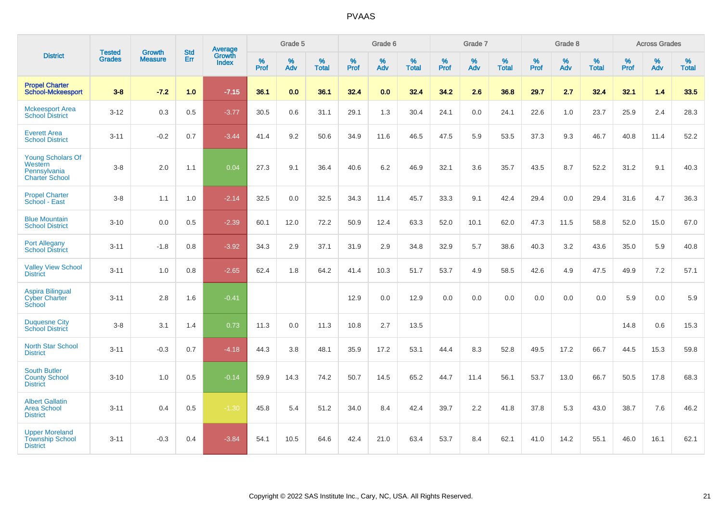|                                                                              |                                | <b>Growth</b>  | <b>Std</b> | Average                |              | Grade 5  |                   |              | Grade 6  |                   |              | Grade 7  |                   |              | Grade 8  |                   |                  | <b>Across Grades</b> |                   |
|------------------------------------------------------------------------------|--------------------------------|----------------|------------|------------------------|--------------|----------|-------------------|--------------|----------|-------------------|--------------|----------|-------------------|--------------|----------|-------------------|------------------|----------------------|-------------------|
| <b>District</b>                                                              | <b>Tested</b><br><b>Grades</b> | <b>Measure</b> | Err        | Growth<br><b>Index</b> | $\%$<br>Prof | %<br>Adv | %<br><b>Total</b> | $\%$<br>Prof | %<br>Adv | %<br><b>Total</b> | $\%$<br>Prof | %<br>Adv | %<br><b>Total</b> | $\%$<br>Prof | %<br>Adv | %<br><b>Total</b> | %<br><b>Prof</b> | %<br>Adv             | %<br><b>Total</b> |
| <b>Propel Charter</b><br><b>School-Mckeesport</b>                            | $3 - 8$                        | $-7.2$         | 1.0        | $-7.15$                | 36.1         | 0.0      | 36.1              | 32.4         | 0.0      | 32.4              | 34.2         | 2.6      | 36.8              | 29.7         | 2.7      | 32.4              | 32.1             | 1.4                  | 33.5              |
| <b>Mckeesport Area</b><br><b>School District</b>                             | $3 - 12$                       | 0.3            | 0.5        | $-3.77$                | 30.5         | 0.6      | 31.1              | 29.1         | 1.3      | 30.4              | 24.1         | 0.0      | 24.1              | 22.6         | 1.0      | 23.7              | 25.9             | 2.4                  | 28.3              |
| <b>Everett Area</b><br><b>School District</b>                                | $3 - 11$                       | $-0.2$         | 0.7        | $-3.44$                | 41.4         | 9.2      | 50.6              | 34.9         | 11.6     | 46.5              | 47.5         | 5.9      | 53.5              | 37.3         | 9.3      | 46.7              | 40.8             | 11.4                 | 52.2              |
| <b>Young Scholars Of</b><br>Western<br>Pennsylvania<br><b>Charter School</b> | $3 - 8$                        | 2.0            | 1.1        | 0.04                   | 27.3         | 9.1      | 36.4              | 40.6         | 6.2      | 46.9              | 32.1         | 3.6      | 35.7              | 43.5         | 8.7      | 52.2              | 31.2             | 9.1                  | 40.3              |
| <b>Propel Charter</b><br>School - East                                       | $3 - 8$                        | 1.1            | 1.0        | $-2.14$                | 32.5         | 0.0      | 32.5              | 34.3         | 11.4     | 45.7              | 33.3         | 9.1      | 42.4              | 29.4         | 0.0      | 29.4              | 31.6             | 4.7                  | 36.3              |
| <b>Blue Mountain</b><br><b>School District</b>                               | $3 - 10$                       | 0.0            | 0.5        | $-2.39$                | 60.1         | 12.0     | 72.2              | 50.9         | 12.4     | 63.3              | 52.0         | 10.1     | 62.0              | 47.3         | 11.5     | 58.8              | 52.0             | 15.0                 | 67.0              |
| <b>Port Allegany</b><br><b>School District</b>                               | $3 - 11$                       | $-1.8$         | 0.8        | $-3.92$                | 34.3         | 2.9      | 37.1              | 31.9         | 2.9      | 34.8              | 32.9         | 5.7      | 38.6              | 40.3         | 3.2      | 43.6              | 35.0             | 5.9                  | 40.8              |
| <b>Valley View School</b><br><b>District</b>                                 | $3 - 11$                       | 1.0            | 0.8        | $-2.65$                | 62.4         | 1.8      | 64.2              | 41.4         | 10.3     | 51.7              | 53.7         | 4.9      | 58.5              | 42.6         | 4.9      | 47.5              | 49.9             | 7.2                  | 57.1              |
| <b>Aspira Bilingual</b><br><b>Cyber Charter</b><br>School                    | $3 - 11$                       | 2.8            | 1.6        | $-0.41$                |              |          |                   | 12.9         | 0.0      | 12.9              | 0.0          | 0.0      | 0.0               | 0.0          | 0.0      | 0.0               | 5.9              | 0.0                  | 5.9               |
| <b>Duquesne City</b><br><b>School District</b>                               | $3-8$                          | 3.1            | 1.4        | 0.73                   | 11.3         | 0.0      | 11.3              | 10.8         | 2.7      | 13.5              |              |          |                   |              |          |                   | 14.8             | 0.6                  | 15.3              |
| North Star School<br><b>District</b>                                         | $3 - 11$                       | $-0.3$         | 0.7        | $-4.18$                | 44.3         | 3.8      | 48.1              | 35.9         | 17.2     | 53.1              | 44.4         | 8.3      | 52.8              | 49.5         | 17.2     | 66.7              | 44.5             | 15.3                 | 59.8              |
| <b>South Butler</b><br><b>County School</b><br><b>District</b>               | $3 - 10$                       | 1.0            | 0.5        | $-0.14$                | 59.9         | 14.3     | 74.2              | 50.7         | 14.5     | 65.2              | 44.7         | 11.4     | 56.1              | 53.7         | 13.0     | 66.7              | 50.5             | 17.8                 | 68.3              |
| <b>Albert Gallatin</b><br><b>Area School</b><br><b>District</b>              | $3 - 11$                       | 0.4            | 0.5        | $-1.30$                | 45.8         | 5.4      | 51.2              | 34.0         | 8.4      | 42.4              | 39.7         | 2.2      | 41.8              | 37.8         | 5.3      | 43.0              | 38.7             | 7.6                  | 46.2              |
| <b>Upper Moreland</b><br><b>Township School</b><br><b>District</b>           | $3 - 11$                       | $-0.3$         | 0.4        | $-3.84$                | 54.1         | 10.5     | 64.6              | 42.4         | 21.0     | 63.4              | 53.7         | 8.4      | 62.1              | 41.0         | 14.2     | 55.1              | 46.0             | 16.1                 | 62.1              |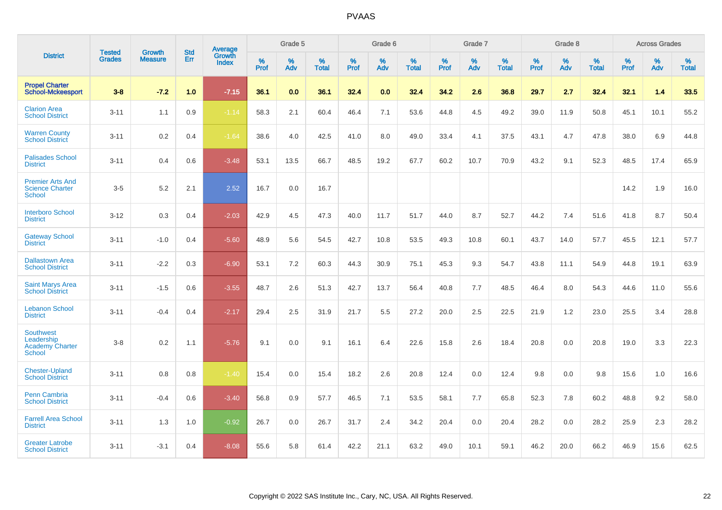|                                                                           |                                |                                 | <b>Std</b> | Average                       |           | Grade 5  |                   |           | Grade 6  |                   |           | Grade 7  |                   |           | Grade 8  |                   |           | <b>Across Grades</b> |                   |
|---------------------------------------------------------------------------|--------------------------------|---------------------------------|------------|-------------------------------|-----------|----------|-------------------|-----------|----------|-------------------|-----------|----------|-------------------|-----------|----------|-------------------|-----------|----------------------|-------------------|
| <b>District</b>                                                           | <b>Tested</b><br><b>Grades</b> | <b>Growth</b><br><b>Measure</b> | Err        | <b>Growth</b><br><b>Index</b> | %<br>Prof | %<br>Adv | %<br><b>Total</b> | %<br>Prof | %<br>Adv | %<br><b>Total</b> | %<br>Prof | %<br>Adv | %<br><b>Total</b> | %<br>Prof | %<br>Adv | %<br><b>Total</b> | %<br>Prof | %<br>Adv             | %<br><b>Total</b> |
| <b>Propel Charter</b><br><b>School-Mckeesport</b>                         | $3 - 8$                        | $-7.2$                          | 1.0        | $-7.15$                       | 36.1      | 0.0      | 36.1              | 32.4      | 0.0      | 32.4              | 34.2      | 2.6      | 36.8              | 29.7      | 2.7      | 32.4              | 32.1      | 1.4                  | 33.5              |
| <b>Clarion Area</b><br><b>School District</b>                             | $3 - 11$                       | 1.1                             | 0.9        | $-1.14$                       | 58.3      | 2.1      | 60.4              | 46.4      | 7.1      | 53.6              | 44.8      | 4.5      | 49.2              | 39.0      | 11.9     | 50.8              | 45.1      | 10.1                 | 55.2              |
| <b>Warren County</b><br><b>School District</b>                            | $3 - 11$                       | 0.2                             | 0.4        | $-1.64$                       | 38.6      | 4.0      | 42.5              | 41.0      | 8.0      | 49.0              | 33.4      | 4.1      | 37.5              | 43.1      | 4.7      | 47.8              | 38.0      | 6.9                  | 44.8              |
| <b>Palisades School</b><br><b>District</b>                                | $3 - 11$                       | 0.4                             | 0.6        | $-3.48$                       | 53.1      | 13.5     | 66.7              | 48.5      | 19.2     | 67.7              | 60.2      | 10.7     | 70.9              | 43.2      | 9.1      | 52.3              | 48.5      | 17.4                 | 65.9              |
| <b>Premier Arts And</b><br><b>Science Charter</b><br><b>School</b>        | $3-5$                          | 5.2                             | 2.1        | 2.52                          | 16.7      | 0.0      | 16.7              |           |          |                   |           |          |                   |           |          |                   | 14.2      | 1.9                  | 16.0              |
| <b>Interboro School</b><br><b>District</b>                                | $3 - 12$                       | 0.3                             | 0.4        | $-2.03$                       | 42.9      | 4.5      | 47.3              | 40.0      | 11.7     | 51.7              | 44.0      | 8.7      | 52.7              | 44.2      | 7.4      | 51.6              | 41.8      | 8.7                  | 50.4              |
| <b>Gateway School</b><br><b>District</b>                                  | $3 - 11$                       | $-1.0$                          | 0.4        | $-5.60$                       | 48.9      | 5.6      | 54.5              | 42.7      | 10.8     | 53.5              | 49.3      | 10.8     | 60.1              | 43.7      | 14.0     | 57.7              | 45.5      | 12.1                 | 57.7              |
| <b>Dallastown Area</b><br><b>School District</b>                          | $3 - 11$                       | $-2.2$                          | 0.3        | $-6.90$                       | 53.1      | 7.2      | 60.3              | 44.3      | 30.9     | 75.1              | 45.3      | 9.3      | 54.7              | 43.8      | 11.1     | 54.9              | 44.8      | 19.1                 | 63.9              |
| <b>Saint Marys Area</b><br><b>School District</b>                         | $3 - 11$                       | $-1.5$                          | 0.6        | $-3.55$                       | 48.7      | 2.6      | 51.3              | 42.7      | 13.7     | 56.4              | 40.8      | 7.7      | 48.5              | 46.4      | 8.0      | 54.3              | 44.6      | 11.0                 | 55.6              |
| <b>Lebanon School</b><br><b>District</b>                                  | $3 - 11$                       | $-0.4$                          | 0.4        | $-2.17$                       | 29.4      | 2.5      | 31.9              | 21.7      | 5.5      | 27.2              | 20.0      | 2.5      | 22.5              | 21.9      | 1.2      | 23.0              | 25.5      | 3.4                  | 28.8              |
| <b>Southwest</b><br>Leadership<br><b>Academy Charter</b><br><b>School</b> | $3 - 8$                        | 0.2                             | 1.1        | $-5.76$                       | 9.1       | 0.0      | 9.1               | 16.1      | 6.4      | 22.6              | 15.8      | 2.6      | 18.4              | 20.8      | 0.0      | 20.8              | 19.0      | 3.3                  | 22.3              |
| <b>Chester-Upland</b><br><b>School District</b>                           | $3 - 11$                       | 0.8                             | 0.8        | $-1.40$                       | 15.4      | 0.0      | 15.4              | 18.2      | 2.6      | 20.8              | 12.4      | 0.0      | 12.4              | 9.8       | 0.0      | 9.8               | 15.6      | 1.0                  | 16.6              |
| Penn Cambria<br><b>School District</b>                                    | $3 - 11$                       | $-0.4$                          | 0.6        | $-3.40$                       | 56.8      | 0.9      | 57.7              | 46.5      | 7.1      | 53.5              | 58.1      | 7.7      | 65.8              | 52.3      | 7.8      | 60.2              | 48.8      | 9.2                  | 58.0              |
| <b>Farrell Area School</b><br><b>District</b>                             | $3 - 11$                       | 1.3                             | 1.0        | $-0.92$                       | 26.7      | 0.0      | 26.7              | 31.7      | 2.4      | 34.2              | 20.4      | 0.0      | 20.4              | 28.2      | 0.0      | 28.2              | 25.9      | 2.3                  | 28.2              |
| <b>Greater Latrobe</b><br><b>School District</b>                          | $3 - 11$                       | $-3.1$                          | 0.4        | $-8.08$                       | 55.6      | 5.8      | 61.4              | 42.2      | 21.1     | 63.2              | 49.0      | 10.1     | 59.1              | 46.2      | 20.0     | 66.2              | 46.9      | 15.6                 | 62.5              |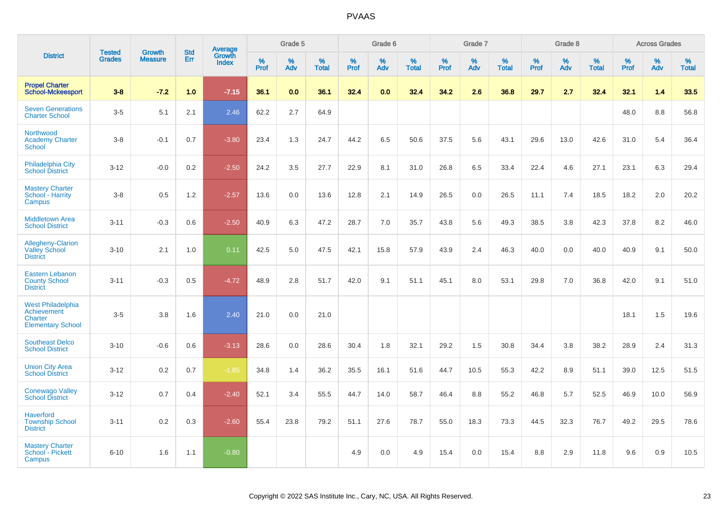|                                                                                |                                |                                 | <b>Std</b> |                                   |              | Grade 5  |                      |              | Grade 6  |                      |              | Grade 7  |                   |              | Grade 8  |                   |              | <b>Across Grades</b> |            |
|--------------------------------------------------------------------------------|--------------------------------|---------------------------------|------------|-----------------------------------|--------------|----------|----------------------|--------------|----------|----------------------|--------------|----------|-------------------|--------------|----------|-------------------|--------------|----------------------|------------|
| <b>District</b>                                                                | <b>Tested</b><br><b>Grades</b> | <b>Growth</b><br><b>Measure</b> | Err        | Average<br>Growth<br><b>Index</b> | $\%$<br>Prof | %<br>Adv | $\%$<br><b>Total</b> | $\%$<br>Prof | %<br>Adv | $\%$<br><b>Total</b> | $\%$<br>Prof | %<br>Adv | %<br><b>Total</b> | $\%$<br>Prof | %<br>Adv | %<br><b>Total</b> | $\%$<br>Prof | $\%$<br>Adv          | %<br>Total |
| <b>Propel Charter</b><br><b>School-Mckeesport</b>                              | $3 - 8$                        | $-7.2$                          | 1.0        | $-7.15$                           | 36.1         | 0.0      | 36.1                 | 32.4         | 0.0      | 32.4                 | 34.2         | 2.6      | 36.8              | 29.7         | 2.7      | 32.4              | 32.1         | 1.4                  | 33.5       |
| <b>Seven Generations</b><br><b>Charter School</b>                              | $3-5$                          | 5.1                             | 2.1        | 2.46                              | 62.2         | 2.7      | 64.9                 |              |          |                      |              |          |                   |              |          |                   | 48.0         | $8.8\,$              | 56.8       |
| Northwood<br><b>Academy Charter</b><br>School                                  | $3 - 8$                        | $-0.1$                          | 0.7        | $-3.80$                           | 23.4         | 1.3      | 24.7                 | 44.2         | 6.5      | 50.6                 | 37.5         | 5.6      | 43.1              | 29.6         | 13.0     | 42.6              | 31.0         | 5.4                  | 36.4       |
| Philadelphia City<br><b>School District</b>                                    | $3 - 12$                       | $-0.0$                          | 0.2        | $-2.50$                           | 24.2         | 3.5      | 27.7                 | 22.9         | 8.1      | 31.0                 | 26.8         | 6.5      | 33.4              | 22.4         | 4.6      | 27.1              | 23.1         | 6.3                  | 29.4       |
| <b>Mastery Charter</b><br>School - Harrity<br>Campus                           | $3 - 8$                        | 0.5                             | 1.2        | $-2.57$                           | 13.6         | 0.0      | 13.6                 | 12.8         | 2.1      | 14.9                 | 26.5         | 0.0      | 26.5              | 11.1         | 7.4      | 18.5              | 18.2         | 2.0                  | 20.2       |
| <b>Middletown Area</b><br><b>School District</b>                               | $3 - 11$                       | $-0.3$                          | 0.6        | $-2.50$                           | 40.9         | 6.3      | 47.2                 | 28.7         | 7.0      | 35.7                 | 43.8         | 5.6      | 49.3              | 38.5         | 3.8      | 42.3              | 37.8         | 8.2                  | 46.0       |
| <b>Allegheny-Clarion</b><br><b>Valley School</b><br><b>District</b>            | $3 - 10$                       | 2.1                             | 1.0        | 0.11                              | 42.5         | 5.0      | 47.5                 | 42.1         | 15.8     | 57.9                 | 43.9         | 2.4      | 46.3              | 40.0         | 0.0      | 40.0              | 40.9         | 9.1                  | 50.0       |
| <b>Eastern Lebanon</b><br><b>County School</b><br><b>District</b>              | $3 - 11$                       | $-0.3$                          | 0.5        | $-4.72$                           | 48.9         | 2.8      | 51.7                 | 42.0         | 9.1      | 51.1                 | 45.1         | 8.0      | 53.1              | 29.8         | 7.0      | 36.8              | 42.0         | 9.1                  | 51.0       |
| <b>West Philadelphia</b><br>Achievement<br>Charter<br><b>Elementary School</b> | $3-5$                          | 3.8                             | 1.6        | 2.40                              | 21.0         | 0.0      | 21.0                 |              |          |                      |              |          |                   |              |          |                   | 18.1         | 1.5                  | 19.6       |
| <b>Southeast Delco</b><br><b>School District</b>                               | $3 - 10$                       | $-0.6$                          | 0.6        | $-3.13$                           | 28.6         | 0.0      | 28.6                 | 30.4         | 1.8      | 32.1                 | 29.2         | 1.5      | 30.8              | 34.4         | 3.8      | 38.2              | 28.9         | 2.4                  | 31.3       |
| <b>Union City Area</b><br><b>School District</b>                               | $3 - 12$                       | 0.2                             | 0.7        | $-1.85$                           | 34.8         | 1.4      | 36.2                 | 35.5         | 16.1     | 51.6                 | 44.7         | 10.5     | 55.3              | 42.2         | 8.9      | 51.1              | 39.0         | 12.5                 | 51.5       |
| <b>Conewago Valley</b><br><b>School District</b>                               | $3 - 12$                       | 0.7                             | 0.4        | $-2.40$                           | 52.1         | 3.4      | 55.5                 | 44.7         | 14.0     | 58.7                 | 46.4         | 8.8      | 55.2              | 46.8         | 5.7      | 52.5              | 46.9         | 10.0                 | 56.9       |
| <b>Haverford</b><br><b>Township School</b><br><b>District</b>                  | $3 - 11$                       | 0.2                             | 0.3        | $-2.60$                           | 55.4         | 23.8     | 79.2                 | 51.1         | 27.6     | 78.7                 | 55.0         | 18.3     | 73.3              | 44.5         | 32.3     | 76.7              | 49.2         | 29.5                 | 78.6       |
| <b>Mastery Charter</b><br>School - Pickett<br>Campus                           | $6 - 10$                       | 1.6                             | 1.1        | $-0.80$                           |              |          |                      | 4.9          | 0.0      | 4.9                  | 15.4         | 0.0      | 15.4              | 8.8          | 2.9      | 11.8              | 9.6          | 0.9                  | 10.5       |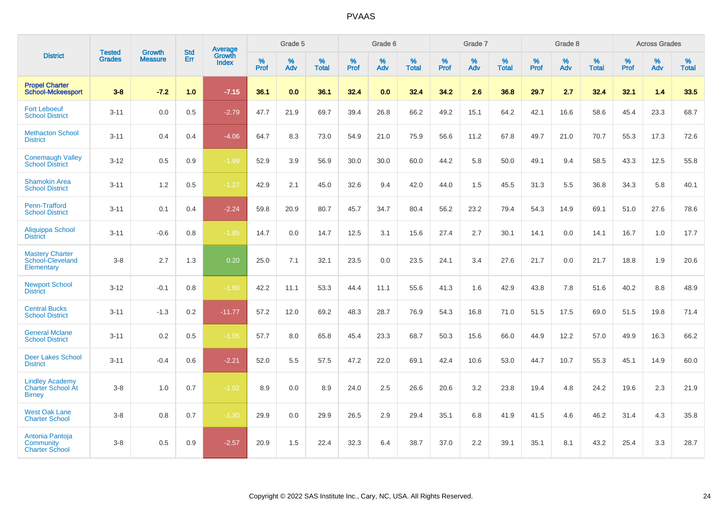|                                                                     | <b>Tested</b> | <b>Growth</b>  | <b>Std</b> | <b>Average</b>         |           | Grade 5  |                   |           | Grade 6  |                   |           | Grade 7  |                   |           | Grade 8  |                   |           | <b>Across Grades</b> |                   |
|---------------------------------------------------------------------|---------------|----------------|------------|------------------------|-----------|----------|-------------------|-----------|----------|-------------------|-----------|----------|-------------------|-----------|----------|-------------------|-----------|----------------------|-------------------|
| <b>District</b>                                                     | <b>Grades</b> | <b>Measure</b> | Err        | Growth<br><b>Index</b> | %<br>Prof | %<br>Adv | %<br><b>Total</b> | %<br>Prof | %<br>Adv | %<br><b>Total</b> | %<br>Prof | %<br>Adv | %<br><b>Total</b> | %<br>Prof | %<br>Adv | %<br><b>Total</b> | %<br>Prof | %<br>Adv             | %<br><b>Total</b> |
| <b>Propel Charter</b><br><b>School-Mckeesport</b>                   | $3 - 8$       | $-7.2$         | 1.0        | $-7.15$                | 36.1      | 0.0      | 36.1              | 32.4      | 0.0      | 32.4              | 34.2      | 2.6      | 36.8              | 29.7      | 2.7      | 32.4              | 32.1      | 1.4                  | 33.5              |
| <b>Fort Leboeuf</b><br><b>School District</b>                       | $3 - 11$      | 0.0            | 0.5        | $-2.79$                | 47.7      | 21.9     | 69.7              | 39.4      | 26.8     | 66.2              | 49.2      | 15.1     | 64.2              | 42.1      | 16.6     | 58.6              | 45.4      | 23.3                 | 68.7              |
| <b>Methacton School</b><br><b>District</b>                          | $3 - 11$      | 0.4            | 0.4        | $-4.06$                | 64.7      | 8.3      | 73.0              | 54.9      | 21.0     | 75.9              | 56.6      | 11.2     | 67.8              | 49.7      | 21.0     | 70.7              | 55.3      | 17.3                 | 72.6              |
| <b>Conemaugh Valley</b><br><b>School District</b>                   | $3 - 12$      | 0.5            | 0.9        | $-1.99$                | 52.9      | 3.9      | 56.9              | 30.0      | 30.0     | 60.0              | 44.2      | 5.8      | 50.0              | 49.1      | 9.4      | 58.5              | 43.3      | 12.5                 | 55.8              |
| <b>Shamokin Area</b><br><b>School District</b>                      | $3 - 11$      | 1.2            | 0.5        | $-1.27$                | 42.9      | 2.1      | 45.0              | 32.6      | 9.4      | 42.0              | 44.0      | 1.5      | 45.5              | 31.3      | 5.5      | 36.8              | 34.3      | 5.8                  | 40.1              |
| Penn-Trafford<br><b>School District</b>                             | $3 - 11$      | 0.1            | 0.4        | $-2.24$                | 59.8      | 20.9     | 80.7              | 45.7      | 34.7     | 80.4              | 56.2      | 23.2     | 79.4              | 54.3      | 14.9     | 69.1              | 51.0      | 27.6                 | 78.6              |
| <b>Aliquippa School</b><br><b>District</b>                          | $3 - 11$      | $-0.6$         | 0.8        | $-1.85$                | 14.7      | 0.0      | 14.7              | 12.5      | 3.1      | 15.6              | 27.4      | 2.7      | 30.1              | 14.1      | 0.0      | 14.1              | 16.7      | 1.0                  | 17.7              |
| <b>Mastery Charter</b><br>School-Cleveland<br>Elementary            | $3 - 8$       | 2.7            | 1.3        | 0.20                   | 25.0      | 7.1      | 32.1              | 23.5      | 0.0      | 23.5              | 24.1      | 3.4      | 27.6              | 21.7      | 0.0      | 21.7              | 18.8      | 1.9                  | 20.6              |
| <b>Newport School</b><br><b>District</b>                            | $3 - 12$      | $-0.1$         | 0.8        | $-1.60$                | 42.2      | 11.1     | 53.3              | 44.4      | 11.1     | 55.6              | 41.3      | 1.6      | 42.9              | 43.8      | 7.8      | 51.6              | 40.2      | 8.8                  | 48.9              |
| <b>Central Bucks</b><br><b>School District</b>                      | $3 - 11$      | $-1.3$         | 0.2        | $-11.77$               | 57.2      | 12.0     | 69.2              | 48.3      | 28.7     | 76.9              | 54.3      | 16.8     | 71.0              | 51.5      | 17.5     | 69.0              | 51.5      | 19.8                 | 71.4              |
| <b>General Mclane</b><br><b>School District</b>                     | $3 - 11$      | 0.2            | 0.5        | $-1.05$                | 57.7      | 8.0      | 65.8              | 45.4      | 23.3     | 68.7              | 50.3      | 15.6     | 66.0              | 44.9      | 12.2     | 57.0              | 49.9      | 16.3                 | 66.2              |
| <b>Deer Lakes School</b><br><b>District</b>                         | $3 - 11$      | $-0.4$         | 0.6        | $-2.21$                | 52.0      | 5.5      | 57.5              | 47.2      | 22.0     | 69.1              | 42.4      | 10.6     | 53.0              | 44.7      | 10.7     | 55.3              | 45.1      | 14.9                 | 60.0              |
| <b>Lindley Academy</b><br><b>Charter School At</b><br><b>Birney</b> | $3 - 8$       | 1.0            | 0.7        | $-1.02$                | 8.9       | 0.0      | 8.9               | 24.0      | 2.5      | 26.6              | 20.6      | 3.2      | 23.8              | 19.4      | 4.8      | 24.2              | 19.6      | 2.3                  | 21.9              |
| <b>West Oak Lane</b><br><b>Charter School</b>                       | $3 - 8$       | 0.8            | 0.7        | $-1.30$                | 29.9      | 0.0      | 29.9              | 26.5      | 2.9      | 29.4              | 35.1      | 6.8      | 41.9              | 41.5      | 4.6      | 46.2              | 31.4      | 4.3                  | 35.8              |
| Antonia Pantoja<br>Community<br><b>Charter School</b>               | $3 - 8$       | 0.5            | 0.9        | $-2.57$                | 20.9      | 1.5      | 22.4              | 32.3      | 6.4      | 38.7              | 37.0      | 2.2      | 39.1              | 35.1      | 8.1      | 43.2              | 25.4      | 3.3                  | 28.7              |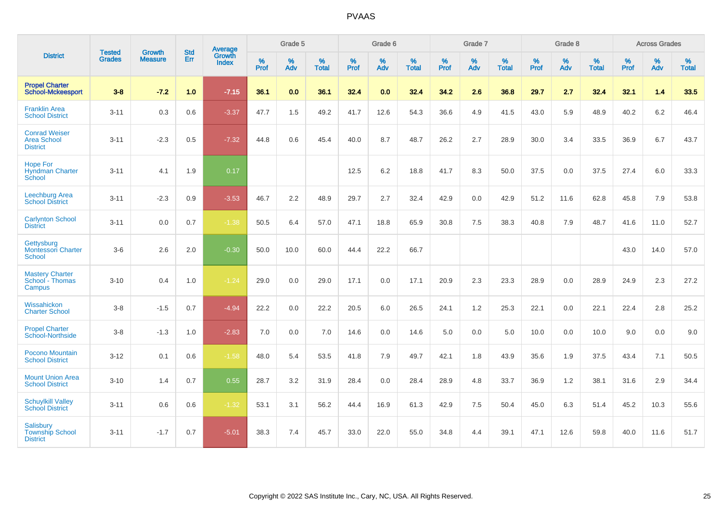|                                                               | <b>Tested</b> | <b>Growth</b>  | <b>Std</b> | Average                |           | Grade 5  |                   |           | Grade 6  |                   |           | Grade 7  |                   |           | Grade 8  |                   |           | <b>Across Grades</b> |                   |
|---------------------------------------------------------------|---------------|----------------|------------|------------------------|-----------|----------|-------------------|-----------|----------|-------------------|-----------|----------|-------------------|-----------|----------|-------------------|-----------|----------------------|-------------------|
| <b>District</b>                                               | <b>Grades</b> | <b>Measure</b> | <b>Err</b> | Growth<br><b>Index</b> | %<br>Prof | %<br>Adv | %<br><b>Total</b> | %<br>Prof | %<br>Adv | %<br><b>Total</b> | %<br>Prof | %<br>Adv | %<br><b>Total</b> | %<br>Prof | %<br>Adv | %<br><b>Total</b> | %<br>Prof | %<br>Adv             | %<br><b>Total</b> |
| <b>Propel Charter</b><br><b>School-Mckeesport</b>             | $3-8$         | $-7.2$         | 1.0        | $-7.15$                | 36.1      | 0.0      | 36.1              | 32.4      | 0.0      | 32.4              | 34.2      | 2.6      | 36.8              | 29.7      | 2.7      | 32.4              | 32.1      | 1.4                  | 33.5              |
| <b>Franklin Area</b><br><b>School District</b>                | $3 - 11$      | 0.3            | 0.6        | $-3.37$                | 47.7      | 1.5      | 49.2              | 41.7      | 12.6     | 54.3              | 36.6      | 4.9      | 41.5              | 43.0      | 5.9      | 48.9              | 40.2      | 6.2                  | 46.4              |
| <b>Conrad Weiser</b><br><b>Area School</b><br><b>District</b> | $3 - 11$      | $-2.3$         | 0.5        | $-7.32$                | 44.8      | 0.6      | 45.4              | 40.0      | 8.7      | 48.7              | 26.2      | 2.7      | 28.9              | 30.0      | 3.4      | 33.5              | 36.9      | 6.7                  | 43.7              |
| <b>Hope For</b><br><b>Hyndman Charter</b><br>School           | $3 - 11$      | 4.1            | 1.9        | 0.17                   |           |          |                   | 12.5      | 6.2      | 18.8              | 41.7      | 8.3      | 50.0              | 37.5      | 0.0      | 37.5              | 27.4      | 6.0                  | 33.3              |
| Leechburg Area<br><b>School District</b>                      | $3 - 11$      | $-2.3$         | 0.9        | $-3.53$                | 46.7      | 2.2      | 48.9              | 29.7      | 2.7      | 32.4              | 42.9      | 0.0      | 42.9              | 51.2      | 11.6     | 62.8              | 45.8      | 7.9                  | 53.8              |
| <b>Carlynton School</b><br><b>District</b>                    | $3 - 11$      | 0.0            | 0.7        | $-1.38$                | 50.5      | 6.4      | 57.0              | 47.1      | 18.8     | 65.9              | 30.8      | 7.5      | 38.3              | 40.8      | 7.9      | 48.7              | 41.6      | 11.0                 | 52.7              |
| Gettysburg<br><b>Montessori Charter</b><br>School             | $3-6$         | 2.6            | 2.0        | $-0.30$                | 50.0      | 10.0     | 60.0              | 44.4      | 22.2     | 66.7              |           |          |                   |           |          |                   | 43.0      | 14.0                 | 57.0              |
| <b>Mastery Charter</b><br>School - Thomas<br>Campus           | $3 - 10$      | 0.4            | 1.0        | $-1.24$                | 29.0      | 0.0      | 29.0              | 17.1      | 0.0      | 17.1              | 20.9      | 2.3      | 23.3              | 28.9      | 0.0      | 28.9              | 24.9      | 2.3                  | 27.2              |
| Wissahickon<br><b>Charter School</b>                          | $3 - 8$       | $-1.5$         | 0.7        | $-4.94$                | 22.2      | 0.0      | 22.2              | 20.5      | 6.0      | 26.5              | 24.1      | 1.2      | 25.3              | 22.1      | 0.0      | 22.1              | 22.4      | 2.8                  | 25.2              |
| <b>Propel Charter</b><br><b>School-Northside</b>              | $3 - 8$       | $-1.3$         | 1.0        | $-2.83$                | 7.0       | 0.0      | 7.0               | 14.6      | 0.0      | 14.6              | 5.0       | 0.0      | 5.0               | 10.0      | 0.0      | 10.0              | 9.0       | 0.0                  | 9.0               |
| Pocono Mountain<br><b>School District</b>                     | $3 - 12$      | 0.1            | 0.6        | $-1.58$                | 48.0      | 5.4      | 53.5              | 41.8      | 7.9      | 49.7              | 42.1      | 1.8      | 43.9              | 35.6      | 1.9      | 37.5              | 43.4      | 7.1                  | 50.5              |
| <b>Mount Union Area</b><br><b>School District</b>             | $3 - 10$      | 1.4            | 0.7        | 0.55                   | 28.7      | 3.2      | 31.9              | 28.4      | 0.0      | 28.4              | 28.9      | 4.8      | 33.7              | 36.9      | 1.2      | 38.1              | 31.6      | 2.9                  | 34.4              |
| <b>Schuylkill Valley</b><br><b>School District</b>            | $3 - 11$      | 0.6            | 0.6        | $-1.32$                | 53.1      | 3.1      | 56.2              | 44.4      | 16.9     | 61.3              | 42.9      | 7.5      | 50.4              | 45.0      | 6.3      | 51.4              | 45.2      | 10.3                 | 55.6              |
| <b>Salisbury</b><br><b>Township School</b><br><b>District</b> | $3 - 11$      | $-1.7$         | 0.7        | $-5.01$                | 38.3      | 7.4      | 45.7              | 33.0      | 22.0     | 55.0              | 34.8      | 4.4      | 39.1              | 47.1      | 12.6     | 59.8              | 40.0      | 11.6                 | 51.7              |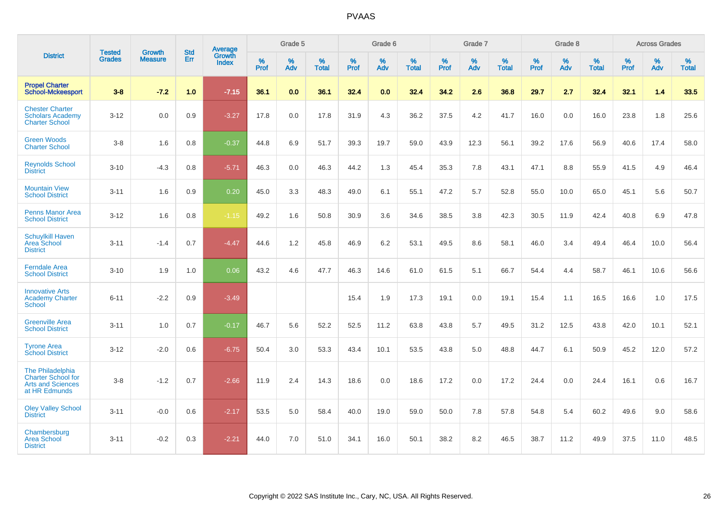|                                                                                     | <b>Tested</b> | <b>Growth</b>  | <b>Std</b> | Average                |           | Grade 5  |                   |           | Grade 6  |                   |           | Grade 7  |                   |           | Grade 8  |                   |           | <b>Across Grades</b> |                   |
|-------------------------------------------------------------------------------------|---------------|----------------|------------|------------------------|-----------|----------|-------------------|-----------|----------|-------------------|-----------|----------|-------------------|-----------|----------|-------------------|-----------|----------------------|-------------------|
| <b>District</b>                                                                     | <b>Grades</b> | <b>Measure</b> | Err        | Growth<br><b>Index</b> | %<br>Prof | %<br>Adv | %<br><b>Total</b> | %<br>Prof | %<br>Adv | %<br><b>Total</b> | %<br>Prof | %<br>Adv | %<br><b>Total</b> | %<br>Prof | %<br>Adv | %<br><b>Total</b> | %<br>Prof | %<br>Adv             | %<br><b>Total</b> |
| <b>Propel Charter</b><br><b>School-Mckeesport</b>                                   | $3-8$         | $-7.2$         | 1.0        | $-7.15$                | 36.1      | 0.0      | 36.1              | 32.4      | 0.0      | 32.4              | 34.2      | 2.6      | 36.8              | 29.7      | 2.7      | 32.4              | 32.1      | 1.4                  | 33.5              |
| <b>Chester Charter</b><br><b>Scholars Academy</b><br><b>Charter School</b>          | $3 - 12$      | 0.0            | 0.9        | $-3.27$                | 17.8      | 0.0      | 17.8              | 31.9      | 4.3      | 36.2              | 37.5      | 4.2      | 41.7              | 16.0      | 0.0      | 16.0              | 23.8      | 1.8                  | 25.6              |
| <b>Green Woods</b><br><b>Charter School</b>                                         | $3 - 8$       | 1.6            | 0.8        | $-0.37$                | 44.8      | 6.9      | 51.7              | 39.3      | 19.7     | 59.0              | 43.9      | 12.3     | 56.1              | 39.2      | 17.6     | 56.9              | 40.6      | 17.4                 | 58.0              |
| <b>Reynolds School</b><br><b>District</b>                                           | $3 - 10$      | $-4.3$         | 0.8        | $-5.71$                | 46.3      | 0.0      | 46.3              | 44.2      | 1.3      | 45.4              | 35.3      | 7.8      | 43.1              | 47.1      | 8.8      | 55.9              | 41.5      | 4.9                  | 46.4              |
| <b>Mountain View</b><br><b>School District</b>                                      | $3 - 11$      | 1.6            | 0.9        | 0.20                   | 45.0      | 3.3      | 48.3              | 49.0      | 6.1      | 55.1              | 47.2      | 5.7      | 52.8              | 55.0      | 10.0     | 65.0              | 45.1      | 5.6                  | 50.7              |
| <b>Penns Manor Area</b><br><b>School District</b>                                   | $3 - 12$      | 1.6            | 0.8        | $-1.15$                | 49.2      | 1.6      | 50.8              | 30.9      | 3.6      | 34.6              | 38.5      | 3.8      | 42.3              | 30.5      | 11.9     | 42.4              | 40.8      | 6.9                  | 47.8              |
| <b>Schuylkill Haven</b><br><b>Area School</b><br><b>District</b>                    | $3 - 11$      | $-1.4$         | 0.7        | $-4.47$                | 44.6      | 1.2      | 45.8              | 46.9      | 6.2      | 53.1              | 49.5      | 8.6      | 58.1              | 46.0      | 3.4      | 49.4              | 46.4      | 10.0                 | 56.4              |
| <b>Ferndale Area</b><br><b>School District</b>                                      | $3 - 10$      | 1.9            | 1.0        | 0.06                   | 43.2      | 4.6      | 47.7              | 46.3      | 14.6     | 61.0              | 61.5      | 5.1      | 66.7              | 54.4      | 4.4      | 58.7              | 46.1      | 10.6                 | 56.6              |
| <b>Innovative Arts</b><br><b>Academy Charter</b><br><b>School</b>                   | $6 - 11$      | $-2.2$         | 0.9        | $-3.49$                |           |          |                   | 15.4      | 1.9      | 17.3              | 19.1      | 0.0      | 19.1              | 15.4      | 1.1      | 16.5              | 16.6      | 1.0                  | 17.5              |
| <b>Greenville Area</b><br><b>School District</b>                                    | $3 - 11$      | 1.0            | 0.7        | $-0.17$                | 46.7      | 5.6      | 52.2              | 52.5      | 11.2     | 63.8              | 43.8      | 5.7      | 49.5              | 31.2      | 12.5     | 43.8              | 42.0      | 10.1                 | 52.1              |
| <b>Tyrone Area</b><br><b>School District</b>                                        | $3 - 12$      | $-2.0$         | 0.6        | $-6.75$                | 50.4      | 3.0      | 53.3              | 43.4      | 10.1     | 53.5              | 43.8      | 5.0      | 48.8              | 44.7      | 6.1      | 50.9              | 45.2      | 12.0                 | 57.2              |
| The Philadelphia<br>Charter School for<br><b>Arts and Sciences</b><br>at HR Edmunds | $3-8$         | $-1.2$         | 0.7        | $-2.66$                | 11.9      | 2.4      | 14.3              | 18.6      | 0.0      | 18.6              | 17.2      | 0.0      | 17.2              | 24.4      | 0.0      | 24.4              | 16.1      | 0.6                  | 16.7              |
| <b>Oley Valley School</b><br><b>District</b>                                        | $3 - 11$      | $-0.0$         | 0.6        | $-2.17$                | 53.5      | 5.0      | 58.4              | 40.0      | 19.0     | 59.0              | 50.0      | 7.8      | 57.8              | 54.8      | 5.4      | 60.2              | 49.6      | 9.0                  | 58.6              |
| Chambersburg<br><b>Area School</b><br><b>District</b>                               | $3 - 11$      | $-0.2$         | 0.3        | $-2.21$                | 44.0      | 7.0      | 51.0              | 34.1      | 16.0     | 50.1              | 38.2      | 8.2      | 46.5              | 38.7      | 11.2     | 49.9              | 37.5      | 11.0                 | 48.5              |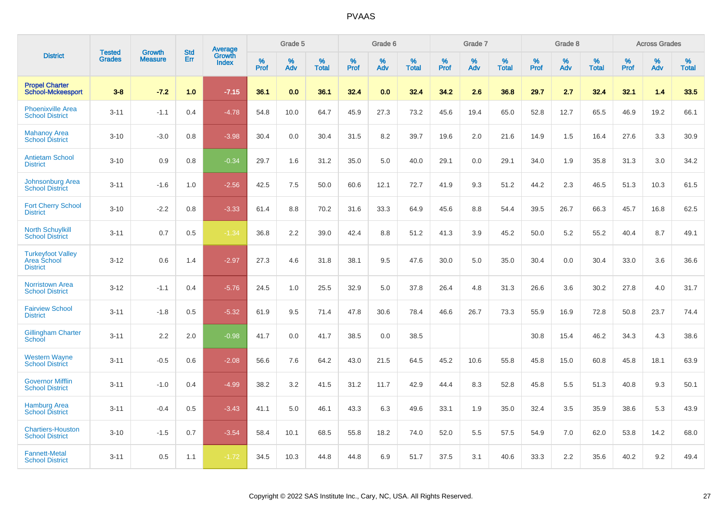|                                                            | <b>Tested</b> | <b>Growth</b>  | <b>Std</b> | <b>Average</b><br>Growth |              | Grade 5  |                      |                     | Grade 6     |                      |              | Grade 7     |                   |              | Grade 8     |                   |                     | <b>Across Grades</b> |                   |
|------------------------------------------------------------|---------------|----------------|------------|--------------------------|--------------|----------|----------------------|---------------------|-------------|----------------------|--------------|-------------|-------------------|--------------|-------------|-------------------|---------------------|----------------------|-------------------|
| <b>District</b>                                            | <b>Grades</b> | <b>Measure</b> | Err        | <b>Index</b>             | $\%$<br>Prof | %<br>Adv | $\%$<br><b>Total</b> | $\%$<br><b>Prof</b> | $\%$<br>Adv | $\%$<br><b>Total</b> | $\%$<br>Prof | $\%$<br>Adv | %<br><b>Total</b> | $\%$<br>Prof | $\%$<br>Adv | %<br><b>Total</b> | $\%$<br><b>Prof</b> | $\%$<br>Adv          | %<br><b>Total</b> |
| <b>Propel Charter</b><br><b>School-Mckeesport</b>          | $3 - 8$       | $-7.2$         | 1.0        | $-7.15$                  | 36.1         | 0.0      | 36.1                 | 32.4                | 0.0         | 32.4                 | 34.2         | 2.6         | 36.8              | 29.7         | 2.7         | 32.4              | 32.1                | 1.4                  | 33.5              |
| <b>Phoenixville Area</b><br><b>School District</b>         | $3 - 11$      | $-1.1$         | 0.4        | $-4.78$                  | 54.8         | 10.0     | 64.7                 | 45.9                | 27.3        | 73.2                 | 45.6         | 19.4        | 65.0              | 52.8         | 12.7        | 65.5              | 46.9                | 19.2                 | 66.1              |
| <b>Mahanoy Area</b><br><b>School District</b>              | $3 - 10$      | $-3.0$         | 0.8        | $-3.98$                  | 30.4         | 0.0      | 30.4                 | 31.5                | 8.2         | 39.7                 | 19.6         | 2.0         | 21.6              | 14.9         | 1.5         | 16.4              | 27.6                | 3.3                  | 30.9              |
| <b>Antietam School</b><br><b>District</b>                  | $3 - 10$      | 0.9            | 0.8        | $-0.34$                  | 29.7         | 1.6      | 31.2                 | 35.0                | 5.0         | 40.0                 | 29.1         | 0.0         | 29.1              | 34.0         | 1.9         | 35.8              | 31.3                | 3.0                  | 34.2              |
| <b>Johnsonburg Area</b><br><b>School District</b>          | $3 - 11$      | $-1.6$         | 1.0        | $-2.56$                  | 42.5         | 7.5      | 50.0                 | 60.6                | 12.1        | 72.7                 | 41.9         | 9.3         | 51.2              | 44.2         | 2.3         | 46.5              | 51.3                | 10.3                 | 61.5              |
| <b>Fort Cherry School</b><br><b>District</b>               | $3 - 10$      | $-2.2$         | 0.8        | $-3.33$                  | 61.4         | 8.8      | 70.2                 | 31.6                | 33.3        | 64.9                 | 45.6         | 8.8         | 54.4              | 39.5         | 26.7        | 66.3              | 45.7                | 16.8                 | 62.5              |
| <b>North Schuylkill</b><br><b>School District</b>          | $3 - 11$      | 0.7            | 0.5        | $-1.34$                  | 36.8         | 2.2      | 39.0                 | 42.4                | 8.8         | 51.2                 | 41.3         | 3.9         | 45.2              | 50.0         | 5.2         | 55.2              | 40.4                | 8.7                  | 49.1              |
| <b>Turkeyfoot Valley</b><br>Area School<br><b>District</b> | $3 - 12$      | 0.6            | 1.4        | $-2.97$                  | 27.3         | 4.6      | 31.8                 | 38.1                | 9.5         | 47.6                 | 30.0         | 5.0         | 35.0              | 30.4         | 0.0         | 30.4              | 33.0                | 3.6                  | 36.6              |
| <b>Norristown Area</b><br><b>School District</b>           | $3 - 12$      | $-1.1$         | 0.4        | $-5.76$                  | 24.5         | 1.0      | 25.5                 | 32.9                | 5.0         | 37.8                 | 26.4         | 4.8         | 31.3              | 26.6         | 3.6         | 30.2              | 27.8                | 4.0                  | 31.7              |
| <b>Fairview School</b><br><b>District</b>                  | $3 - 11$      | $-1.8$         | 0.5        | $-5.32$                  | 61.9         | 9.5      | 71.4                 | 47.8                | 30.6        | 78.4                 | 46.6         | 26.7        | 73.3              | 55.9         | 16.9        | 72.8              | 50.8                | 23.7                 | 74.4              |
| <b>Gillingham Charter</b><br>School                        | $3 - 11$      | 2.2            | 2.0        | $-0.98$                  | 41.7         | 0.0      | 41.7                 | 38.5                | 0.0         | 38.5                 |              |             |                   | 30.8         | 15.4        | 46.2              | 34.3                | 4.3                  | 38.6              |
| <b>Western Wayne</b><br><b>School District</b>             | $3 - 11$      | $-0.5$         | 0.6        | $-2.08$                  | 56.6         | 7.6      | 64.2                 | 43.0                | 21.5        | 64.5                 | 45.2         | 10.6        | 55.8              | 45.8         | 15.0        | 60.8              | 45.8                | 18.1                 | 63.9              |
| <b>Governor Mifflin</b><br><b>School District</b>          | $3 - 11$      | $-1.0$         | 0.4        | $-4.99$                  | 38.2         | 3.2      | 41.5                 | 31.2                | 11.7        | 42.9                 | 44.4         | 8.3         | 52.8              | 45.8         | 5.5         | 51.3              | 40.8                | 9.3                  | 50.1              |
| <b>Hamburg Area</b><br><b>School District</b>              | $3 - 11$      | $-0.4$         | 0.5        | $-3.43$                  | 41.1         | 5.0      | 46.1                 | 43.3                | 6.3         | 49.6                 | 33.1         | 1.9         | 35.0              | 32.4         | 3.5         | 35.9              | 38.6                | 5.3                  | 43.9              |
| <b>Chartiers-Houston</b><br><b>School District</b>         | $3 - 10$      | $-1.5$         | 0.7        | $-3.54$                  | 58.4         | 10.1     | 68.5                 | 55.8                | 18.2        | 74.0                 | 52.0         | 5.5         | 57.5              | 54.9         | 7.0         | 62.0              | 53.8                | 14.2                 | 68.0              |
| <b>Fannett-Metal</b><br><b>School District</b>             | $3 - 11$      | 0.5            | 1.1        | $-1.72$                  | 34.5         | 10.3     | 44.8                 | 44.8                | 6.9         | 51.7                 | 37.5         | 3.1         | 40.6              | 33.3         | 2.2         | 35.6              | 40.2                | 9.2                  | 49.4              |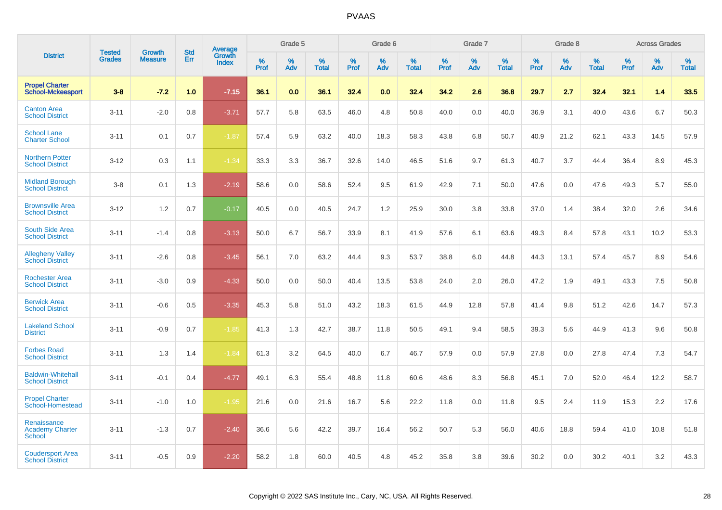|                                                        | <b>Tested</b> | <b>Growth</b>  | <b>Std</b> | Average                |              | Grade 5     |                      |              | Grade 6     |                      |              | Grade 7     |                   |              | Grade 8     |                   |                     | <b>Across Grades</b> |                      |
|--------------------------------------------------------|---------------|----------------|------------|------------------------|--------------|-------------|----------------------|--------------|-------------|----------------------|--------------|-------------|-------------------|--------------|-------------|-------------------|---------------------|----------------------|----------------------|
| <b>District</b>                                        | <b>Grades</b> | <b>Measure</b> | Err        | Growth<br><b>Index</b> | $\%$<br>Prof | $\%$<br>Adv | $\%$<br><b>Total</b> | $\%$<br>Prof | $\%$<br>Adv | $\%$<br><b>Total</b> | $\%$<br>Prof | $\%$<br>Adv | %<br><b>Total</b> | $\%$<br>Prof | $\%$<br>Adv | %<br><b>Total</b> | $\%$<br><b>Prof</b> | $\%$<br>Adv          | $\%$<br><b>Total</b> |
| <b>Propel Charter</b><br><b>School-Mckeesport</b>      | $3 - 8$       | $-7.2$         | 1.0        | $-7.15$                | 36.1         | 0.0         | 36.1                 | 32.4         | 0.0         | 32.4                 | 34.2         | 2.6         | 36.8              | 29.7         | 2.7         | 32.4              | 32.1                | 1.4                  | 33.5                 |
| <b>Canton Area</b><br><b>School District</b>           | $3 - 11$      | $-2.0$         | 0.8        | $-3.71$                | 57.7         | 5.8         | 63.5                 | 46.0         | 4.8         | 50.8                 | 40.0         | 0.0         | 40.0              | 36.9         | 3.1         | 40.0              | 43.6                | 6.7                  | 50.3                 |
| <b>School Lane</b><br><b>Charter School</b>            | $3 - 11$      | 0.1            | 0.7        | $-1.87$                | 57.4         | 5.9         | 63.2                 | 40.0         | 18.3        | 58.3                 | 43.8         | 6.8         | 50.7              | 40.9         | 21.2        | 62.1              | 43.3                | 14.5                 | 57.9                 |
| <b>Northern Potter</b><br><b>School District</b>       | $3 - 12$      | 0.3            | 1.1        | $-1.34$                | 33.3         | 3.3         | 36.7                 | 32.6         | 14.0        | 46.5                 | 51.6         | 9.7         | 61.3              | 40.7         | 3.7         | 44.4              | 36.4                | 8.9                  | 45.3                 |
| <b>Midland Borough</b><br><b>School District</b>       | $3-8$         | 0.1            | 1.3        | $-2.19$                | 58.6         | 0.0         | 58.6                 | 52.4         | 9.5         | 61.9                 | 42.9         | 7.1         | 50.0              | 47.6         | 0.0         | 47.6              | 49.3                | 5.7                  | 55.0                 |
| <b>Brownsville Area</b><br><b>School District</b>      | $3 - 12$      | 1.2            | 0.7        | $-0.17$                | 40.5         | 0.0         | 40.5                 | 24.7         | 1.2         | 25.9                 | 30.0         | 3.8         | 33.8              | 37.0         | 1.4         | 38.4              | 32.0                | 2.6                  | 34.6                 |
| <b>South Side Area</b><br><b>School District</b>       | $3 - 11$      | $-1.4$         | 0.8        | $-3.13$                | 50.0         | 6.7         | 56.7                 | 33.9         | 8.1         | 41.9                 | 57.6         | 6.1         | 63.6              | 49.3         | 8.4         | 57.8              | 43.1                | 10.2                 | 53.3                 |
| <b>Allegheny Valley</b><br><b>School District</b>      | $3 - 11$      | $-2.6$         | 0.8        | $-3.45$                | 56.1         | 7.0         | 63.2                 | 44.4         | 9.3         | 53.7                 | 38.8         | 6.0         | 44.8              | 44.3         | 13.1        | 57.4              | 45.7                | 8.9                  | 54.6                 |
| <b>Rochester Area</b><br><b>School District</b>        | $3 - 11$      | $-3.0$         | 0.9        | $-4.33$                | 50.0         | 0.0         | 50.0                 | 40.4         | 13.5        | 53.8                 | 24.0         | 2.0         | 26.0              | 47.2         | 1.9         | 49.1              | 43.3                | 7.5                  | 50.8                 |
| <b>Berwick Area</b><br><b>School District</b>          | $3 - 11$      | $-0.6$         | 0.5        | $-3.35$                | 45.3         | 5.8         | 51.0                 | 43.2         | 18.3        | 61.5                 | 44.9         | 12.8        | 57.8              | 41.4         | 9.8         | 51.2              | 42.6                | 14.7                 | 57.3                 |
| <b>Lakeland School</b><br><b>District</b>              | $3 - 11$      | $-0.9$         | 0.7        | $-1.85$                | 41.3         | 1.3         | 42.7                 | 38.7         | 11.8        | 50.5                 | 49.1         | 9.4         | 58.5              | 39.3         | 5.6         | 44.9              | 41.3                | 9.6                  | 50.8                 |
| <b>Forbes Road</b><br><b>School District</b>           | $3 - 11$      | 1.3            | 1.4        | $-1.84$                | 61.3         | 3.2         | 64.5                 | 40.0         | 6.7         | 46.7                 | 57.9         | 0.0         | 57.9              | 27.8         | 0.0         | 27.8              | 47.4                | 7.3                  | 54.7                 |
| <b>Baldwin-Whitehall</b><br><b>School District</b>     | $3 - 11$      | $-0.1$         | 0.4        | $-4.77$                | 49.1         | 6.3         | 55.4                 | 48.8         | 11.8        | 60.6                 | 48.6         | 8.3         | 56.8              | 45.1         | 7.0         | 52.0              | 46.4                | 12.2                 | 58.7                 |
| <b>Propel Charter</b><br>School-Homestead              | $3 - 11$      | $-1.0$         | 1.0        | $-1.95$                | 21.6         | 0.0         | 21.6                 | 16.7         | 5.6         | 22.2                 | 11.8         | 0.0         | 11.8              | 9.5          | 2.4         | 11.9              | 15.3                | 2.2                  | 17.6                 |
| Renaissance<br><b>Academy Charter</b><br><b>School</b> | $3 - 11$      | $-1.3$         | 0.7        | $-2.40$                | 36.6         | 5.6         | 42.2                 | 39.7         | 16.4        | 56.2                 | 50.7         | 5.3         | 56.0              | 40.6         | 18.8        | 59.4              | 41.0                | 10.8                 | 51.8                 |
| <b>Coudersport Area</b><br><b>School District</b>      | $3 - 11$      | $-0.5$         | 0.9        | $-2.20$                | 58.2         | 1.8         | 60.0                 | 40.5         | 4.8         | 45.2                 | 35.8         | 3.8         | 39.6              | 30.2         | 0.0         | 30.2              | 40.1                | 3.2                  | 43.3                 |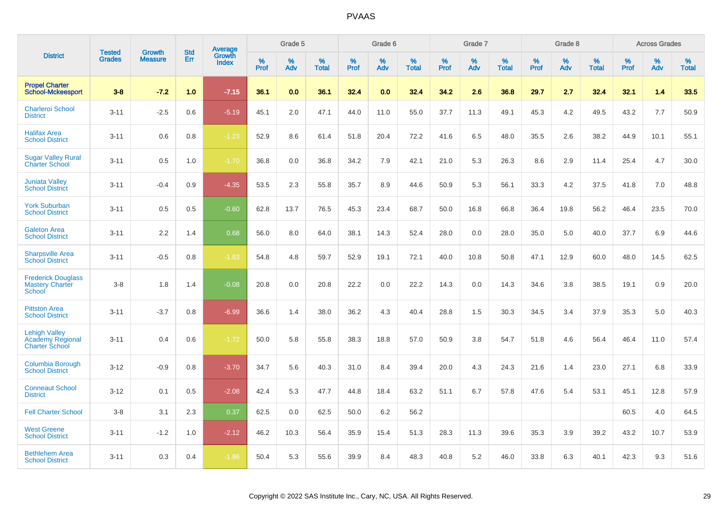|                                                                   | <b>Tested</b> | Growth         | <b>Std</b> | <b>Average</b><br>Growth |              | Grade 5  |                      |              | Grade 6     |                      |              | Grade 7  |                      |              | Grade 8     |                      |              | <b>Across Grades</b> |                      |
|-------------------------------------------------------------------|---------------|----------------|------------|--------------------------|--------------|----------|----------------------|--------------|-------------|----------------------|--------------|----------|----------------------|--------------|-------------|----------------------|--------------|----------------------|----------------------|
| <b>District</b>                                                   | <b>Grades</b> | <b>Measure</b> | Err        | <b>Index</b>             | $\%$<br>Prof | %<br>Adv | $\%$<br><b>Total</b> | $\%$<br>Prof | $\%$<br>Adv | $\%$<br><b>Total</b> | $\%$<br>Prof | %<br>Adv | $\%$<br><b>Total</b> | $\%$<br>Prof | $\%$<br>Adv | $\%$<br><b>Total</b> | $\%$<br>Prof | $\%$<br>Adv          | $\%$<br><b>Total</b> |
| <b>Propel Charter</b><br><b>School-Mckeesport</b>                 | $3 - 8$       | $-7.2$         | 1.0        | $-7.15$                  | 36.1         | 0.0      | 36.1                 | 32.4         | 0.0         | 32.4                 | 34.2         | 2.6      | 36.8                 | 29.7         | 2.7         | 32.4                 | 32.1         | 1.4                  | 33.5                 |
| <b>Charleroi School</b><br><b>District</b>                        | $3 - 11$      | $-2.5$         | 0.6        | $-5.19$                  | 45.1         | 2.0      | 47.1                 | 44.0         | 11.0        | 55.0                 | 37.7         | 11.3     | 49.1                 | 45.3         | 4.2         | 49.5                 | 43.2         | 7.7                  | 50.9                 |
| <b>Halifax Area</b><br><b>School District</b>                     | $3 - 11$      | 0.6            | 0.8        | $-1.23$                  | 52.9         | 8.6      | 61.4                 | 51.8         | 20.4        | 72.2                 | 41.6         | 6.5      | 48.0                 | 35.5         | 2.6         | 38.2                 | 44.9         | 10.1                 | 55.1                 |
| <b>Sugar Valley Rural</b><br><b>Charter School</b>                | $3 - 11$      | 0.5            | 1.0        | $-1.70$                  | 36.8         | 0.0      | 36.8                 | 34.2         | 7.9         | 42.1                 | 21.0         | 5.3      | 26.3                 | 8.6          | 2.9         | 11.4                 | 25.4         | 4.7                  | 30.0                 |
| <b>Juniata Valley</b><br><b>School District</b>                   | $3 - 11$      | $-0.4$         | 0.9        | $-4.35$                  | 53.5         | 2.3      | 55.8                 | 35.7         | 8.9         | 44.6                 | 50.9         | 5.3      | 56.1                 | 33.3         | 4.2         | 37.5                 | 41.8         | 7.0                  | 48.8                 |
| <b>York Suburban</b><br><b>School District</b>                    | $3 - 11$      | 0.5            | 0.5        | $-0.60$                  | 62.8         | 13.7     | 76.5                 | 45.3         | 23.4        | 68.7                 | 50.0         | 16.8     | 66.8                 | 36.4         | 19.8        | 56.2                 | 46.4         | 23.5                 | 70.0                 |
| <b>Galeton Area</b><br><b>School District</b>                     | $3 - 11$      | 2.2            | 1.4        | 0.68                     | 56.0         | 8.0      | 64.0                 | 38.1         | 14.3        | 52.4                 | 28.0         | 0.0      | 28.0                 | 35.0         | 5.0         | 40.0                 | 37.7         | 6.9                  | 44.6                 |
| <b>Sharpsville Area</b><br><b>School District</b>                 | $3 - 11$      | $-0.5$         | 0.8        | $-1.83$                  | 54.8         | 4.8      | 59.7                 | 52.9         | 19.1        | 72.1                 | 40.0         | 10.8     | 50.8                 | 47.1         | 12.9        | 60.0                 | 48.0         | 14.5                 | 62.5                 |
| <b>Frederick Douglass</b><br><b>Mastery Charter</b><br>School     | $3 - 8$       | 1.8            | 1.4        | $-0.08$                  | 20.8         | 0.0      | 20.8                 | 22.2         | 0.0         | 22.2                 | 14.3         | 0.0      | 14.3                 | 34.6         | 3.8         | 38.5                 | 19.1         | 0.9                  | 20.0                 |
| <b>Pittston Area</b><br><b>School District</b>                    | $3 - 11$      | $-3.7$         | 0.8        | $-6.99$                  | 36.6         | 1.4      | 38.0                 | 36.2         | 4.3         | 40.4                 | 28.8         | 1.5      | 30.3                 | 34.5         | 3.4         | 37.9                 | 35.3         | 5.0                  | 40.3                 |
| <b>Lehigh Valley</b><br>Academy Regional<br><b>Charter School</b> | $3 - 11$      | 0.4            | 0.6        | $-1.72$                  | 50.0         | 5.8      | 55.8                 | 38.3         | 18.8        | 57.0                 | 50.9         | 3.8      | 54.7                 | 51.8         | 4.6         | 56.4                 | 46.4         | 11.0                 | 57.4                 |
| Columbia Borough<br><b>School District</b>                        | $3 - 12$      | $-0.9$         | 0.8        | $-3.70$                  | 34.7         | 5.6      | 40.3                 | 31.0         | 8.4         | 39.4                 | 20.0         | 4.3      | 24.3                 | 21.6         | 1.4         | 23.0                 | 27.1         | 6.8                  | 33.9                 |
| <b>Conneaut School</b><br><b>District</b>                         | $3 - 12$      | 0.1            | 0.5        | $-2.08$                  | 42.4         | 5.3      | 47.7                 | 44.8         | 18.4        | 63.2                 | 51.1         | 6.7      | 57.8                 | 47.6         | 5.4         | 53.1                 | 45.1         | 12.8                 | 57.9                 |
| <b>Fell Charter School</b>                                        | $3 - 8$       | 3.1            | 2.3        | 0.37                     | 62.5         | 0.0      | 62.5                 | 50.0         | 6.2         | 56.2                 |              |          |                      |              |             |                      | 60.5         | 4.0                  | 64.5                 |
| <b>West Greene</b><br><b>School District</b>                      | $3 - 11$      | $-1.2$         | 1.0        | $-2.12$                  | 46.2         | 10.3     | 56.4                 | 35.9         | 15.4        | 51.3                 | 28.3         | 11.3     | 39.6                 | 35.3         | 3.9         | 39.2                 | 43.2         | 10.7                 | 53.9                 |
| <b>Bethlehem Area</b><br><b>School District</b>                   | $3 - 11$      | 0.3            | 0.4        | $-1.86$                  | 50.4         | 5.3      | 55.6                 | 39.9         | 8.4         | 48.3                 | 40.8         | 5.2      | 46.0                 | 33.8         | 6.3         | 40.1                 | 42.3         | 9.3                  | 51.6                 |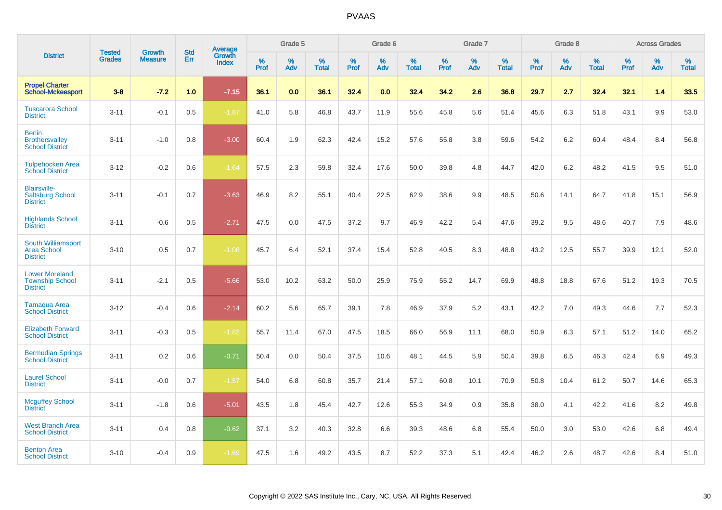|                                                                    |                                | <b>Growth</b>  | <b>Std</b> | <b>Average</b>         |              | Grade 5  |                   |           | Grade 6  |                   |           | Grade 7  |                   |           | Grade 8  |                   |              | <b>Across Grades</b> |                   |
|--------------------------------------------------------------------|--------------------------------|----------------|------------|------------------------|--------------|----------|-------------------|-----------|----------|-------------------|-----------|----------|-------------------|-----------|----------|-------------------|--------------|----------------------|-------------------|
| <b>District</b>                                                    | <b>Tested</b><br><b>Grades</b> | <b>Measure</b> | <b>Err</b> | Growth<br><b>Index</b> | $\%$<br>Prof | %<br>Adv | %<br><b>Total</b> | %<br>Prof | %<br>Adv | %<br><b>Total</b> | %<br>Prof | %<br>Adv | %<br><b>Total</b> | %<br>Prof | %<br>Adv | %<br><b>Total</b> | $\%$<br>Prof | %<br>Adv             | %<br><b>Total</b> |
| <b>Propel Charter</b><br><b>School-Mckeesport</b>                  | $3 - 8$                        | $-7.2$         | 1.0        | $-7.15$                | 36.1         | 0.0      | 36.1              | 32.4      | 0.0      | 32.4              | 34.2      | 2.6      | 36.8              | 29.7      | 2.7      | 32.4              | 32.1         | 1.4                  | 33.5              |
| <b>Tuscarora School</b><br><b>District</b>                         | $3 - 11$                       | $-0.1$         | 0.5        | $-1.87$                | 41.0         | 5.8      | 46.8              | 43.7      | 11.9     | 55.6              | 45.8      | 5.6      | 51.4              | 45.6      | 6.3      | 51.8              | 43.1         | 9.9                  | 53.0              |
| <b>Berlin</b><br><b>Brothersvalley</b><br><b>School District</b>   | $3 - 11$                       | $-1.0$         | 0.8        | $-3.00$                | 60.4         | 1.9      | 62.3              | 42.4      | 15.2     | 57.6              | 55.8      | 3.8      | 59.6              | 54.2      | 6.2      | 60.4              | 48.4         | 8.4                  | 56.8              |
| <b>Tulpehocken Area</b><br><b>School District</b>                  | $3 - 12$                       | $-0.2$         | 0.6        | $-1.64$                | 57.5         | 2.3      | 59.8              | 32.4      | 17.6     | 50.0              | 39.8      | 4.8      | 44.7              | 42.0      | 6.2      | 48.2              | 41.5         | 9.5                  | 51.0              |
| <b>Blairsville-</b><br><b>Saltsburg School</b><br><b>District</b>  | $3 - 11$                       | $-0.1$         | 0.7        | $-3.63$                | 46.9         | 8.2      | 55.1              | 40.4      | 22.5     | 62.9              | 38.6      | 9.9      | 48.5              | 50.6      | 14.1     | 64.7              | 41.8         | 15.1                 | 56.9              |
| <b>Highlands School</b><br><b>District</b>                         | $3 - 11$                       | $-0.6$         | 0.5        | $-2.71$                | 47.5         | 0.0      | 47.5              | 37.2      | 9.7      | 46.9              | 42.2      | 5.4      | 47.6              | 39.2      | 9.5      | 48.6              | 40.7         | 7.9                  | 48.6              |
| South Williamsport<br><b>Area School</b><br><b>District</b>        | $3 - 10$                       | 0.5            | 0.7        | $-1.08$                | 45.7         | 6.4      | 52.1              | 37.4      | 15.4     | 52.8              | 40.5      | 8.3      | 48.8              | 43.2      | 12.5     | 55.7              | 39.9         | 12.1                 | 52.0              |
| <b>Lower Moreland</b><br><b>Township School</b><br><b>District</b> | $3 - 11$                       | $-2.1$         | 0.5        | $-5.66$                | 53.0         | 10.2     | 63.2              | 50.0      | 25.9     | 75.9              | 55.2      | 14.7     | 69.9              | 48.8      | 18.8     | 67.6              | 51.2         | 19.3                 | 70.5              |
| Tamaqua Area<br><b>School District</b>                             | $3 - 12$                       | $-0.4$         | 0.6        | $-2.14$                | 60.2         | 5.6      | 65.7              | 39.1      | 7.8      | 46.9              | 37.9      | 5.2      | 43.1              | 42.2      | 7.0      | 49.3              | 44.6         | 7.7                  | 52.3              |
| <b>Elizabeth Forward</b><br><b>School District</b>                 | $3 - 11$                       | $-0.3$         | 0.5        | $-1.82$                | 55.7         | 11.4     | 67.0              | 47.5      | 18.5     | 66.0              | 56.9      | 11.1     | 68.0              | 50.9      | 6.3      | 57.1              | 51.2         | 14.0                 | 65.2              |
| <b>Bermudian Springs</b><br><b>School District</b>                 | $3 - 11$                       | 0.2            | 0.6        | $-0.71$                | 50.4         | 0.0      | 50.4              | 37.5      | 10.6     | 48.1              | 44.5      | 5.9      | 50.4              | 39.8      | 6.5      | 46.3              | 42.4         | 6.9                  | 49.3              |
| <b>Laurel School</b><br><b>District</b>                            | $3 - 11$                       | $-0.0$         | 0.7        | $-1.57$                | 54.0         | 6.8      | 60.8              | 35.7      | 21.4     | 57.1              | 60.8      | 10.1     | 70.9              | 50.8      | 10.4     | 61.2              | 50.7         | 14.6                 | 65.3              |
| <b>Mcguffey School</b><br><b>District</b>                          | $3 - 11$                       | $-1.8$         | 0.6        | $-5.01$                | 43.5         | 1.8      | 45.4              | 42.7      | 12.6     | 55.3              | 34.9      | 0.9      | 35.8              | 38.0      | 4.1      | 42.2              | 41.6         | 8.2                  | 49.8              |
| <b>West Branch Area</b><br><b>School District</b>                  | $3 - 11$                       | 0.4            | 0.8        | $-0.62$                | 37.1         | 3.2      | 40.3              | 32.8      | 6.6      | 39.3              | 48.6      | 6.8      | 55.4              | 50.0      | 3.0      | 53.0              | 42.6         | 6.8                  | 49.4              |
| <b>Benton Area</b><br><b>School District</b>                       | $3 - 10$                       | $-0.4$         | 0.9        | $-1.69$                | 47.5         | 1.6      | 49.2              | 43.5      | 8.7      | 52.2              | 37.3      | 5.1      | 42.4              | 46.2      | 2.6      | 48.7              | 42.6         | 8.4                  | 51.0              |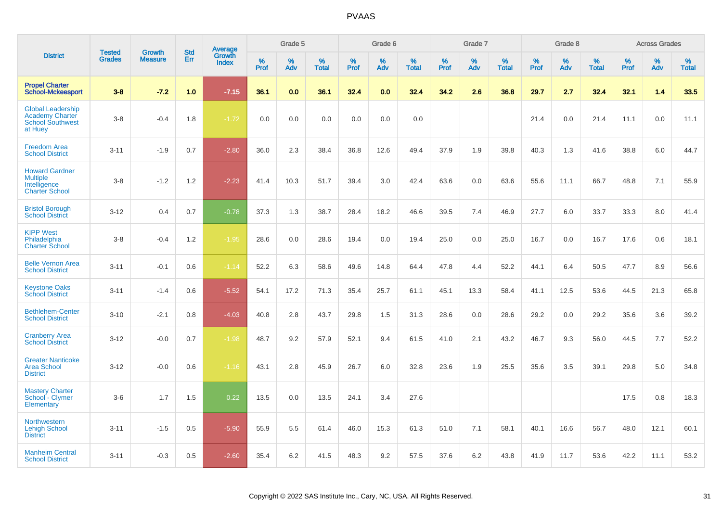|                                                                                          | <b>Tested</b> | <b>Growth</b>  | <b>Std</b> |                                   |              | Grade 5  |                   |              | Grade 6  |                   |           | Grade 7  |                   |              | Grade 8  |                   |           | <b>Across Grades</b> |                   |
|------------------------------------------------------------------------------------------|---------------|----------------|------------|-----------------------------------|--------------|----------|-------------------|--------------|----------|-------------------|-----------|----------|-------------------|--------------|----------|-------------------|-----------|----------------------|-------------------|
| <b>District</b>                                                                          | <b>Grades</b> | <b>Measure</b> | Err        | Average<br>Growth<br><b>Index</b> | $\%$<br>Prof | %<br>Adv | %<br><b>Total</b> | $\%$<br>Prof | %<br>Adv | %<br><b>Total</b> | %<br>Prof | %<br>Adv | %<br><b>Total</b> | $\%$<br>Prof | %<br>Adv | %<br><b>Total</b> | %<br>Prof | %<br>Adv             | %<br><b>Total</b> |
| <b>Propel Charter</b><br><b>School-Mckeesport</b>                                        | $3-8$         | $-7.2$         | 1.0        | $-7.15$                           | 36.1         | 0.0      | 36.1              | 32.4         | 0.0      | 32.4              | 34.2      | 2.6      | 36.8              | 29.7         | 2.7      | 32.4              | 32.1      | 1.4                  | 33.5              |
| <b>Global Leadership</b><br><b>Academy Charter</b><br><b>School Southwest</b><br>at Huey | $3-8$         | $-0.4$         | 1.8        | $-1.72$                           | 0.0          | 0.0      | 0.0               | 0.0          | 0.0      | 0.0               |           |          |                   | 21.4         | 0.0      | 21.4              | 11.1      | 0.0                  | 11.1              |
| <b>Freedom Area</b><br><b>School District</b>                                            | $3 - 11$      | $-1.9$         | 0.7        | $-2.80$                           | 36.0         | 2.3      | 38.4              | 36.8         | 12.6     | 49.4              | 37.9      | 1.9      | 39.8              | 40.3         | 1.3      | 41.6              | 38.8      | 6.0                  | 44.7              |
| <b>Howard Gardner</b><br><b>Multiple</b><br>Intelligence<br><b>Charter School</b>        | $3 - 8$       | $-1.2$         | 1.2        | $-2.23$                           | 41.4         | 10.3     | 51.7              | 39.4         | 3.0      | 42.4              | 63.6      | 0.0      | 63.6              | 55.6         | 11.1     | 66.7              | 48.8      | 7.1                  | 55.9              |
| <b>Bristol Borough</b><br><b>School District</b>                                         | $3 - 12$      | 0.4            | 0.7        | $-0.78$                           | 37.3         | 1.3      | 38.7              | 28.4         | 18.2     | 46.6              | 39.5      | 7.4      | 46.9              | 27.7         | 6.0      | 33.7              | 33.3      | 8.0                  | 41.4              |
| <b>KIPP West</b><br>Philadelphia<br><b>Charter School</b>                                | $3-8$         | $-0.4$         | 1.2        | $-1.95$                           | 28.6         | 0.0      | 28.6              | 19.4         | 0.0      | 19.4              | 25.0      | 0.0      | 25.0              | 16.7         | 0.0      | 16.7              | 17.6      | 0.6                  | 18.1              |
| <b>Belle Vernon Area</b><br><b>School District</b>                                       | $3 - 11$      | $-0.1$         | 0.6        | $-1.14$                           | 52.2         | 6.3      | 58.6              | 49.6         | 14.8     | 64.4              | 47.8      | 4.4      | 52.2              | 44.1         | 6.4      | 50.5              | 47.7      | 8.9                  | 56.6              |
| <b>Keystone Oaks</b><br><b>School District</b>                                           | $3 - 11$      | $-1.4$         | 0.6        | $-5.52$                           | 54.1         | 17.2     | 71.3              | 35.4         | 25.7     | 61.1              | 45.1      | 13.3     | 58.4              | 41.1         | 12.5     | 53.6              | 44.5      | 21.3                 | 65.8              |
| <b>Bethlehem-Center</b><br><b>School District</b>                                        | $3 - 10$      | $-2.1$         | 0.8        | $-4.03$                           | 40.8         | 2.8      | 43.7              | 29.8         | 1.5      | 31.3              | 28.6      | 0.0      | 28.6              | 29.2         | 0.0      | 29.2              | 35.6      | 3.6                  | 39.2              |
| <b>Cranberry Area</b><br><b>School District</b>                                          | $3 - 12$      | $-0.0$         | 0.7        | $-1.98$                           | 48.7         | 9.2      | 57.9              | 52.1         | 9.4      | 61.5              | 41.0      | 2.1      | 43.2              | 46.7         | 9.3      | 56.0              | 44.5      | 7.7                  | 52.2              |
| <b>Greater Nanticoke</b><br>Area School<br><b>District</b>                               | $3 - 12$      | $-0.0$         | 0.6        | $-1.16$                           | 43.1         | 2.8      | 45.9              | 26.7         | 6.0      | 32.8              | 23.6      | 1.9      | 25.5              | 35.6         | 3.5      | 39.1              | 29.8      | 5.0                  | 34.8              |
| <b>Mastery Charter</b><br>School - Clymer<br>Elementary                                  | $3-6$         | 1.7            | 1.5        | 0.22                              | 13.5         | 0.0      | 13.5              | 24.1         | 3.4      | 27.6              |           |          |                   |              |          |                   | 17.5      | 0.8                  | 18.3              |
| <b>Northwestern</b><br><b>Lehigh School</b><br><b>District</b>                           | $3 - 11$      | $-1.5$         | 0.5        | $-5.90$                           | 55.9         | 5.5      | 61.4              | 46.0         | 15.3     | 61.3              | 51.0      | 7.1      | 58.1              | 40.1         | 16.6     | 56.7              | 48.0      | 12.1                 | 60.1              |
| <b>Manheim Central</b><br><b>School District</b>                                         | $3 - 11$      | $-0.3$         | 0.5        | $-2.60$                           | 35.4         | 6.2      | 41.5              | 48.3         | 9.2      | 57.5              | 37.6      | 6.2      | 43.8              | 41.9         | 11.7     | 53.6              | 42.2      | 11.1                 | 53.2              |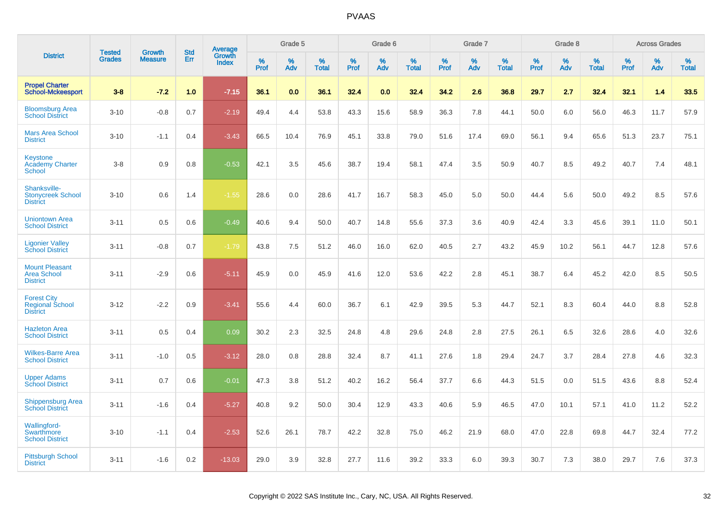|                                                                    | <b>Tested</b> | <b>Growth</b>  | <b>Std</b> |                                          |              | Grade 5  |                   |           | Grade 6  |                   |           | Grade 7  |                   |           | Grade 8  |                   |              | <b>Across Grades</b> |                   |
|--------------------------------------------------------------------|---------------|----------------|------------|------------------------------------------|--------------|----------|-------------------|-----------|----------|-------------------|-----------|----------|-------------------|-----------|----------|-------------------|--------------|----------------------|-------------------|
| <b>District</b>                                                    | <b>Grades</b> | <b>Measure</b> | <b>Err</b> | <b>Average</b><br>Growth<br><b>Index</b> | $\%$<br>Prof | %<br>Adv | %<br><b>Total</b> | %<br>Prof | %<br>Adv | %<br><b>Total</b> | %<br>Prof | %<br>Adv | %<br><b>Total</b> | %<br>Prof | %<br>Adv | %<br><b>Total</b> | $\%$<br>Prof | %<br>Adv             | %<br><b>Total</b> |
| <b>Propel Charter</b><br><b>School-Mckeesport</b>                  | $3 - 8$       | $-7.2$         | 1.0        | $-7.15$                                  | 36.1         | 0.0      | 36.1              | 32.4      | 0.0      | 32.4              | 34.2      | 2.6      | 36.8              | 29.7      | 2.7      | 32.4              | 32.1         | 1.4                  | 33.5              |
| <b>Bloomsburg Area</b><br><b>School District</b>                   | $3 - 10$      | $-0.8$         | 0.7        | $-2.19$                                  | 49.4         | 4.4      | 53.8              | 43.3      | 15.6     | 58.9              | 36.3      | 7.8      | 44.1              | 50.0      | 6.0      | 56.0              | 46.3         | 11.7                 | 57.9              |
| <b>Mars Area School</b><br><b>District</b>                         | $3 - 10$      | $-1.1$         | 0.4        | $-3.43$                                  | 66.5         | 10.4     | 76.9              | 45.1      | 33.8     | 79.0              | 51.6      | 17.4     | 69.0              | 56.1      | 9.4      | 65.6              | 51.3         | 23.7                 | 75.1              |
| <b>Keystone</b><br><b>Academy Charter</b><br>School                | $3 - 8$       | 0.9            | 0.8        | $-0.53$                                  | 42.1         | 3.5      | 45.6              | 38.7      | 19.4     | 58.1              | 47.4      | 3.5      | 50.9              | 40.7      | 8.5      | 49.2              | 40.7         | 7.4                  | 48.1              |
| Shanksville-<br><b>Stonycreek School</b><br><b>District</b>        | $3 - 10$      | 0.6            | 1.4        | $-1.55$                                  | 28.6         | 0.0      | 28.6              | 41.7      | 16.7     | 58.3              | 45.0      | 5.0      | 50.0              | 44.4      | 5.6      | 50.0              | 49.2         | 8.5                  | 57.6              |
| <b>Uniontown Area</b><br><b>School District</b>                    | $3 - 11$      | 0.5            | 0.6        | $-0.49$                                  | 40.6         | 9.4      | 50.0              | 40.7      | 14.8     | 55.6              | 37.3      | 3.6      | 40.9              | 42.4      | 3.3      | 45.6              | 39.1         | 11.0                 | 50.1              |
| <b>Ligonier Valley</b><br><b>School District</b>                   | $3 - 11$      | $-0.8$         | 0.7        | $-1.79$                                  | 43.8         | $7.5\,$  | 51.2              | 46.0      | 16.0     | 62.0              | 40.5      | 2.7      | 43.2              | 45.9      | 10.2     | 56.1              | 44.7         | 12.8                 | 57.6              |
| <b>Mount Pleasant</b><br><b>Area School</b><br><b>District</b>     | $3 - 11$      | $-2.9$         | 0.6        | $-5.11$                                  | 45.9         | 0.0      | 45.9              | 41.6      | 12.0     | 53.6              | 42.2      | 2.8      | 45.1              | 38.7      | 6.4      | 45.2              | 42.0         | 8.5                  | 50.5              |
| <b>Forest City</b><br><b>Regional School</b><br><b>District</b>    | $3 - 12$      | $-2.2$         | 0.9        | $-3.41$                                  | 55.6         | 4.4      | 60.0              | 36.7      | 6.1      | 42.9              | 39.5      | 5.3      | 44.7              | 52.1      | 8.3      | 60.4              | 44.0         | 8.8                  | 52.8              |
| <b>Hazleton Area</b><br><b>School District</b>                     | $3 - 11$      | 0.5            | 0.4        | 0.09                                     | 30.2         | 2.3      | 32.5              | 24.8      | 4.8      | 29.6              | 24.8      | 2.8      | 27.5              | 26.1      | 6.5      | 32.6              | 28.6         | 4.0                  | 32.6              |
| <b>Wilkes-Barre Area</b><br><b>School District</b>                 | $3 - 11$      | $-1.0$         | 0.5        | $-3.12$                                  | 28.0         | 0.8      | 28.8              | 32.4      | 8.7      | 41.1              | 27.6      | 1.8      | 29.4              | 24.7      | 3.7      | 28.4              | 27.8         | 4.6                  | 32.3              |
| <b>Upper Adams</b><br><b>School District</b>                       | $3 - 11$      | 0.7            | 0.6        | $-0.01$                                  | 47.3         | 3.8      | 51.2              | 40.2      | 16.2     | 56.4              | 37.7      | 6.6      | 44.3              | 51.5      | 0.0      | 51.5              | 43.6         | 8.8                  | 52.4              |
| <b>Shippensburg Area</b><br><b>School District</b>                 | $3 - 11$      | $-1.6$         | 0.4        | $-5.27$                                  | 40.8         | 9.2      | 50.0              | 30.4      | 12.9     | 43.3              | 40.6      | 5.9      | 46.5              | 47.0      | 10.1     | 57.1              | 41.0         | 11.2                 | 52.2              |
| <b>Wallingford-</b><br><b>Swarthmore</b><br><b>School District</b> | $3 - 10$      | $-1.1$         | 0.4        | $-2.53$                                  | 52.6         | 26.1     | 78.7              | 42.2      | 32.8     | 75.0              | 46.2      | 21.9     | 68.0              | 47.0      | 22.8     | 69.8              | 44.7         | 32.4                 | 77.2              |
| <b>Pittsburgh School</b><br><b>District</b>                        | $3 - 11$      | $-1.6$         | 0.2        | $-13.03$                                 | 29.0         | 3.9      | 32.8              | 27.7      | 11.6     | 39.2              | 33.3      | 6.0      | 39.3              | 30.7      | 7.3      | 38.0              | 29.7         | 7.6                  | 37.3              |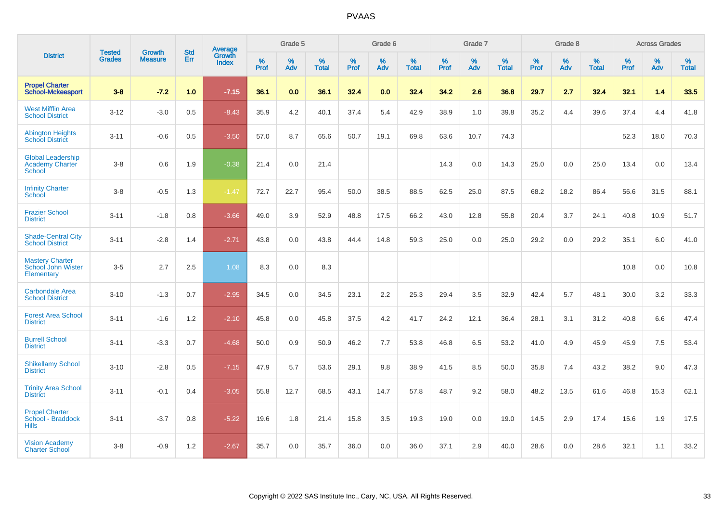|                                                                     | <b>Tested</b> | <b>Growth</b>  | <b>Std</b> | <b>Average</b>         |              | Grade 5  |                   |           | Grade 6  |                   |           | Grade 7  |                   |           | Grade 8  |                   |              | <b>Across Grades</b> |                   |
|---------------------------------------------------------------------|---------------|----------------|------------|------------------------|--------------|----------|-------------------|-----------|----------|-------------------|-----------|----------|-------------------|-----------|----------|-------------------|--------------|----------------------|-------------------|
| <b>District</b>                                                     | <b>Grades</b> | <b>Measure</b> | Err        | Growth<br><b>Index</b> | $\%$<br>Prof | %<br>Adv | %<br><b>Total</b> | %<br>Prof | %<br>Adv | %<br><b>Total</b> | %<br>Prof | %<br>Adv | %<br><b>Total</b> | %<br>Prof | %<br>Adv | %<br><b>Total</b> | $\%$<br>Prof | %<br>Adv             | %<br><b>Total</b> |
| <b>Propel Charter</b><br><b>School-Mckeesport</b>                   | $3 - 8$       | $-7.2$         | 1.0        | $-7.15$                | 36.1         | 0.0      | 36.1              | 32.4      | 0.0      | 32.4              | 34.2      | 2.6      | 36.8              | 29.7      | 2.7      | 32.4              | 32.1         | 1.4                  | 33.5              |
| <b>West Mifflin Area</b><br><b>School District</b>                  | $3 - 12$      | $-3.0$         | 0.5        | $-8.43$                | 35.9         | 4.2      | 40.1              | 37.4      | 5.4      | 42.9              | 38.9      | 1.0      | 39.8              | 35.2      | 4.4      | 39.6              | 37.4         | 4.4                  | 41.8              |
| <b>Abington Heights</b><br><b>School District</b>                   | $3 - 11$      | $-0.6$         | 0.5        | $-3.50$                | 57.0         | 8.7      | 65.6              | 50.7      | 19.1     | 69.8              | 63.6      | 10.7     | 74.3              |           |          |                   | 52.3         | 18.0                 | 70.3              |
| <b>Global Leadership</b><br><b>Academy Charter</b><br><b>School</b> | $3 - 8$       | 0.6            | 1.9        | $-0.38$                | 21.4         | 0.0      | 21.4              |           |          |                   | 14.3      | 0.0      | 14.3              | 25.0      | 0.0      | 25.0              | 13.4         | 0.0                  | 13.4              |
| <b>Infinity Charter</b><br>School                                   | $3-8$         | $-0.5$         | 1.3        | $-1.47$                | 72.7         | 22.7     | 95.4              | 50.0      | 38.5     | 88.5              | 62.5      | 25.0     | 87.5              | 68.2      | 18.2     | 86.4              | 56.6         | 31.5                 | 88.1              |
| <b>Frazier School</b><br><b>District</b>                            | $3 - 11$      | $-1.8$         | 0.8        | $-3.66$                | 49.0         | 3.9      | 52.9              | 48.8      | 17.5     | 66.2              | 43.0      | 12.8     | 55.8              | 20.4      | 3.7      | 24.1              | 40.8         | 10.9                 | 51.7              |
| <b>Shade-Central City</b><br><b>School District</b>                 | $3 - 11$      | $-2.8$         | 1.4        | $-2.71$                | 43.8         | 0.0      | 43.8              | 44.4      | 14.8     | 59.3              | 25.0      | 0.0      | 25.0              | 29.2      | 0.0      | 29.2              | 35.1         | 6.0                  | 41.0              |
| <b>Mastery Charter</b><br>School John Wister<br>Elementary          | $3-5$         | 2.7            | 2.5        | 1.08                   | 8.3          | 0.0      | 8.3               |           |          |                   |           |          |                   |           |          |                   | 10.8         | 0.0                  | 10.8              |
| <b>Carbondale Area</b><br><b>School District</b>                    | $3 - 10$      | $-1.3$         | 0.7        | $-2.95$                | 34.5         | 0.0      | 34.5              | 23.1      | 2.2      | 25.3              | 29.4      | 3.5      | 32.9              | 42.4      | 5.7      | 48.1              | 30.0         | 3.2                  | 33.3              |
| <b>Forest Area School</b><br><b>District</b>                        | $3 - 11$      | $-1.6$         | 1.2        | $-2.10$                | 45.8         | 0.0      | 45.8              | 37.5      | 4.2      | 41.7              | 24.2      | 12.1     | 36.4              | 28.1      | 3.1      | 31.2              | 40.8         | 6.6                  | 47.4              |
| <b>Burrell School</b><br><b>District</b>                            | $3 - 11$      | $-3.3$         | 0.7        | $-4.68$                | 50.0         | 0.9      | 50.9              | 46.2      | 7.7      | 53.8              | 46.8      | 6.5      | 53.2              | 41.0      | 4.9      | 45.9              | 45.9         | 7.5                  | 53.4              |
| <b>Shikellamy School</b><br><b>District</b>                         | $3 - 10$      | $-2.8$         | 0.5        | $-7.15$                | 47.9         | 5.7      | 53.6              | 29.1      | 9.8      | 38.9              | 41.5      | 8.5      | 50.0              | 35.8      | 7.4      | 43.2              | 38.2         | 9.0                  | 47.3              |
| <b>Trinity Area School</b><br><b>District</b>                       | $3 - 11$      | $-0.1$         | 0.4        | $-3.05$                | 55.8         | 12.7     | 68.5              | 43.1      | 14.7     | 57.8              | 48.7      | 9.2      | 58.0              | 48.2      | 13.5     | 61.6              | 46.8         | 15.3                 | 62.1              |
| <b>Propel Charter</b><br>School - Braddock<br><b>Hills</b>          | $3 - 11$      | $-3.7$         | 0.8        | $-5.22$                | 19.6         | 1.8      | 21.4              | 15.8      | 3.5      | 19.3              | 19.0      | 0.0      | 19.0              | 14.5      | 2.9      | 17.4              | 15.6         | 1.9                  | 17.5              |
| <b>Vision Academy</b><br><b>Charter School</b>                      | $3 - 8$       | $-0.9$         | 1.2        | $-2.67$                | 35.7         | 0.0      | 35.7              | 36.0      | 0.0      | 36.0              | 37.1      | 2.9      | 40.0              | 28.6      | 0.0      | 28.6              | 32.1         | 1.1                  | 33.2              |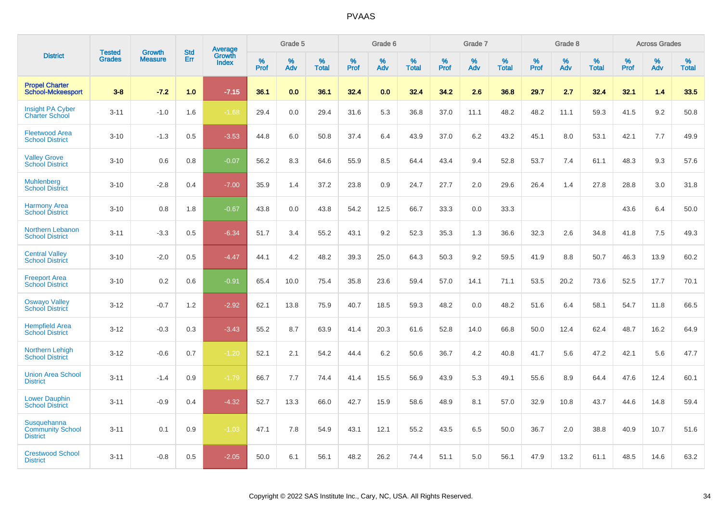|                                                           | <b>Tested</b> | <b>Growth</b>  | <b>Std</b> | Average         |              | Grade 5     |                      |              | Grade 6     |                      |              | Grade 7     |                   |              | Grade 8     |                   |                     | <b>Across Grades</b> |                      |
|-----------------------------------------------------------|---------------|----------------|------------|-----------------|--------------|-------------|----------------------|--------------|-------------|----------------------|--------------|-------------|-------------------|--------------|-------------|-------------------|---------------------|----------------------|----------------------|
| <b>District</b>                                           | <b>Grades</b> | <b>Measure</b> | Err        | Growth<br>Index | $\%$<br>Prof | $\%$<br>Adv | $\%$<br><b>Total</b> | $\%$<br>Prof | $\%$<br>Adv | $\%$<br><b>Total</b> | $\%$<br>Prof | $\%$<br>Adv | %<br><b>Total</b> | $\%$<br>Prof | $\%$<br>Adv | %<br><b>Total</b> | $\%$<br><b>Prof</b> | $\%$<br>Adv          | $\%$<br><b>Total</b> |
| <b>Propel Charter</b><br><b>School-Mckeesport</b>         | $3 - 8$       | $-7.2$         | 1.0        | $-7.15$         | 36.1         | 0.0         | 36.1                 | 32.4         | 0.0         | 32.4                 | 34.2         | 2.6         | 36.8              | 29.7         | 2.7         | 32.4              | 32.1                | 1.4                  | 33.5                 |
| <b>Insight PA Cyber</b><br><b>Charter School</b>          | $3 - 11$      | $-1.0$         | 1.6        | $-1.68$         | 29.4         | 0.0         | 29.4                 | 31.6         | 5.3         | 36.8                 | 37.0         | 11.1        | 48.2              | 48.2         | 11.1        | 59.3              | 41.5                | 9.2                  | 50.8                 |
| <b>Fleetwood Area</b><br><b>School District</b>           | $3 - 10$      | $-1.3$         | 0.5        | $-3.53$         | 44.8         | 6.0         | 50.8                 | 37.4         | 6.4         | 43.9                 | 37.0         | 6.2         | 43.2              | 45.1         | 8.0         | 53.1              | 42.1                | 7.7                  | 49.9                 |
| <b>Valley Grove</b><br><b>School District</b>             | $3 - 10$      | 0.6            | 0.8        | $-0.07$         | 56.2         | 8.3         | 64.6                 | 55.9         | 8.5         | 64.4                 | 43.4         | 9.4         | 52.8              | 53.7         | 7.4         | 61.1              | 48.3                | 9.3                  | 57.6                 |
| <b>Muhlenberg</b><br><b>School District</b>               | $3 - 10$      | $-2.8$         | 0.4        | $-7.00$         | 35.9         | 1.4         | 37.2                 | 23.8         | 0.9         | 24.7                 | 27.7         | 2.0         | 29.6              | 26.4         | 1.4         | 27.8              | 28.8                | 3.0                  | 31.8                 |
| <b>Harmony Area</b><br><b>School District</b>             | $3 - 10$      | 0.8            | 1.8        | $-0.67$         | 43.8         | 0.0         | 43.8                 | 54.2         | 12.5        | 66.7                 | 33.3         | 0.0         | 33.3              |              |             |                   | 43.6                | 6.4                  | 50.0                 |
| Northern Lebanon<br><b>School District</b>                | $3 - 11$      | $-3.3$         | 0.5        | $-6.34$         | 51.7         | 3.4         | 55.2                 | 43.1         | 9.2         | 52.3                 | 35.3         | 1.3         | 36.6              | 32.3         | 2.6         | 34.8              | 41.8                | 7.5                  | 49.3                 |
| <b>Central Valley</b><br><b>School District</b>           | $3 - 10$      | $-2.0$         | 0.5        | $-4.47$         | 44.1         | 4.2         | 48.2                 | 39.3         | 25.0        | 64.3                 | 50.3         | 9.2         | 59.5              | 41.9         | 8.8         | 50.7              | 46.3                | 13.9                 | 60.2                 |
| <b>Freeport Area</b><br><b>School District</b>            | $3 - 10$      | 0.2            | 0.6        | $-0.91$         | 65.4         | 10.0        | 75.4                 | 35.8         | 23.6        | 59.4                 | 57.0         | 14.1        | 71.1              | 53.5         | 20.2        | 73.6              | 52.5                | 17.7                 | 70.1                 |
| <b>Oswayo Valley</b><br><b>School District</b>            | $3 - 12$      | $-0.7$         | 1.2        | $-2.92$         | 62.1         | 13.8        | 75.9                 | 40.7         | 18.5        | 59.3                 | 48.2         | 0.0         | 48.2              | 51.6         | 6.4         | 58.1              | 54.7                | 11.8                 | 66.5                 |
| <b>Hempfield Area</b><br><b>School District</b>           | $3 - 12$      | $-0.3$         | 0.3        | $-3.43$         | 55.2         | 8.7         | 63.9                 | 41.4         | 20.3        | 61.6                 | 52.8         | 14.0        | 66.8              | 50.0         | 12.4        | 62.4              | 48.7                | 16.2                 | 64.9                 |
| Northern Lehigh<br><b>School District</b>                 | $3 - 12$      | $-0.6$         | 0.7        | $-1.20$         | 52.1         | 2.1         | 54.2                 | 44.4         | 6.2         | 50.6                 | 36.7         | 4.2         | 40.8              | 41.7         | 5.6         | 47.2              | 42.1                | 5.6                  | 47.7                 |
| <b>Union Area School</b><br><b>District</b>               | $3 - 11$      | $-1.4$         | 0.9        | $-1.79$         | 66.7         | 7.7         | 74.4                 | 41.4         | 15.5        | 56.9                 | 43.9         | 5.3         | 49.1              | 55.6         | 8.9         | 64.4              | 47.6                | 12.4                 | 60.1                 |
| <b>Lower Dauphin</b><br><b>School District</b>            | $3 - 11$      | $-0.9$         | 0.4        | $-4.32$         | 52.7         | 13.3        | 66.0                 | 42.7         | 15.9        | 58.6                 | 48.9         | 8.1         | 57.0              | 32.9         | 10.8        | 43.7              | 44.6                | 14.8                 | 59.4                 |
| Susquehanna<br><b>Community School</b><br><b>District</b> | $3 - 11$      | 0.1            | 0.9        | $-1.03$         | 47.1         | 7.8         | 54.9                 | 43.1         | 12.1        | 55.2                 | 43.5         | 6.5         | 50.0              | 36.7         | 2.0         | 38.8              | 40.9                | 10.7                 | 51.6                 |
| <b>Crestwood School</b><br><b>District</b>                | $3 - 11$      | $-0.8$         | 0.5        | $-2.05$         | 50.0         | 6.1         | 56.1                 | 48.2         | 26.2        | 74.4                 | 51.1         | 5.0         | 56.1              | 47.9         | 13.2        | 61.1              | 48.5                | 14.6                 | 63.2                 |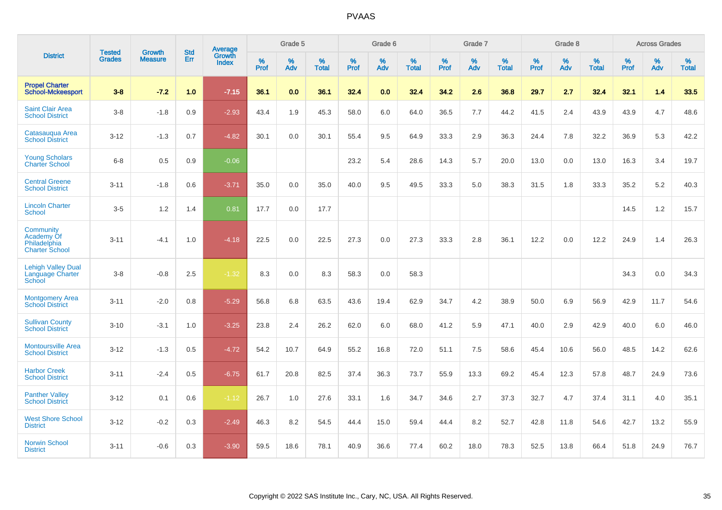|                                                                  | <b>Tested</b> | <b>Growth</b>  | <b>Std</b> | <b>Average</b>         |           | Grade 5  |                   |           | Grade 6  |                   |           | Grade 7  |                   |           | Grade 8  |                   |           | <b>Across Grades</b> |                   |
|------------------------------------------------------------------|---------------|----------------|------------|------------------------|-----------|----------|-------------------|-----------|----------|-------------------|-----------|----------|-------------------|-----------|----------|-------------------|-----------|----------------------|-------------------|
| <b>District</b>                                                  | <b>Grades</b> | <b>Measure</b> | Err        | Growth<br><b>Index</b> | %<br>Prof | %<br>Adv | %<br><b>Total</b> | %<br>Prof | %<br>Adv | %<br><b>Total</b> | %<br>Prof | %<br>Adv | %<br><b>Total</b> | %<br>Prof | %<br>Adv | %<br><b>Total</b> | %<br>Prof | %<br>Adv             | %<br><b>Total</b> |
| <b>Propel Charter</b><br><b>School-Mckeesport</b>                | $3-8$         | $-7.2$         | 1.0        | $-7.15$                | 36.1      | 0.0      | 36.1              | 32.4      | 0.0      | 32.4              | 34.2      | 2.6      | 36.8              | 29.7      | 2.7      | 32.4              | 32.1      | 1.4                  | 33.5              |
| <b>Saint Clair Area</b><br><b>School District</b>                | $3-8$         | $-1.8$         | 0.9        | $-2.93$                | 43.4      | 1.9      | 45.3              | 58.0      | 6.0      | 64.0              | 36.5      | 7.7      | 44.2              | 41.5      | 2.4      | 43.9              | 43.9      | 4.7                  | 48.6              |
| Catasauqua Area<br><b>School District</b>                        | $3 - 12$      | $-1.3$         | 0.7        | $-4.82$                | 30.1      | 0.0      | 30.1              | 55.4      | 9.5      | 64.9              | 33.3      | 2.9      | 36.3              | 24.4      | 7.8      | 32.2              | 36.9      | 5.3                  | 42.2              |
| <b>Young Scholars</b><br><b>Charter School</b>                   | $6 - 8$       | 0.5            | 0.9        | $-0.06$                |           |          |                   | 23.2      | 5.4      | 28.6              | 14.3      | 5.7      | 20.0              | 13.0      | 0.0      | 13.0              | 16.3      | 3.4                  | 19.7              |
| <b>Central Greene</b><br><b>School District</b>                  | $3 - 11$      | $-1.8$         | 0.6        | $-3.71$                | 35.0      | 0.0      | 35.0              | 40.0      | 9.5      | 49.5              | 33.3      | 5.0      | 38.3              | 31.5      | 1.8      | 33.3              | 35.2      | $5.2\,$              | 40.3              |
| <b>Lincoln Charter</b><br><b>School</b>                          | $3-5$         | 1.2            | 1.4        | 0.81                   | 17.7      | 0.0      | 17.7              |           |          |                   |           |          |                   |           |          |                   | 14.5      | 1.2                  | 15.7              |
| Community<br>Academy Of<br>Philadelphia<br><b>Charter School</b> | $3 - 11$      | $-4.1$         | 1.0        | $-4.18$                | 22.5      | 0.0      | 22.5              | 27.3      | 0.0      | 27.3              | 33.3      | 2.8      | 36.1              | 12.2      | 0.0      | 12.2              | 24.9      | 1.4                  | 26.3              |
| <b>Lehigh Valley Dual</b><br>Language Charter<br>School          | $3 - 8$       | $-0.8$         | 2.5        | $-1.32$                | 8.3       | 0.0      | 8.3               | 58.3      | 0.0      | 58.3              |           |          |                   |           |          |                   | 34.3      | 0.0                  | 34.3              |
| <b>Montgomery Area</b><br><b>School District</b>                 | $3 - 11$      | $-2.0$         | 0.8        | $-5.29$                | 56.8      | 6.8      | 63.5              | 43.6      | 19.4     | 62.9              | 34.7      | 4.2      | 38.9              | 50.0      | 6.9      | 56.9              | 42.9      | 11.7                 | 54.6              |
| <b>Sullivan County</b><br><b>School District</b>                 | $3 - 10$      | $-3.1$         | 1.0        | $-3.25$                | 23.8      | 2.4      | 26.2              | 62.0      | 6.0      | 68.0              | 41.2      | 5.9      | 47.1              | 40.0      | 2.9      | 42.9              | 40.0      | 6.0                  | 46.0              |
| <b>Montoursville Area</b><br><b>School District</b>              | $3 - 12$      | $-1.3$         | 0.5        | $-4.72$                | 54.2      | 10.7     | 64.9              | 55.2      | 16.8     | 72.0              | 51.1      | 7.5      | 58.6              | 45.4      | 10.6     | 56.0              | 48.5      | 14.2                 | 62.6              |
| <b>Harbor Creek</b><br><b>School District</b>                    | $3 - 11$      | $-2.4$         | 0.5        | $-6.75$                | 61.7      | 20.8     | 82.5              | 37.4      | 36.3     | 73.7              | 55.9      | 13.3     | 69.2              | 45.4      | 12.3     | 57.8              | 48.7      | 24.9                 | 73.6              |
| <b>Panther Valley</b><br><b>School District</b>                  | $3 - 12$      | 0.1            | 0.6        | $-1.12$                | 26.7      | 1.0      | 27.6              | 33.1      | 1.6      | 34.7              | 34.6      | 2.7      | 37.3              | 32.7      | 4.7      | 37.4              | 31.1      | 4.0                  | 35.1              |
| <b>West Shore School</b><br><b>District</b>                      | $3 - 12$      | $-0.2$         | 0.3        | $-2.49$                | 46.3      | 8.2      | 54.5              | 44.4      | 15.0     | 59.4              | 44.4      | 8.2      | 52.7              | 42.8      | 11.8     | 54.6              | 42.7      | 13.2                 | 55.9              |
| <b>Norwin School</b><br><b>District</b>                          | $3 - 11$      | $-0.6$         | 0.3        | $-3.90$                | 59.5      | 18.6     | 78.1              | 40.9      | 36.6     | 77.4              | 60.2      | 18.0     | 78.3              | 52.5      | 13.8     | 66.4              | 51.8      | 24.9                 | 76.7              |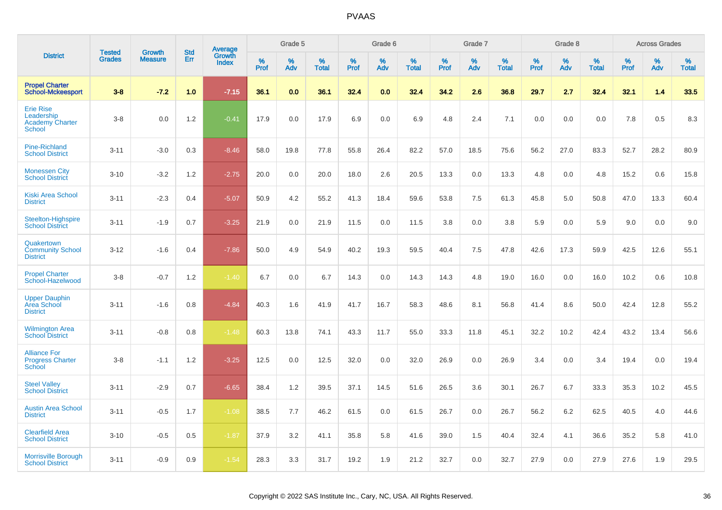|                                                                           | <b>Tested</b> | <b>Growth</b>  | <b>Std</b> | Average                |           | Grade 5  |                   |           | Grade 6  |                   |           | Grade 7  |                   |           | Grade 8  |                   |           | <b>Across Grades</b> |                   |
|---------------------------------------------------------------------------|---------------|----------------|------------|------------------------|-----------|----------|-------------------|-----------|----------|-------------------|-----------|----------|-------------------|-----------|----------|-------------------|-----------|----------------------|-------------------|
| <b>District</b>                                                           | <b>Grades</b> | <b>Measure</b> | Err        | Growth<br><b>Index</b> | %<br>Prof | %<br>Adv | %<br><b>Total</b> | %<br>Prof | %<br>Adv | %<br><b>Total</b> | %<br>Prof | %<br>Adv | %<br><b>Total</b> | %<br>Prof | %<br>Adv | %<br><b>Total</b> | %<br>Prof | %<br>Adv             | %<br><b>Total</b> |
| <b>Propel Charter</b><br><b>School-Mckeesport</b>                         | $3-8$         | $-7.2$         | 1.0        | $-7.15$                | 36.1      | 0.0      | 36.1              | 32.4      | 0.0      | 32.4              | 34.2      | 2.6      | 36.8              | 29.7      | 2.7      | 32.4              | 32.1      | 1.4                  | 33.5              |
| <b>Erie Rise</b><br>Leadership<br><b>Academy Charter</b><br><b>School</b> | $3-8$         | 0.0            | 1.2        | $-0.41$                | 17.9      | 0.0      | 17.9              | 6.9       | 0.0      | 6.9               | 4.8       | 2.4      | 7.1               | 0.0       | 0.0      | 0.0               | 7.8       | 0.5                  | 8.3               |
| <b>Pine-Richland</b><br><b>School District</b>                            | $3 - 11$      | $-3.0$         | 0.3        | $-8.46$                | 58.0      | 19.8     | 77.8              | 55.8      | 26.4     | 82.2              | 57.0      | 18.5     | 75.6              | 56.2      | 27.0     | 83.3              | 52.7      | 28.2                 | 80.9              |
| <b>Monessen City</b><br><b>School District</b>                            | $3 - 10$      | $-3.2$         | 1.2        | $-2.75$                | 20.0      | 0.0      | 20.0              | 18.0      | 2.6      | 20.5              | 13.3      | 0.0      | 13.3              | 4.8       | 0.0      | 4.8               | 15.2      | 0.6                  | 15.8              |
| <b>Kiski Area School</b><br><b>District</b>                               | $3 - 11$      | $-2.3$         | 0.4        | $-5.07$                | 50.9      | 4.2      | 55.2              | 41.3      | 18.4     | 59.6              | 53.8      | 7.5      | 61.3              | 45.8      | 5.0      | 50.8              | 47.0      | 13.3                 | 60.4              |
| Steelton-Highspire<br><b>School District</b>                              | $3 - 11$      | $-1.9$         | 0.7        | $-3.25$                | 21.9      | 0.0      | 21.9              | 11.5      | 0.0      | 11.5              | 3.8       | 0.0      | 3.8               | 5.9       | 0.0      | 5.9               | 9.0       | 0.0                  | 9.0               |
| Quakertown<br><b>Community School</b><br><b>District</b>                  | $3 - 12$      | $-1.6$         | 0.4        | $-7.86$                | 50.0      | 4.9      | 54.9              | 40.2      | 19.3     | 59.5              | 40.4      | 7.5      | 47.8              | 42.6      | 17.3     | 59.9              | 42.5      | 12.6                 | 55.1              |
| <b>Propel Charter</b><br>School-Hazelwood                                 | $3-8$         | $-0.7$         | 1.2        | $-1.40$                | 6.7       | 0.0      | 6.7               | 14.3      | 0.0      | 14.3              | 14.3      | 4.8      | 19.0              | 16.0      | 0.0      | 16.0              | 10.2      | 0.6                  | 10.8              |
| <b>Upper Dauphin</b><br>Area School<br><b>District</b>                    | $3 - 11$      | $-1.6$         | 0.8        | $-4.84$                | 40.3      | 1.6      | 41.9              | 41.7      | 16.7     | 58.3              | 48.6      | 8.1      | 56.8              | 41.4      | 8.6      | 50.0              | 42.4      | 12.8                 | 55.2              |
| <b>Wilmington Area</b><br><b>School District</b>                          | $3 - 11$      | $-0.8$         | 0.8        | $-1.48$                | 60.3      | 13.8     | 74.1              | 43.3      | 11.7     | 55.0              | 33.3      | 11.8     | 45.1              | 32.2      | 10.2     | 42.4              | 43.2      | 13.4                 | 56.6              |
| <b>Alliance For</b><br><b>Progress Charter</b><br>School                  | $3-8$         | $-1.1$         | 1.2        | $-3.25$                | 12.5      | 0.0      | 12.5              | 32.0      | 0.0      | 32.0              | 26.9      | 0.0      | 26.9              | 3.4       | 0.0      | 3.4               | 19.4      | 0.0                  | 19.4              |
| <b>Steel Valley</b><br><b>School District</b>                             | $3 - 11$      | $-2.9$         | 0.7        | $-6.65$                | 38.4      | 1.2      | 39.5              | 37.1      | 14.5     | 51.6              | 26.5      | 3.6      | 30.1              | 26.7      | 6.7      | 33.3              | 35.3      | 10.2                 | 45.5              |
| <b>Austin Area School</b><br><b>District</b>                              | $3 - 11$      | $-0.5$         | 1.7        | $-1.08$                | 38.5      | 7.7      | 46.2              | 61.5      | 0.0      | 61.5              | 26.7      | 0.0      | 26.7              | 56.2      | 6.2      | 62.5              | 40.5      | 4.0                  | 44.6              |
| <b>Clearfield Area</b><br><b>School District</b>                          | $3 - 10$      | $-0.5$         | 0.5        | $-1.87$                | 37.9      | 3.2      | 41.1              | 35.8      | 5.8      | 41.6              | 39.0      | 1.5      | 40.4              | 32.4      | 4.1      | 36.6              | 35.2      | 5.8                  | 41.0              |
| <b>Morrisville Borough</b><br><b>School District</b>                      | $3 - 11$      | $-0.9$         | 0.9        | $-1.54$                | 28.3      | 3.3      | 31.7              | 19.2      | 1.9      | 21.2              | 32.7      | 0.0      | 32.7              | 27.9      | 0.0      | 27.9              | 27.6      | 1.9                  | 29.5              |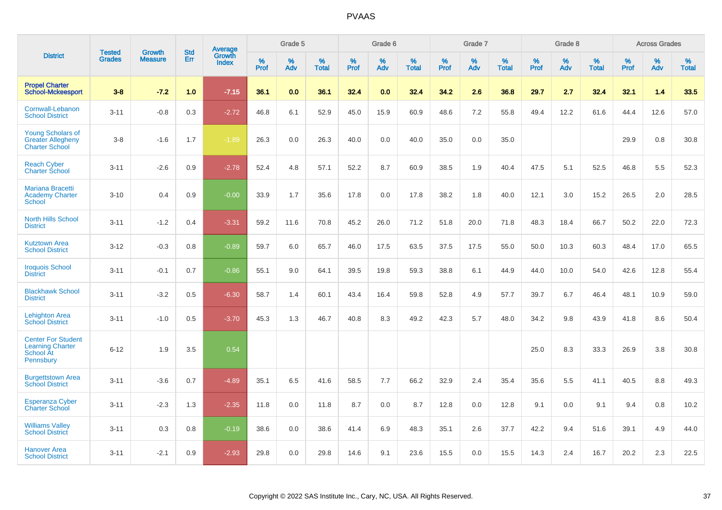|                                                                                |                                | <b>Growth</b>  | <b>Std</b> |                                   |              | Grade 5  |                   |           | Grade 6  |                   |           | Grade 7  |                   |              | Grade 8  |                   |              | <b>Across Grades</b> |                   |
|--------------------------------------------------------------------------------|--------------------------------|----------------|------------|-----------------------------------|--------------|----------|-------------------|-----------|----------|-------------------|-----------|----------|-------------------|--------------|----------|-------------------|--------------|----------------------|-------------------|
| <b>District</b>                                                                | <b>Tested</b><br><b>Grades</b> | <b>Measure</b> | <b>Err</b> | Average<br>Growth<br><b>Index</b> | $\%$<br>Prof | %<br>Adv | %<br><b>Total</b> | %<br>Prof | %<br>Adv | %<br><b>Total</b> | %<br>Prof | %<br>Adv | %<br><b>Total</b> | $\%$<br>Prof | %<br>Adv | %<br><b>Total</b> | $\%$<br>Prof | %<br>Adv             | %<br><b>Total</b> |
| <b>Propel Charter</b><br><b>School-Mckeesport</b>                              | $3 - 8$                        | $-7.2$         | 1.0        | $-7.15$                           | 36.1         | 0.0      | 36.1              | 32.4      | 0.0      | 32.4              | 34.2      | 2.6      | 36.8              | 29.7         | 2.7      | 32.4              | 32.1         | 1.4                  | 33.5              |
| Cornwall-Lebanon<br><b>School District</b>                                     | $3 - 11$                       | $-0.8$         | 0.3        | $-2.72$                           | 46.8         | 6.1      | 52.9              | 45.0      | 15.9     | 60.9              | 48.6      | $7.2\,$  | 55.8              | 49.4         | 12.2     | 61.6              | 44.4         | 12.6                 | 57.0              |
| <b>Young Scholars of</b><br><b>Greater Allegheny</b><br><b>Charter School</b>  | $3 - 8$                        | $-1.6$         | 1.7        | $-1.89$                           | 26.3         | 0.0      | 26.3              | 40.0      | 0.0      | 40.0              | 35.0      | 0.0      | 35.0              |              |          |                   | 29.9         | 0.8                  | 30.8              |
| <b>Reach Cyber</b><br><b>Charter School</b>                                    | $3 - 11$                       | $-2.6$         | 0.9        | $-2.78$                           | 52.4         | 4.8      | 57.1              | 52.2      | 8.7      | 60.9              | 38.5      | 1.9      | 40.4              | 47.5         | 5.1      | 52.5              | 46.8         | 5.5                  | 52.3              |
| <b>Mariana Bracetti</b><br><b>Academy Charter</b><br>School                    | $3 - 10$                       | 0.4            | 0.9        | $-0.00$                           | 33.9         | 1.7      | 35.6              | 17.8      | 0.0      | 17.8              | 38.2      | 1.8      | 40.0              | 12.1         | 3.0      | 15.2              | 26.5         | 2.0                  | 28.5              |
| <b>North Hills School</b><br><b>District</b>                                   | $3 - 11$                       | $-1.2$         | 0.4        | $-3.31$                           | 59.2         | 11.6     | 70.8              | 45.2      | 26.0     | 71.2              | 51.8      | 20.0     | 71.8              | 48.3         | 18.4     | 66.7              | 50.2         | 22.0                 | 72.3              |
| <b>Kutztown Area</b><br><b>School District</b>                                 | $3 - 12$                       | $-0.3$         | 0.8        | $-0.89$                           | 59.7         | 6.0      | 65.7              | 46.0      | 17.5     | 63.5              | 37.5      | 17.5     | 55.0              | 50.0         | 10.3     | 60.3              | 48.4         | 17.0                 | 65.5              |
| <b>Iroquois School</b><br><b>District</b>                                      | $3 - 11$                       | $-0.1$         | 0.7        | $-0.86$                           | 55.1         | 9.0      | 64.1              | 39.5      | 19.8     | 59.3              | 38.8      | 6.1      | 44.9              | 44.0         | 10.0     | 54.0              | 42.6         | 12.8                 | 55.4              |
| <b>Blackhawk School</b><br><b>District</b>                                     | $3 - 11$                       | $-3.2$         | 0.5        | $-6.30$                           | 58.7         | 1.4      | 60.1              | 43.4      | 16.4     | 59.8              | 52.8      | 4.9      | 57.7              | 39.7         | 6.7      | 46.4              | 48.1         | 10.9                 | 59.0              |
| <b>Lehighton Area</b><br><b>School District</b>                                | $3 - 11$                       | $-1.0$         | 0.5        | $-3.70$                           | 45.3         | 1.3      | 46.7              | 40.8      | 8.3      | 49.2              | 42.3      | 5.7      | 48.0              | 34.2         | 9.8      | 43.9              | 41.8         | 8.6                  | 50.4              |
| <b>Center For Student</b><br><b>Learning Charter</b><br>School At<br>Pennsbury | $6 - 12$                       | 1.9            | 3.5        | 0.54                              |              |          |                   |           |          |                   |           |          |                   | 25.0         | 8.3      | 33.3              | 26.9         | 3.8                  | 30.8              |
| <b>Burgettstown Area</b><br><b>School District</b>                             | $3 - 11$                       | $-3.6$         | 0.7        | $-4.89$                           | 35.1         | 6.5      | 41.6              | 58.5      | 7.7      | 66.2              | 32.9      | 2.4      | 35.4              | 35.6         | 5.5      | 41.1              | 40.5         | 8.8                  | 49.3              |
| <b>Esperanza Cyber</b><br><b>Charter School</b>                                | $3 - 11$                       | $-2.3$         | 1.3        | $-2.35$                           | 11.8         | 0.0      | 11.8              | 8.7       | 0.0      | 8.7               | 12.8      | 0.0      | 12.8              | 9.1          | 0.0      | 9.1               | 9.4          | 0.8                  | 10.2              |
| <b>Williams Valley</b><br><b>School District</b>                               | $3 - 11$                       | 0.3            | 0.8        | $-0.19$                           | 38.6         | 0.0      | 38.6              | 41.4      | 6.9      | 48.3              | 35.1      | 2.6      | 37.7              | 42.2         | 9.4      | 51.6              | 39.1         | 4.9                  | 44.0              |
| Hanover Area<br><b>School District</b>                                         | $3 - 11$                       | $-2.1$         | 0.9        | $-2.93$                           | 29.8         | 0.0      | 29.8              | 14.6      | 9.1      | 23.6              | 15.5      | 0.0      | 15.5              | 14.3         | 2.4      | 16.7              | 20.2         | 2.3                  | 22.5              |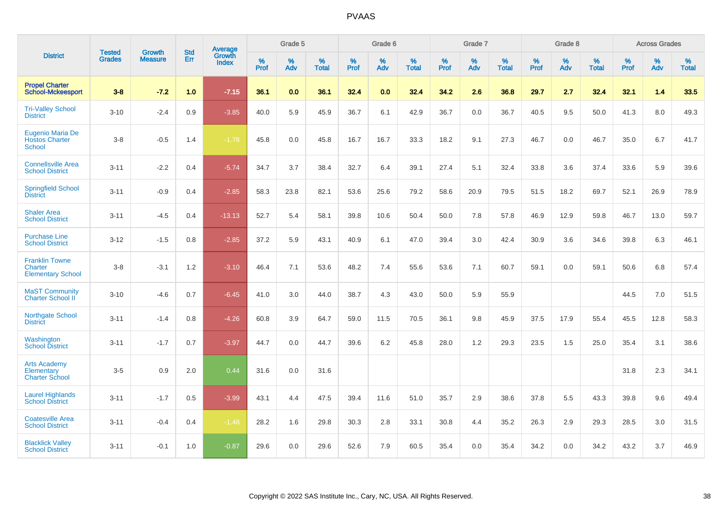|                                                              |                                |                                 | <b>Std</b> | Average         |              | Grade 5  |                   |           | Grade 6  |                   |           | Grade 7  |                   |           | Grade 8  |                   |           | <b>Across Grades</b> |                   |
|--------------------------------------------------------------|--------------------------------|---------------------------------|------------|-----------------|--------------|----------|-------------------|-----------|----------|-------------------|-----------|----------|-------------------|-----------|----------|-------------------|-----------|----------------------|-------------------|
| <b>District</b>                                              | <b>Tested</b><br><b>Grades</b> | <b>Growth</b><br><b>Measure</b> | Err        | Growth<br>Index | $\%$<br>Prof | %<br>Adv | %<br><b>Total</b> | %<br>Prof | %<br>Adv | %<br><b>Total</b> | %<br>Prof | %<br>Adv | %<br><b>Total</b> | %<br>Prof | %<br>Adv | %<br><b>Total</b> | %<br>Prof | %<br>Adv             | %<br><b>Total</b> |
| <b>Propel Charter</b><br><b>School-Mckeesport</b>            | $3 - 8$                        | $-7.2$                          | 1.0        | $-7.15$         | 36.1         | 0.0      | 36.1              | 32.4      | 0.0      | 32.4              | 34.2      | 2.6      | 36.8              | 29.7      | 2.7      | 32.4              | 32.1      | 1.4                  | 33.5              |
| <b>Tri-Valley School</b><br><b>District</b>                  | $3 - 10$                       | $-2.4$                          | 0.9        | $-3.85$         | 40.0         | 5.9      | 45.9              | 36.7      | 6.1      | 42.9              | 36.7      | 0.0      | 36.7              | 40.5      | 9.5      | 50.0              | 41.3      | 8.0                  | 49.3              |
| Eugenio Maria De<br><b>Hostos Charter</b><br><b>School</b>   | $3-8$                          | $-0.5$                          | 1.4        | $-1.78$         | 45.8         | 0.0      | 45.8              | 16.7      | 16.7     | 33.3              | 18.2      | 9.1      | 27.3              | 46.7      | 0.0      | 46.7              | 35.0      | 6.7                  | 41.7              |
| <b>Connellsville Area</b><br><b>School District</b>          | $3 - 11$                       | $-2.2$                          | 0.4        | $-5.74$         | 34.7         | 3.7      | 38.4              | 32.7      | 6.4      | 39.1              | 27.4      | 5.1      | 32.4              | 33.8      | 3.6      | 37.4              | 33.6      | 5.9                  | 39.6              |
| <b>Springfield School</b><br><b>District</b>                 | $3 - 11$                       | $-0.9$                          | 0.4        | $-2.85$         | 58.3         | 23.8     | 82.1              | 53.6      | 25.6     | 79.2              | 58.6      | 20.9     | 79.5              | 51.5      | 18.2     | 69.7              | 52.1      | 26.9                 | 78.9              |
| <b>Shaler Area</b><br><b>School District</b>                 | $3 - 11$                       | $-4.5$                          | 0.4        | $-13.13$        | 52.7         | 5.4      | 58.1              | 39.8      | 10.6     | 50.4              | 50.0      | 7.8      | 57.8              | 46.9      | 12.9     | 59.8              | 46.7      | 13.0                 | 59.7              |
| <b>Purchase Line</b><br><b>School District</b>               | $3 - 12$                       | $-1.5$                          | 0.8        | $-2.85$         | 37.2         | 5.9      | 43.1              | 40.9      | 6.1      | 47.0              | 39.4      | 3.0      | 42.4              | 30.9      | 3.6      | 34.6              | 39.8      | 6.3                  | 46.1              |
| <b>Franklin Towne</b><br>Charter<br><b>Elementary School</b> | $3 - 8$                        | $-3.1$                          | 1.2        | $-3.10$         | 46.4         | 7.1      | 53.6              | 48.2      | 7.4      | 55.6              | 53.6      | 7.1      | 60.7              | 59.1      | 0.0      | 59.1              | 50.6      | 6.8                  | 57.4              |
| <b>MaST Community</b><br>Charter School II                   | $3 - 10$                       | $-4.6$                          | 0.7        | $-6.45$         | 41.0         | 3.0      | 44.0              | 38.7      | 4.3      | 43.0              | 50.0      | 5.9      | 55.9              |           |          |                   | 44.5      | $7.0\,$              | 51.5              |
| Northgate School<br><b>District</b>                          | $3 - 11$                       | $-1.4$                          | 0.8        | $-4.26$         | 60.8         | 3.9      | 64.7              | 59.0      | 11.5     | 70.5              | 36.1      | 9.8      | 45.9              | 37.5      | 17.9     | 55.4              | 45.5      | 12.8                 | 58.3              |
| Washington<br><b>School District</b>                         | $3 - 11$                       | $-1.7$                          | 0.7        | $-3.97$         | 44.7         | 0.0      | 44.7              | 39.6      | 6.2      | 45.8              | 28.0      | 1.2      | 29.3              | 23.5      | 1.5      | 25.0              | 35.4      | 3.1                  | 38.6              |
| <b>Arts Academy</b><br>Elementary<br><b>Charter School</b>   | $3-5$                          | 0.9                             | 2.0        | 0.44            | 31.6         | 0.0      | 31.6              |           |          |                   |           |          |                   |           |          |                   | 31.8      | 2.3                  | 34.1              |
| <b>Laurel Highlands</b><br><b>School District</b>            | $3 - 11$                       | $-1.7$                          | 0.5        | $-3.99$         | 43.1         | 4.4      | 47.5              | 39.4      | 11.6     | 51.0              | 35.7      | 2.9      | 38.6              | 37.8      | 5.5      | 43.3              | 39.8      | 9.6                  | 49.4              |
| <b>Coatesville Area</b><br><b>School District</b>            | $3 - 11$                       | $-0.4$                          | 0.4        | $-1.48$         | 28.2         | 1.6      | 29.8              | 30.3      | 2.8      | 33.1              | 30.8      | 4.4      | 35.2              | 26.3      | 2.9      | 29.3              | 28.5      | 3.0                  | 31.5              |
| <b>Blacklick Valley</b><br><b>School District</b>            | $3 - 11$                       | $-0.1$                          | 1.0        | $-0.87$         | 29.6         | 0.0      | 29.6              | 52.6      | 7.9      | 60.5              | 35.4      | 0.0      | 35.4              | 34.2      | 0.0      | 34.2              | 43.2      | 3.7                  | 46.9              |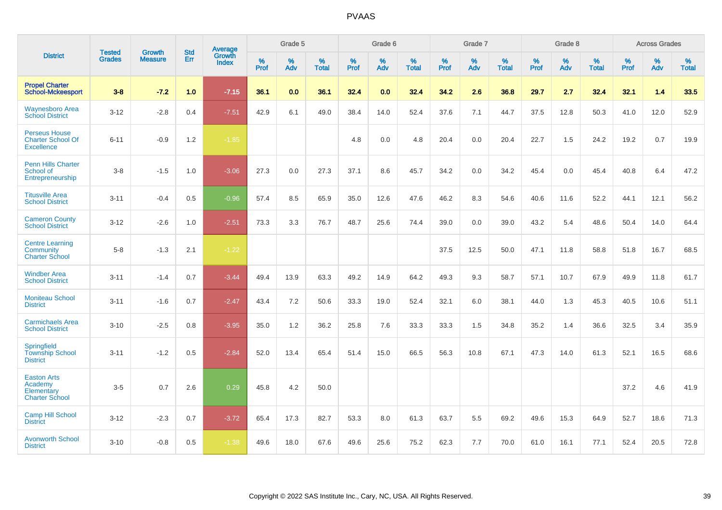|                                                                       | <b>Tested</b> | <b>Growth</b>  | <b>Std</b> | Average                |           | Grade 5  |                   |           | Grade 6  |                   |           | Grade 7  |                   |           | Grade 8  |                   |           | <b>Across Grades</b> |                   |
|-----------------------------------------------------------------------|---------------|----------------|------------|------------------------|-----------|----------|-------------------|-----------|----------|-------------------|-----------|----------|-------------------|-----------|----------|-------------------|-----------|----------------------|-------------------|
| <b>District</b>                                                       | <b>Grades</b> | <b>Measure</b> | Err        | Growth<br><b>Index</b> | %<br>Prof | %<br>Adv | %<br><b>Total</b> | %<br>Prof | %<br>Adv | %<br><b>Total</b> | %<br>Prof | %<br>Adv | %<br><b>Total</b> | %<br>Prof | %<br>Adv | %<br><b>Total</b> | %<br>Prof | %<br>Adv             | %<br><b>Total</b> |
| <b>Propel Charter</b><br><b>School-Mckeesport</b>                     | $3 - 8$       | $-7.2$         | 1.0        | $-7.15$                | 36.1      | 0.0      | 36.1              | 32.4      | 0.0      | 32.4              | 34.2      | 2.6      | 36.8              | 29.7      | 2.7      | 32.4              | 32.1      | 1.4                  | 33.5              |
| <b>Waynesboro Area</b><br><b>School District</b>                      | $3 - 12$      | $-2.8$         | 0.4        | $-7.51$                | 42.9      | 6.1      | 49.0              | 38.4      | 14.0     | 52.4              | 37.6      | 7.1      | 44.7              | 37.5      | 12.8     | 50.3              | 41.0      | 12.0                 | 52.9              |
| <b>Perseus House</b><br><b>Charter School Of</b><br><b>Excellence</b> | $6 - 11$      | $-0.9$         | $1.2$      | $-1.85$                |           |          |                   | 4.8       | 0.0      | 4.8               | 20.4      | 0.0      | 20.4              | 22.7      | 1.5      | 24.2              | 19.2      | 0.7                  | 19.9              |
| <b>Penn Hills Charter</b><br>School of<br>Entrepreneurship            | $3 - 8$       | $-1.5$         | 1.0        | $-3.06$                | 27.3      | $0.0\,$  | 27.3              | 37.1      | 8.6      | 45.7              | 34.2      | 0.0      | 34.2              | 45.4      | 0.0      | 45.4              | 40.8      | 6.4                  | 47.2              |
| <b>Titusville Area</b><br><b>School District</b>                      | $3 - 11$      | $-0.4$         | 0.5        | $-0.96$                | 57.4      | 8.5      | 65.9              | 35.0      | 12.6     | 47.6              | 46.2      | 8.3      | 54.6              | 40.6      | 11.6     | 52.2              | 44.1      | 12.1                 | 56.2              |
| <b>Cameron County</b><br><b>School District</b>                       | $3 - 12$      | $-2.6$         | 1.0        | $-2.51$                | 73.3      | 3.3      | 76.7              | 48.7      | 25.6     | 74.4              | 39.0      | 0.0      | 39.0              | 43.2      | 5.4      | 48.6              | 50.4      | 14.0                 | 64.4              |
| <b>Centre Learning</b><br>Community<br><b>Charter School</b>          | $5 - 8$       | $-1.3$         | 2.1        | $-1.22$                |           |          |                   |           |          |                   | 37.5      | 12.5     | 50.0              | 47.1      | 11.8     | 58.8              | 51.8      | 16.7                 | 68.5              |
| <b>Windber Area</b><br><b>School District</b>                         | $3 - 11$      | $-1.4$         | 0.7        | $-3.44$                | 49.4      | 13.9     | 63.3              | 49.2      | 14.9     | 64.2              | 49.3      | 9.3      | 58.7              | 57.1      | 10.7     | 67.9              | 49.9      | 11.8                 | 61.7              |
| <b>Moniteau School</b><br><b>District</b>                             | $3 - 11$      | $-1.6$         | 0.7        | $-2.47$                | 43.4      | 7.2      | 50.6              | 33.3      | 19.0     | 52.4              | 32.1      | 6.0      | 38.1              | 44.0      | 1.3      | 45.3              | 40.5      | 10.6                 | 51.1              |
| <b>Carmichaels Area</b><br><b>School District</b>                     | $3 - 10$      | $-2.5$         | 0.8        | $-3.95$                | 35.0      | 1.2      | 36.2              | 25.8      | 7.6      | 33.3              | 33.3      | 1.5      | 34.8              | 35.2      | 1.4      | 36.6              | 32.5      | 3.4                  | 35.9              |
| Springfield<br><b>Township School</b><br><b>District</b>              | $3 - 11$      | $-1.2$         | 0.5        | $-2.84$                | 52.0      | 13.4     | 65.4              | 51.4      | 15.0     | 66.5              | 56.3      | 10.8     | 67.1              | 47.3      | 14.0     | 61.3              | 52.1      | 16.5                 | 68.6              |
| <b>Easton Arts</b><br>Academy<br>Elementary<br><b>Charter School</b>  | $3-5$         | 0.7            | 2.6        | 0.29                   | 45.8      | 4.2      | 50.0              |           |          |                   |           |          |                   |           |          |                   | 37.2      | 4.6                  | 41.9              |
| <b>Camp Hill School</b><br><b>District</b>                            | $3 - 12$      | $-2.3$         | 0.7        | $-3.72$                | 65.4      | 17.3     | 82.7              | 53.3      | 8.0      | 61.3              | 63.7      | 5.5      | 69.2              | 49.6      | 15.3     | 64.9              | 52.7      | 18.6                 | 71.3              |
| <b>Avonworth School</b><br><b>District</b>                            | $3 - 10$      | $-0.8$         | 0.5        | $-1.38$                | 49.6      | 18.0     | 67.6              | 49.6      | 25.6     | 75.2              | 62.3      | 7.7      | 70.0              | 61.0      | 16.1     | 77.1              | 52.4      | 20.5                 | 72.8              |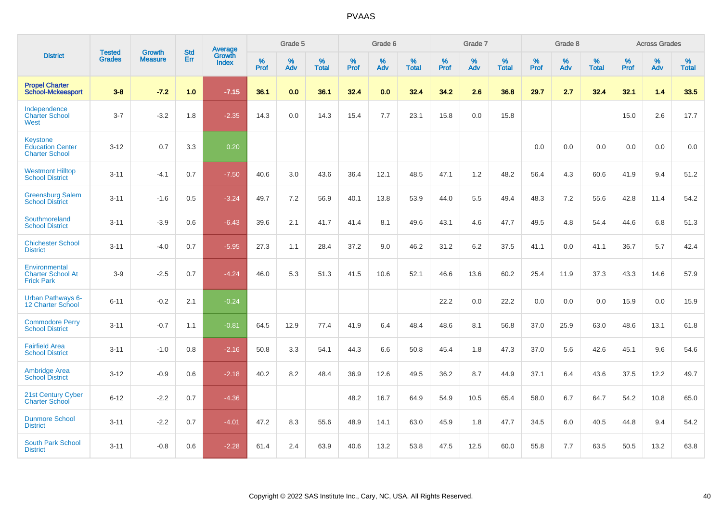|                                                                     | <b>Tested</b> | <b>Growth</b>  | <b>Std</b> | Average                |           | Grade 5  |                   |           | Grade 6  |                   |           | Grade 7  |                   |           | Grade 8  |                   |           | <b>Across Grades</b> |                   |
|---------------------------------------------------------------------|---------------|----------------|------------|------------------------|-----------|----------|-------------------|-----------|----------|-------------------|-----------|----------|-------------------|-----------|----------|-------------------|-----------|----------------------|-------------------|
| <b>District</b>                                                     | <b>Grades</b> | <b>Measure</b> | Err        | Growth<br><b>Index</b> | %<br>Prof | %<br>Adv | %<br><b>Total</b> | %<br>Prof | %<br>Adv | %<br><b>Total</b> | %<br>Prof | %<br>Adv | %<br><b>Total</b> | %<br>Prof | %<br>Adv | %<br><b>Total</b> | %<br>Prof | %<br>Adv             | %<br><b>Total</b> |
| <b>Propel Charter</b><br><b>School-Mckeesport</b>                   | $3 - 8$       | $-7.2$         | 1.0        | $-7.15$                | 36.1      | 0.0      | 36.1              | 32.4      | 0.0      | 32.4              | 34.2      | 2.6      | 36.8              | 29.7      | 2.7      | 32.4              | 32.1      | 1.4                  | 33.5              |
| Independence<br><b>Charter School</b><br>West                       | $3 - 7$       | $-3.2$         | 1.8        | $-2.35$                | 14.3      | 0.0      | 14.3              | 15.4      | 7.7      | 23.1              | 15.8      | 0.0      | 15.8              |           |          |                   | 15.0      | 2.6                  | 17.7              |
| <b>Keystone</b><br><b>Education Center</b><br><b>Charter School</b> | $3 - 12$      | 0.7            | 3.3        | 0.20                   |           |          |                   |           |          |                   |           |          |                   | 0.0       | 0.0      | 0.0               | 0.0       | 0.0                  | 0.0               |
| <b>Westmont Hilltop</b><br><b>School District</b>                   | $3 - 11$      | $-4.1$         | 0.7        | $-7.50$                | 40.6      | 3.0      | 43.6              | 36.4      | 12.1     | 48.5              | 47.1      | 1.2      | 48.2              | 56.4      | 4.3      | 60.6              | 41.9      | 9.4                  | 51.2              |
| <b>Greensburg Salem</b><br><b>School District</b>                   | $3 - 11$      | $-1.6$         | 0.5        | $-3.24$                | 49.7      | 7.2      | 56.9              | 40.1      | 13.8     | 53.9              | 44.0      | 5.5      | 49.4              | 48.3      | 7.2      | 55.6              | 42.8      | 11.4                 | 54.2              |
| Southmoreland<br><b>School District</b>                             | $3 - 11$      | $-3.9$         | 0.6        | $-6.43$                | 39.6      | 2.1      | 41.7              | 41.4      | 8.1      | 49.6              | 43.1      | 4.6      | 47.7              | 49.5      | 4.8      | 54.4              | 44.6      | 6.8                  | 51.3              |
| <b>Chichester School</b><br><b>District</b>                         | $3 - 11$      | $-4.0$         | 0.7        | $-5.95$                | 27.3      | 1.1      | 28.4              | 37.2      | 9.0      | 46.2              | 31.2      | 6.2      | 37.5              | 41.1      | 0.0      | 41.1              | 36.7      | 5.7                  | 42.4              |
| Environmental<br><b>Charter School At</b><br><b>Frick Park</b>      | $3-9$         | $-2.5$         | 0.7        | $-4.24$                | 46.0      | 5.3      | 51.3              | 41.5      | 10.6     | 52.1              | 46.6      | 13.6     | 60.2              | 25.4      | 11.9     | 37.3              | 43.3      | 14.6                 | 57.9              |
| <b>Urban Pathways 6-</b><br>12 Charter School                       | $6 - 11$      | $-0.2$         | 2.1        | $-0.24$                |           |          |                   |           |          |                   | 22.2      | 0.0      | 22.2              | 0.0       | 0.0      | 0.0               | 15.9      | 0.0                  | 15.9              |
| <b>Commodore Perry</b><br><b>School District</b>                    | $3 - 11$      | $-0.7$         | 1.1        | $-0.81$                | 64.5      | 12.9     | 77.4              | 41.9      | 6.4      | 48.4              | 48.6      | 8.1      | 56.8              | 37.0      | 25.9     | 63.0              | 48.6      | 13.1                 | 61.8              |
| <b>Fairfield Area</b><br><b>School District</b>                     | $3 - 11$      | $-1.0$         | 0.8        | $-2.16$                | 50.8      | 3.3      | 54.1              | 44.3      | 6.6      | 50.8              | 45.4      | 1.8      | 47.3              | 37.0      | 5.6      | 42.6              | 45.1      | 9.6                  | 54.6              |
| <b>Ambridge Area</b><br><b>School District</b>                      | $3 - 12$      | $-0.9$         | 0.6        | $-2.18$                | 40.2      | 8.2      | 48.4              | 36.9      | 12.6     | 49.5              | 36.2      | 8.7      | 44.9              | 37.1      | 6.4      | 43.6              | 37.5      | 12.2                 | 49.7              |
| <b>21st Century Cyber</b><br><b>Charter School</b>                  | $6 - 12$      | $-2.2$         | 0.7        | $-4.36$                |           |          |                   | 48.2      | 16.7     | 64.9              | 54.9      | 10.5     | 65.4              | 58.0      | 6.7      | 64.7              | 54.2      | 10.8                 | 65.0              |
| <b>Dunmore School</b><br><b>District</b>                            | $3 - 11$      | $-2.2$         | 0.7        | $-4.01$                | 47.2      | 8.3      | 55.6              | 48.9      | 14.1     | 63.0              | 45.9      | 1.8      | 47.7              | 34.5      | 6.0      | 40.5              | 44.8      | 9.4                  | 54.2              |
| <b>South Park School</b><br><b>District</b>                         | $3 - 11$      | $-0.8$         | 0.6        | $-2.28$                | 61.4      | 2.4      | 63.9              | 40.6      | 13.2     | 53.8              | 47.5      | 12.5     | 60.0              | 55.8      | 7.7      | 63.5              | 50.5      | 13.2                 | 63.8              |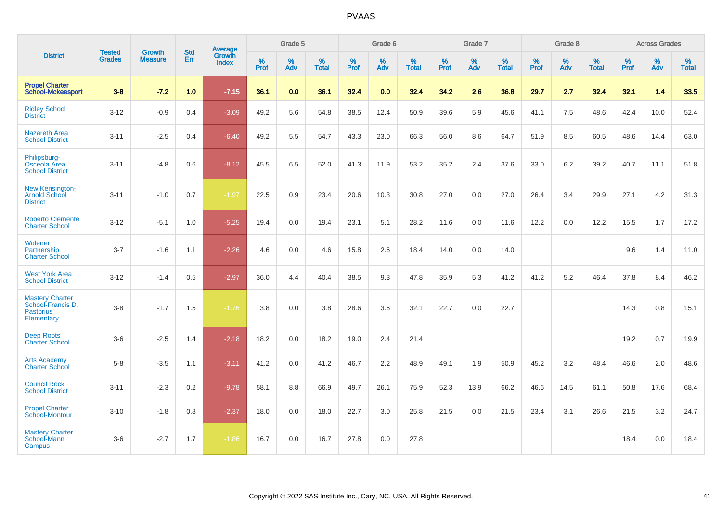|                                                                               |                                | <b>Growth</b>  | <b>Std</b> | Average                |              | Grade 5  |                   |              | Grade 6  |                   |              | Grade 7  |                   |              | Grade 8  |                   |              | <b>Across Grades</b> |                   |
|-------------------------------------------------------------------------------|--------------------------------|----------------|------------|------------------------|--------------|----------|-------------------|--------------|----------|-------------------|--------------|----------|-------------------|--------------|----------|-------------------|--------------|----------------------|-------------------|
| <b>District</b>                                                               | <b>Tested</b><br><b>Grades</b> | <b>Measure</b> | Err        | Growth<br><b>Index</b> | $\%$<br>Prof | %<br>Adv | %<br><b>Total</b> | $\%$<br>Prof | %<br>Adv | %<br><b>Total</b> | $\%$<br>Prof | %<br>Adv | %<br><b>Total</b> | $\%$<br>Prof | %<br>Adv | %<br><b>Total</b> | $\%$<br>Prof | %<br>Adv             | %<br><b>Total</b> |
| <b>Propel Charter</b><br><b>School-Mckeesport</b>                             | $3 - 8$                        | $-7.2$         | 1.0        | $-7.15$                | 36.1         | 0.0      | 36.1              | 32.4         | 0.0      | 32.4              | 34.2         | 2.6      | 36.8              | 29.7         | 2.7      | 32.4              | 32.1         | 1.4                  | 33.5              |
| <b>Ridley School</b><br><b>District</b>                                       | $3 - 12$                       | $-0.9$         | 0.4        | $-3.09$                | 49.2         | 5.6      | 54.8              | 38.5         | 12.4     | 50.9              | 39.6         | 5.9      | 45.6              | 41.1         | 7.5      | 48.6              | 42.4         | 10.0                 | 52.4              |
| <b>Nazareth Area</b><br><b>School District</b>                                | $3 - 11$                       | $-2.5$         | 0.4        | $-6.40$                | 49.2         | 5.5      | 54.7              | 43.3         | 23.0     | 66.3              | 56.0         | 8.6      | 64.7              | 51.9         | 8.5      | 60.5              | 48.6         | 14.4                 | 63.0              |
| Philipsburg-<br>Osceola Area<br><b>School District</b>                        | $3 - 11$                       | $-4.8$         | 0.6        | $-8.12$                | 45.5         | 6.5      | 52.0              | 41.3         | 11.9     | 53.2              | 35.2         | 2.4      | 37.6              | 33.0         | 6.2      | 39.2              | 40.7         | 11.1                 | 51.8              |
| <b>New Kensington-</b><br><b>Arnold School</b><br><b>District</b>             | $3 - 11$                       | $-1.0$         | 0.7        | $-1.97$                | 22.5         | 0.9      | 23.4              | 20.6         | 10.3     | 30.8              | 27.0         | 0.0      | 27.0              | 26.4         | 3.4      | 29.9              | 27.1         | 4.2                  | 31.3              |
| <b>Roberto Clemente</b><br><b>Charter School</b>                              | $3 - 12$                       | $-5.1$         | 1.0        | $-5.25$                | 19.4         | 0.0      | 19.4              | 23.1         | 5.1      | 28.2              | 11.6         | 0.0      | 11.6              | 12.2         | 0.0      | 12.2              | 15.5         | 1.7                  | 17.2              |
| Widener<br>Partnership<br><b>Charter School</b>                               | $3 - 7$                        | $-1.6$         | 1.1        | $-2.26$                | 4.6          | 0.0      | 4.6               | 15.8         | 2.6      | 18.4              | 14.0         | 0.0      | 14.0              |              |          |                   | 9.6          | 1.4                  | 11.0              |
| <b>West York Area</b><br><b>School District</b>                               | $3 - 12$                       | $-1.4$         | 0.5        | $-2.97$                | 36.0         | 4.4      | 40.4              | 38.5         | 9.3      | 47.8              | 35.9         | 5.3      | 41.2              | 41.2         | 5.2      | 46.4              | 37.8         | 8.4                  | 46.2              |
| <b>Mastery Charter</b><br>School-Francis D.<br><b>Pastorius</b><br>Elementary | $3-8$                          | $-1.7$         | 1.5        | $-1.76$                | 3.8          | 0.0      | 3.8               | 28.6         | 3.6      | 32.1              | 22.7         | 0.0      | 22.7              |              |          |                   | 14.3         | 0.8                  | 15.1              |
| <b>Deep Roots</b><br><b>Charter School</b>                                    | $3-6$                          | $-2.5$         | 1.4        | $-2.18$                | 18.2         | 0.0      | 18.2              | 19.0         | 2.4      | 21.4              |              |          |                   |              |          |                   | 19.2         | 0.7                  | 19.9              |
| <b>Arts Academy</b><br><b>Charter School</b>                                  | $5-8$                          | $-3.5$         | 1.1        | $-3.11$                | 41.2         | 0.0      | 41.2              | 46.7         | 2.2      | 48.9              | 49.1         | 1.9      | 50.9              | 45.2         | 3.2      | 48.4              | 46.6         | 2.0                  | 48.6              |
| <b>Council Rock</b><br><b>School District</b>                                 | $3 - 11$                       | $-2.3$         | 0.2        | $-9.78$                | 58.1         | 8.8      | 66.9              | 49.7         | 26.1     | 75.9              | 52.3         | 13.9     | 66.2              | 46.6         | 14.5     | 61.1              | 50.8         | 17.6                 | 68.4              |
| <b>Propel Charter</b><br>School-Montour                                       | $3 - 10$                       | $-1.8$         | 0.8        | $-2.37$                | 18.0         | 0.0      | 18.0              | 22.7         | 3.0      | 25.8              | 21.5         | 0.0      | 21.5              | 23.4         | 3.1      | 26.6              | 21.5         | 3.2                  | 24.7              |
| <b>Mastery Charter</b><br>School-Mann<br>Campus                               | $3-6$                          | $-2.7$         | 1.7        | $-1.86$                | 16.7         | 0.0      | 16.7              | 27.8         | 0.0      | 27.8              |              |          |                   |              |          |                   | 18.4         | 0.0                  | 18.4              |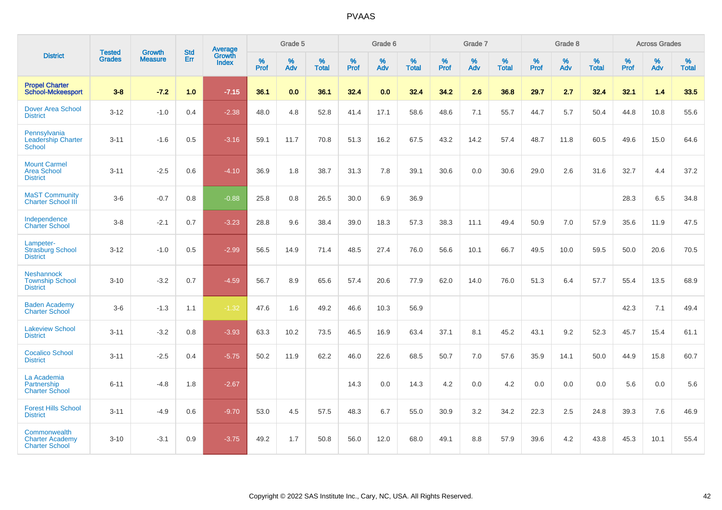|                                                                 |                                |                                 | <b>Std</b> | <b>Average</b>         |           | Grade 5  |                   |           | Grade 6  |                   |           | Grade 7  |                   |           | Grade 8  |                   |           | <b>Across Grades</b> |                   |
|-----------------------------------------------------------------|--------------------------------|---------------------------------|------------|------------------------|-----------|----------|-------------------|-----------|----------|-------------------|-----------|----------|-------------------|-----------|----------|-------------------|-----------|----------------------|-------------------|
| <b>District</b>                                                 | <b>Tested</b><br><b>Grades</b> | <b>Growth</b><br><b>Measure</b> | Err        | Growth<br><b>Index</b> | %<br>Prof | %<br>Adv | %<br><b>Total</b> | %<br>Prof | %<br>Adv | %<br><b>Total</b> | %<br>Prof | %<br>Adv | %<br><b>Total</b> | %<br>Prof | %<br>Adv | %<br><b>Total</b> | %<br>Prof | %<br>Adv             | %<br><b>Total</b> |
| <b>Propel Charter</b><br><b>School-Mckeesport</b>               | $3 - 8$                        | $-7.2$                          | 1.0        | $-7.15$                | 36.1      | 0.0      | 36.1              | 32.4      | 0.0      | 32.4              | 34.2      | 2.6      | 36.8              | 29.7      | 2.7      | 32.4              | 32.1      | 1.4                  | 33.5              |
| <b>Dover Area School</b><br><b>District</b>                     | $3 - 12$                       | $-1.0$                          | 0.4        | $-2.38$                | 48.0      | 4.8      | 52.8              | 41.4      | 17.1     | 58.6              | 48.6      | 7.1      | 55.7              | 44.7      | 5.7      | 50.4              | 44.8      | 10.8                 | 55.6              |
| Pennsylvania<br><b>Leadership Charter</b><br>School             | $3 - 11$                       | $-1.6$                          | 0.5        | $-3.16$                | 59.1      | 11.7     | 70.8              | 51.3      | 16.2     | 67.5              | 43.2      | 14.2     | 57.4              | 48.7      | 11.8     | 60.5              | 49.6      | 15.0                 | 64.6              |
| <b>Mount Carmel</b><br><b>Area School</b><br><b>District</b>    | $3 - 11$                       | $-2.5$                          | 0.6        | $-4.10$                | 36.9      | 1.8      | 38.7              | 31.3      | 7.8      | 39.1              | 30.6      | 0.0      | 30.6              | 29.0      | 2.6      | 31.6              | 32.7      | 4.4                  | 37.2              |
| <b>MaST Community</b><br><b>Charter School III</b>              | $3-6$                          | $-0.7$                          | 0.8        | $-0.88$                | 25.8      | 0.8      | 26.5              | 30.0      | 6.9      | 36.9              |           |          |                   |           |          |                   | 28.3      | 6.5                  | 34.8              |
| Independence<br><b>Charter School</b>                           | $3 - 8$                        | $-2.1$                          | 0.7        | $-3.23$                | 28.8      | 9.6      | 38.4              | 39.0      | 18.3     | 57.3              | 38.3      | 11.1     | 49.4              | 50.9      | 7.0      | 57.9              | 35.6      | 11.9                 | 47.5              |
| Lampeter-<br><b>Strasburg School</b><br><b>District</b>         | $3 - 12$                       | $-1.0$                          | 0.5        | $-2.99$                | 56.5      | 14.9     | 71.4              | 48.5      | 27.4     | 76.0              | 56.6      | 10.1     | 66.7              | 49.5      | 10.0     | 59.5              | 50.0      | 20.6                 | 70.5              |
| <b>Neshannock</b><br><b>Township School</b><br><b>District</b>  | $3 - 10$                       | $-3.2$                          | 0.7        | $-4.59$                | 56.7      | 8.9      | 65.6              | 57.4      | 20.6     | 77.9              | 62.0      | 14.0     | 76.0              | 51.3      | 6.4      | 57.7              | 55.4      | 13.5                 | 68.9              |
| <b>Baden Academy</b><br><b>Charter School</b>                   | $3-6$                          | $-1.3$                          | 1.1        | $-1.32$                | 47.6      | 1.6      | 49.2              | 46.6      | 10.3     | 56.9              |           |          |                   |           |          |                   | 42.3      | 7.1                  | 49.4              |
| <b>Lakeview School</b><br><b>District</b>                       | $3 - 11$                       | $-3.2$                          | 0.8        | $-3.93$                | 63.3      | 10.2     | 73.5              | 46.5      | 16.9     | 63.4              | 37.1      | 8.1      | 45.2              | 43.1      | 9.2      | 52.3              | 45.7      | 15.4                 | 61.1              |
| <b>Cocalico School</b><br><b>District</b>                       | $3 - 11$                       | $-2.5$                          | 0.4        | $-5.75$                | 50.2      | 11.9     | 62.2              | 46.0      | 22.6     | 68.5              | 50.7      | 7.0      | 57.6              | 35.9      | 14.1     | 50.0              | 44.9      | 15.8                 | 60.7              |
| La Academia<br>Partnership<br><b>Charter School</b>             | $6 - 11$                       | $-4.8$                          | 1.8        | $-2.67$                |           |          |                   | 14.3      | 0.0      | 14.3              | 4.2       | $0.0\,$  | 4.2               | 0.0       | 0.0      | 0.0               | 5.6       | $0.0\,$              | 5.6               |
| <b>Forest Hills School</b><br><b>District</b>                   | $3 - 11$                       | $-4.9$                          | 0.6        | $-9.70$                | 53.0      | 4.5      | 57.5              | 48.3      | 6.7      | 55.0              | 30.9      | 3.2      | 34.2              | 22.3      | 2.5      | 24.8              | 39.3      | 7.6                  | 46.9              |
| Commonwealth<br><b>Charter Academy</b><br><b>Charter School</b> | $3 - 10$                       | $-3.1$                          | 0.9        | $-3.75$                | 49.2      | 1.7      | 50.8              | 56.0      | 12.0     | 68.0              | 49.1      | 8.8      | 57.9              | 39.6      | 4.2      | 43.8              | 45.3      | 10.1                 | 55.4              |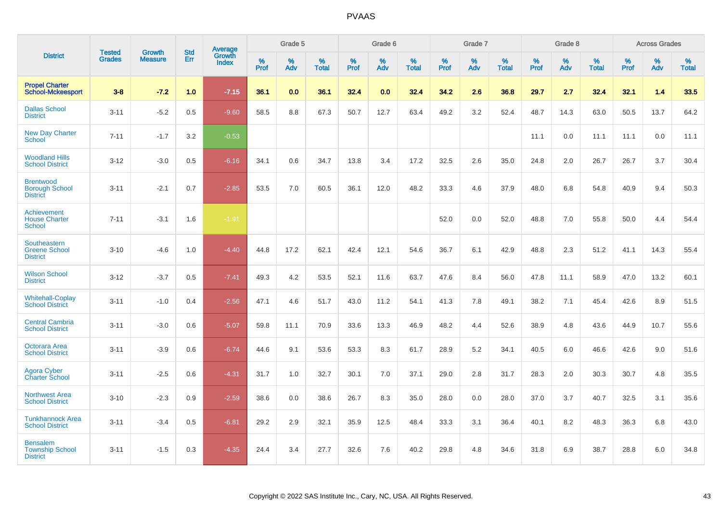|                                                              |                                |                          | <b>Std</b> | <b>Average</b>         |           | Grade 5  |                   |           | Grade 6  |                   |           | Grade 7  |                   |           | Grade 8  |                   |           | <b>Across Grades</b> |                   |
|--------------------------------------------------------------|--------------------------------|--------------------------|------------|------------------------|-----------|----------|-------------------|-----------|----------|-------------------|-----------|----------|-------------------|-----------|----------|-------------------|-----------|----------------------|-------------------|
| <b>District</b>                                              | <b>Tested</b><br><b>Grades</b> | Growth<br><b>Measure</b> | Err        | Growth<br><b>Index</b> | %<br>Prof | %<br>Adv | %<br><b>Total</b> | %<br>Prof | %<br>Adv | %<br><b>Total</b> | %<br>Prof | %<br>Adv | %<br><b>Total</b> | %<br>Prof | %<br>Adv | %<br><b>Total</b> | %<br>Prof | %<br>Adv             | %<br><b>Total</b> |
| <b>Propel Charter</b><br><b>School-Mckeesport</b>            | $3 - 8$                        | $-7.2$                   | 1.0        | $-7.15$                | 36.1      | 0.0      | 36.1              | 32.4      | 0.0      | 32.4              | 34.2      | 2.6      | 36.8              | 29.7      | 2.7      | 32.4              | 32.1      | 1.4                  | 33.5              |
| <b>Dallas School</b><br><b>District</b>                      | $3 - 11$                       | $-5.2$                   | 0.5        | $-9.60$                | 58.5      | 8.8      | 67.3              | 50.7      | 12.7     | 63.4              | 49.2      | 3.2      | 52.4              | 48.7      | 14.3     | 63.0              | 50.5      | 13.7                 | 64.2              |
| <b>New Day Charter</b><br><b>School</b>                      | $7 - 11$                       | $-1.7$                   | 3.2        | $-0.53$                |           |          |                   |           |          |                   |           |          |                   | 11.1      | 0.0      | 11.1              | 11.1      | 0.0                  | 11.1              |
| <b>Woodland Hills</b><br><b>School District</b>              | $3 - 12$                       | $-3.0$                   | 0.5        | $-6.16$                | 34.1      | 0.6      | 34.7              | 13.8      | 3.4      | 17.2              | 32.5      | 2.6      | 35.0              | 24.8      | 2.0      | 26.7              | 26.7      | 3.7                  | 30.4              |
| <b>Brentwood</b><br><b>Borough School</b><br><b>District</b> | $3 - 11$                       | $-2.1$                   | 0.7        | $-2.85$                | 53.5      | 7.0      | 60.5              | 36.1      | 12.0     | 48.2              | 33.3      | 4.6      | 37.9              | 48.0      | 6.8      | 54.8              | 40.9      | 9.4                  | 50.3              |
| Achievement<br><b>House Charter</b><br><b>School</b>         | $7 - 11$                       | $-3.1$                   | 1.6        | $-1.91$                |           |          |                   |           |          |                   | 52.0      | 0.0      | 52.0              | 48.8      | 7.0      | 55.8              | 50.0      | 4.4                  | 54.4              |
| Southeastern<br><b>Greene School</b><br><b>District</b>      | $3 - 10$                       | $-4.6$                   | 1.0        | $-4.40$                | 44.8      | 17.2     | 62.1              | 42.4      | 12.1     | 54.6              | 36.7      | 6.1      | 42.9              | 48.8      | 2.3      | 51.2              | 41.1      | 14.3                 | 55.4              |
| <b>Wilson School</b><br><b>District</b>                      | $3 - 12$                       | $-3.7$                   | 0.5        | $-7.41$                | 49.3      | 4.2      | 53.5              | 52.1      | 11.6     | 63.7              | 47.6      | 8.4      | 56.0              | 47.8      | 11.1     | 58.9              | 47.0      | 13.2                 | 60.1              |
| <b>Whitehall-Coplay</b><br><b>School District</b>            | $3 - 11$                       | $-1.0$                   | 0.4        | $-2.56$                | 47.1      | 4.6      | 51.7              | 43.0      | 11.2     | 54.1              | 41.3      | 7.8      | 49.1              | 38.2      | 7.1      | 45.4              | 42.6      | 8.9                  | 51.5              |
| <b>Central Cambria</b><br><b>School District</b>             | $3 - 11$                       | $-3.0$                   | 0.6        | $-5.07$                | 59.8      | 11.1     | 70.9              | 33.6      | 13.3     | 46.9              | 48.2      | 4.4      | 52.6              | 38.9      | 4.8      | 43.6              | 44.9      | 10.7                 | 55.6              |
| Octorara Area<br><b>School District</b>                      | $3 - 11$                       | $-3.9$                   | 0.6        | $-6.74$                | 44.6      | 9.1      | 53.6              | 53.3      | 8.3      | 61.7              | 28.9      | 5.2      | 34.1              | 40.5      | 6.0      | 46.6              | 42.6      | 9.0                  | 51.6              |
| Agora Cyber<br><b>Charter School</b>                         | $3 - 11$                       | $-2.5$                   | 0.6        | $-4.31$                | 31.7      | 1.0      | 32.7              | 30.1      | 7.0      | 37.1              | 29.0      | 2.8      | 31.7              | 28.3      | 2.0      | 30.3              | 30.7      | 4.8                  | 35.5              |
| <b>Northwest Area</b><br><b>School District</b>              | $3 - 10$                       | $-2.3$                   | 0.9        | $-2.59$                | 38.6      | 0.0      | 38.6              | 26.7      | 8.3      | 35.0              | 28.0      | 0.0      | 28.0              | 37.0      | 3.7      | 40.7              | 32.5      | 3.1                  | 35.6              |
| <b>Tunkhannock Area</b><br><b>School District</b>            | $3 - 11$                       | $-3.4$                   | 0.5        | $-6.81$                | 29.2      | 2.9      | 32.1              | 35.9      | 12.5     | 48.4              | 33.3      | 3.1      | 36.4              | 40.1      | 8.2      | 48.3              | 36.3      | 6.8                  | 43.0              |
| <b>Bensalem</b><br><b>Township School</b><br><b>District</b> | $3 - 11$                       | $-1.5$                   | 0.3        | $-4.35$                | 24.4      | 3.4      | 27.7              | 32.6      | 7.6      | 40.2              | 29.8      | 4.8      | 34.6              | 31.8      | 6.9      | 38.7              | 28.8      | 6.0                  | 34.8              |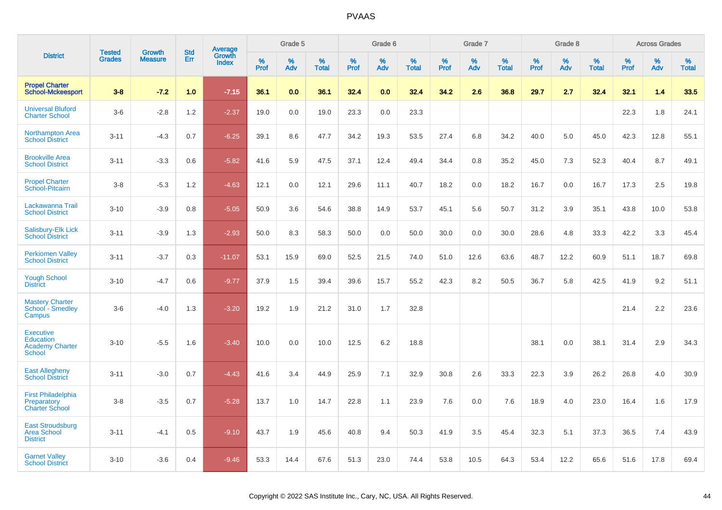|                                                                          | <b>Tested</b> | <b>Growth</b>  | <b>Std</b> | Average         |           | Grade 5  |                   |           | Grade 6  |                   |           | Grade 7  |                   |           | Grade 8  |                   |              | <b>Across Grades</b> |                   |
|--------------------------------------------------------------------------|---------------|----------------|------------|-----------------|-----------|----------|-------------------|-----------|----------|-------------------|-----------|----------|-------------------|-----------|----------|-------------------|--------------|----------------------|-------------------|
| <b>District</b>                                                          | <b>Grades</b> | <b>Measure</b> | Err        | Growth<br>Index | %<br>Prof | %<br>Adv | %<br><b>Total</b> | %<br>Prof | %<br>Adv | %<br><b>Total</b> | %<br>Prof | %<br>Adv | %<br><b>Total</b> | %<br>Prof | %<br>Adv | %<br><b>Total</b> | $\%$<br>Prof | %<br>Adv             | %<br><b>Total</b> |
| <b>Propel Charter</b><br><b>School-Mckeesport</b>                        | $3 - 8$       | $-7.2$         | 1.0        | $-7.15$         | 36.1      | 0.0      | 36.1              | 32.4      | 0.0      | 32.4              | 34.2      | 2.6      | 36.8              | 29.7      | 2.7      | 32.4              | 32.1         | 1.4                  | 33.5              |
| <b>Universal Bluford</b><br><b>Charter School</b>                        | $3-6$         | $-2.8$         | 1.2        | $-2.37$         | 19.0      | 0.0      | 19.0              | 23.3      | 0.0      | 23.3              |           |          |                   |           |          |                   | 22.3         | 1.8                  | 24.1              |
| <b>Northampton Area</b><br><b>School District</b>                        | $3 - 11$      | $-4.3$         | 0.7        | $-6.25$         | 39.1      | 8.6      | 47.7              | 34.2      | 19.3     | 53.5              | 27.4      | 6.8      | 34.2              | 40.0      | 5.0      | 45.0              | 42.3         | 12.8                 | 55.1              |
| <b>Brookville Area</b><br><b>School District</b>                         | $3 - 11$      | $-3.3$         | 0.6        | $-5.82$         | 41.6      | 5.9      | 47.5              | 37.1      | 12.4     | 49.4              | 34.4      | 0.8      | 35.2              | 45.0      | 7.3      | 52.3              | 40.4         | 8.7                  | 49.1              |
| <b>Propel Charter</b><br>School-Pitcairn                                 | $3 - 8$       | $-5.3$         | 1.2        | $-4.63$         | 12.1      | 0.0      | 12.1              | 29.6      | 11.1     | 40.7              | 18.2      | 0.0      | 18.2              | 16.7      | 0.0      | 16.7              | 17.3         | 2.5                  | 19.8              |
| Lackawanna Trail<br><b>School District</b>                               | $3 - 10$      | $-3.9$         | 0.8        | $-5.05$         | 50.9      | 3.6      | 54.6              | 38.8      | 14.9     | 53.7              | 45.1      | 5.6      | 50.7              | 31.2      | 3.9      | 35.1              | 43.8         | 10.0                 | 53.8              |
| Salisbury-Elk Lick<br><b>School District</b>                             | $3 - 11$      | $-3.9$         | 1.3        | $-2.93$         | 50.0      | 8.3      | 58.3              | 50.0      | 0.0      | 50.0              | 30.0      | 0.0      | 30.0              | 28.6      | 4.8      | 33.3              | 42.2         | 3.3                  | 45.4              |
| <b>Perkiomen Valley</b><br><b>School District</b>                        | $3 - 11$      | $-3.7$         | 0.3        | $-11.07$        | 53.1      | 15.9     | 69.0              | 52.5      | 21.5     | 74.0              | 51.0      | 12.6     | 63.6              | 48.7      | 12.2     | 60.9              | 51.1         | 18.7                 | 69.8              |
| <b>Yough School</b><br><b>District</b>                                   | $3 - 10$      | $-4.7$         | 0.6        | $-9.77$         | 37.9      | 1.5      | 39.4              | 39.6      | 15.7     | 55.2              | 42.3      | 8.2      | 50.5              | 36.7      | 5.8      | 42.5              | 41.9         | 9.2                  | 51.1              |
| <b>Mastery Charter</b><br>School - Smedley<br>Campus                     | $3-6$         | $-4.0$         | 1.3        | $-3.20$         | 19.2      | 1.9      | 21.2              | 31.0      | 1.7      | 32.8              |           |          |                   |           |          |                   | 21.4         | 2.2                  | 23.6              |
| <b>Executive</b><br>Education<br><b>Academy Charter</b><br><b>School</b> | $3 - 10$      | $-5.5$         | 1.6        | $-3.40$         | 10.0      | 0.0      | 10.0              | 12.5      | 6.2      | 18.8              |           |          |                   | 38.1      | 0.0      | 38.1              | 31.4         | 2.9                  | 34.3              |
| <b>East Allegheny</b><br><b>School District</b>                          | $3 - 11$      | $-3.0$         | 0.7        | $-4.43$         | 41.6      | 3.4      | 44.9              | 25.9      | 7.1      | 32.9              | 30.8      | 2.6      | 33.3              | 22.3      | 3.9      | 26.2              | 26.8         | 4.0                  | 30.9              |
| <b>First Philadelphia</b><br>Preparatory<br><b>Charter School</b>        | $3-8$         | $-3.5$         | 0.7        | $-5.28$         | 13.7      | 1.0      | 14.7              | 22.8      | 1.1      | 23.9              | 7.6       | 0.0      | 7.6               | 18.9      | 4.0      | 23.0              | 16.4         | 1.6                  | 17.9              |
| <b>East Stroudsburg</b><br><b>Area School</b><br><b>District</b>         | $3 - 11$      | $-4.1$         | 0.5        | $-9.10$         | 43.7      | 1.9      | 45.6              | 40.8      | 9.4      | 50.3              | 41.9      | 3.5      | 45.4              | 32.3      | 5.1      | 37.3              | 36.5         | 7.4                  | 43.9              |
| <b>Garnet Valley</b><br><b>School District</b>                           | $3 - 10$      | $-3.6$         | 0.4        | $-9.46$         | 53.3      | 14.4     | 67.6              | 51.3      | 23.0     | 74.4              | 53.8      | 10.5     | 64.3              | 53.4      | 12.2     | 65.6              | 51.6         | 17.8                 | 69.4              |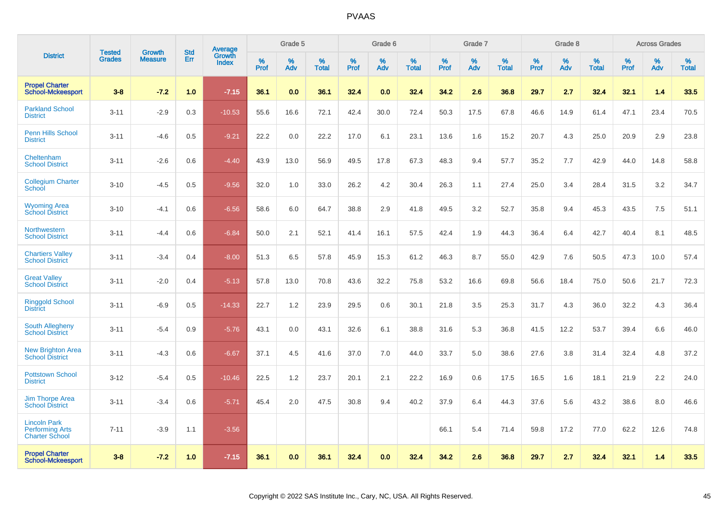|                                                                        | <b>Tested</b> | <b>Growth</b>  | <b>Std</b> | Average                |              | Grade 5     |                      |              | Grade 6     |                      |              | Grade 7     |                      |              | Grade 8     |                      |                     | <b>Across Grades</b> |                      |
|------------------------------------------------------------------------|---------------|----------------|------------|------------------------|--------------|-------------|----------------------|--------------|-------------|----------------------|--------------|-------------|----------------------|--------------|-------------|----------------------|---------------------|----------------------|----------------------|
| <b>District</b>                                                        | <b>Grades</b> | <b>Measure</b> | Err        | Growth<br><b>Index</b> | $\%$<br>Prof | $\%$<br>Adv | $\%$<br><b>Total</b> | $\%$<br>Prof | $\%$<br>Adv | $\%$<br><b>Total</b> | $\%$<br>Prof | $\%$<br>Adv | $\%$<br><b>Total</b> | $\%$<br>Prof | $\%$<br>Adv | $\%$<br><b>Total</b> | $\%$<br><b>Prof</b> | $\%$<br>Adv          | $\%$<br><b>Total</b> |
| <b>Propel Charter</b><br><b>School-Mckeesport</b>                      | $3 - 8$       | $-7.2$         | 1.0        | $-7.15$                | 36.1         | 0.0         | 36.1                 | 32.4         | 0.0         | 32.4                 | 34.2         | 2.6         | 36.8                 | 29.7         | 2.7         | 32.4                 | 32.1                | 1.4                  | 33.5                 |
| <b>Parkland School</b><br><b>District</b>                              | $3 - 11$      | $-2.9$         | 0.3        | $-10.53$               | 55.6         | 16.6        | 72.1                 | 42.4         | 30.0        | 72.4                 | 50.3         | 17.5        | 67.8                 | 46.6         | 14.9        | 61.4                 | 47.1                | 23.4                 | 70.5                 |
| <b>Penn Hills School</b><br><b>District</b>                            | $3 - 11$      | $-4.6$         | 0.5        | $-9.21$                | 22.2         | 0.0         | 22.2                 | 17.0         | 6.1         | 23.1                 | 13.6         | 1.6         | 15.2                 | 20.7         | 4.3         | 25.0                 | 20.9                | 2.9                  | 23.8                 |
| Cheltenham<br><b>School District</b>                                   | $3 - 11$      | $-2.6$         | 0.6        | $-4.40$                | 43.9         | 13.0        | 56.9                 | 49.5         | 17.8        | 67.3                 | 48.3         | 9.4         | 57.7                 | 35.2         | 7.7         | 42.9                 | 44.0                | 14.8                 | 58.8                 |
| <b>Collegium Charter</b><br>School                                     | $3 - 10$      | $-4.5$         | 0.5        | $-9.56$                | 32.0         | 1.0         | 33.0                 | 26.2         | 4.2         | 30.4                 | 26.3         | 1.1         | 27.4                 | 25.0         | 3.4         | 28.4                 | 31.5                | 3.2                  | 34.7                 |
| <b>Wyoming Area</b><br><b>School District</b>                          | $3 - 10$      | $-4.1$         | 0.6        | $-6.56$                | 58.6         | 6.0         | 64.7                 | 38.8         | 2.9         | 41.8                 | 49.5         | 3.2         | 52.7                 | 35.8         | 9.4         | 45.3                 | 43.5                | 7.5                  | 51.1                 |
| Northwestern<br><b>School District</b>                                 | $3 - 11$      | $-4.4$         | 0.6        | $-6.84$                | 50.0         | 2.1         | 52.1                 | 41.4         | 16.1        | 57.5                 | 42.4         | 1.9         | 44.3                 | 36.4         | 6.4         | 42.7                 | 40.4                | 8.1                  | 48.5                 |
| <b>Chartiers Valley</b><br><b>School District</b>                      | $3 - 11$      | $-3.4$         | 0.4        | $-8.00$                | 51.3         | 6.5         | 57.8                 | 45.9         | 15.3        | 61.2                 | 46.3         | 8.7         | 55.0                 | 42.9         | 7.6         | 50.5                 | 47.3                | 10.0                 | 57.4                 |
| <b>Great Valley</b><br><b>School District</b>                          | $3 - 11$      | $-2.0$         | 0.4        | $-5.13$                | 57.8         | 13.0        | 70.8                 | 43.6         | 32.2        | 75.8                 | 53.2         | 16.6        | 69.8                 | 56.6         | 18.4        | 75.0                 | 50.6                | 21.7                 | 72.3                 |
| <b>Ringgold School</b><br><b>District</b>                              | $3 - 11$      | $-6.9$         | 0.5        | $-14.33$               | 22.7         | 1.2         | 23.9                 | 29.5         | 0.6         | 30.1                 | 21.8         | 3.5         | 25.3                 | 31.7         | 4.3         | 36.0                 | 32.2                | 4.3                  | 36.4                 |
| <b>South Allegheny</b><br><b>School District</b>                       | $3 - 11$      | $-5.4$         | 0.9        | $-5.76$                | 43.1         | 0.0         | 43.1                 | 32.6         | 6.1         | 38.8                 | 31.6         | 5.3         | 36.8                 | 41.5         | 12.2        | 53.7                 | 39.4                | 6.6                  | 46.0                 |
| <b>New Brighton Area</b><br><b>School District</b>                     | $3 - 11$      | $-4.3$         | 0.6        | $-6.67$                | 37.1         | 4.5         | 41.6                 | 37.0         | 7.0         | 44.0                 | 33.7         | 5.0         | 38.6                 | 27.6         | 3.8         | 31.4                 | 32.4                | 4.8                  | 37.2                 |
| <b>Pottstown School</b><br><b>District</b>                             | $3 - 12$      | $-5.4$         | 0.5        | $-10.46$               | 22.5         | 1.2         | 23.7                 | 20.1         | 2.1         | 22.2                 | 16.9         | 0.6         | 17.5                 | 16.5         | 1.6         | 18.1                 | 21.9                | 2.2                  | 24.0                 |
| <b>Jim Thorpe Area</b><br><b>School District</b>                       | $3 - 11$      | $-3.4$         | 0.6        | $-5.71$                | 45.4         | 2.0         | 47.5                 | 30.8         | 9.4         | 40.2                 | 37.9         | 6.4         | 44.3                 | 37.6         | 5.6         | 43.2                 | 38.6                | 8.0                  | 46.6                 |
| <b>Lincoln Park</b><br><b>Performing Arts</b><br><b>Charter School</b> | $7 - 11$      | $-3.9$         | 1.1        | $-3.56$                |              |             |                      |              |             |                      | 66.1         | 5.4         | 71.4                 | 59.8         | 17.2        | 77.0                 | 62.2                | 12.6                 | 74.8                 |
| <b>Propel Charter</b><br><b>School-Mckeesport</b>                      | $3 - 8$       | $-7.2$         | 1.0        | $-7.15$                | 36.1         | 0.0         | 36.1                 | 32.4         | 0.0         | 32.4                 | 34.2         | 2.6         | 36.8                 | 29.7         | 2.7         | 32.4                 | 32.1                | 1.4                  | 33.5                 |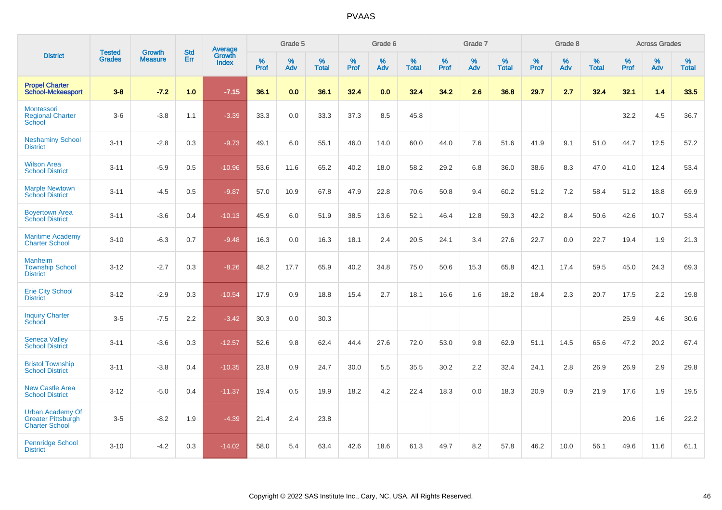|                                                                               |                                |                                 | <b>Std</b> | Average                |           | Grade 5  |                   |           | Grade 6  |                   |           | Grade 7  |                   |           | Grade 8  |                   |           | <b>Across Grades</b> |                   |
|-------------------------------------------------------------------------------|--------------------------------|---------------------------------|------------|------------------------|-----------|----------|-------------------|-----------|----------|-------------------|-----------|----------|-------------------|-----------|----------|-------------------|-----------|----------------------|-------------------|
| <b>District</b>                                                               | <b>Tested</b><br><b>Grades</b> | <b>Growth</b><br><b>Measure</b> | <b>Err</b> | Growth<br><b>Index</b> | %<br>Prof | %<br>Adv | %<br><b>Total</b> | %<br>Prof | %<br>Adv | %<br><b>Total</b> | %<br>Prof | %<br>Adv | %<br><b>Total</b> | %<br>Prof | %<br>Adv | %<br><b>Total</b> | %<br>Prof | %<br>Adv             | %<br><b>Total</b> |
| <b>Propel Charter</b><br><b>School-Mckeesport</b>                             | $3 - 8$                        | $-7.2$                          | 1.0        | $-7.15$                | 36.1      | 0.0      | 36.1              | 32.4      | 0.0      | 32.4              | 34.2      | 2.6      | 36.8              | 29.7      | 2.7      | 32.4              | 32.1      | 1.4                  | 33.5              |
| Montessori<br><b>Regional Charter</b><br>School                               | $3-6$                          | $-3.8$                          | 1.1        | $-3.39$                | 33.3      | $0.0\,$  | 33.3              | 37.3      | 8.5      | 45.8              |           |          |                   |           |          |                   | 32.2      | 4.5                  | 36.7              |
| <b>Neshaminy School</b><br><b>District</b>                                    | $3 - 11$                       | $-2.8$                          | 0.3        | $-9.73$                | 49.1      | 6.0      | 55.1              | 46.0      | 14.0     | 60.0              | 44.0      | 7.6      | 51.6              | 41.9      | 9.1      | 51.0              | 44.7      | 12.5                 | 57.2              |
| <b>Wilson Area</b><br><b>School District</b>                                  | $3 - 11$                       | $-5.9$                          | 0.5        | $-10.96$               | 53.6      | 11.6     | 65.2              | 40.2      | 18.0     | 58.2              | 29.2      | 6.8      | 36.0              | 38.6      | 8.3      | 47.0              | 41.0      | 12.4                 | 53.4              |
| <b>Marple Newtown</b><br><b>School District</b>                               | $3 - 11$                       | $-4.5$                          | 0.5        | $-9.87$                | 57.0      | 10.9     | 67.8              | 47.9      | 22.8     | 70.6              | 50.8      | 9.4      | 60.2              | 51.2      | 7.2      | 58.4              | 51.2      | 18.8                 | 69.9              |
| <b>Boyertown Area</b><br><b>School District</b>                               | $3 - 11$                       | $-3.6$                          | 0.4        | $-10.13$               | 45.9      | 6.0      | 51.9              | 38.5      | 13.6     | 52.1              | 46.4      | 12.8     | 59.3              | 42.2      | 8.4      | 50.6              | 42.6      | 10.7                 | 53.4              |
| <b>Maritime Academy</b><br><b>Charter School</b>                              | $3 - 10$                       | $-6.3$                          | 0.7        | $-9.48$                | 16.3      | 0.0      | 16.3              | 18.1      | 2.4      | 20.5              | 24.1      | 3.4      | 27.6              | 22.7      | 0.0      | 22.7              | 19.4      | 1.9                  | 21.3              |
| <b>Manheim</b><br><b>Township School</b><br><b>District</b>                   | $3 - 12$                       | $-2.7$                          | 0.3        | $-8.26$                | 48.2      | 17.7     | 65.9              | 40.2      | 34.8     | 75.0              | 50.6      | 15.3     | 65.8              | 42.1      | 17.4     | 59.5              | 45.0      | 24.3                 | 69.3              |
| <b>Erie City School</b><br><b>District</b>                                    | $3 - 12$                       | $-2.9$                          | 0.3        | $-10.54$               | 17.9      | 0.9      | 18.8              | 15.4      | 2.7      | 18.1              | 16.6      | 1.6      | 18.2              | 18.4      | 2.3      | 20.7              | 17.5      | 2.2                  | 19.8              |
| <b>Inquiry Charter</b><br>School                                              | $3-5$                          | $-7.5$                          | 2.2        | $-3.42$                | 30.3      | 0.0      | 30.3              |           |          |                   |           |          |                   |           |          |                   | 25.9      | 4.6                  | 30.6              |
| <b>Seneca Valley</b><br><b>School District</b>                                | $3 - 11$                       | $-3.6$                          | 0.3        | $-12.57$               | 52.6      | 9.8      | 62.4              | 44.4      | 27.6     | 72.0              | 53.0      | 9.8      | 62.9              | 51.1      | 14.5     | 65.6              | 47.2      | 20.2                 | 67.4              |
| <b>Bristol Township</b><br><b>School District</b>                             | $3 - 11$                       | $-3.8$                          | 0.4        | $-10.35$               | 23.8      | 0.9      | 24.7              | 30.0      | 5.5      | 35.5              | 30.2      | 2.2      | 32.4              | 24.1      | 2.8      | 26.9              | 26.9      | 2.9                  | 29.8              |
| <b>New Castle Area</b><br><b>School District</b>                              | $3 - 12$                       | $-5.0$                          | 0.4        | $-11.37$               | 19.4      | 0.5      | 19.9              | 18.2      | 4.2      | 22.4              | 18.3      | 0.0      | 18.3              | 20.9      | 0.9      | 21.9              | 17.6      | 1.9                  | 19.5              |
| <b>Urban Academy Of</b><br><b>Greater Pittsburgh</b><br><b>Charter School</b> | $3-5$                          | $-8.2$                          | 1.9        | $-4.39$                | 21.4      | 2.4      | 23.8              |           |          |                   |           |          |                   |           |          |                   | 20.6      | 1.6                  | 22.2              |
| <b>Pennridge School</b><br><b>District</b>                                    | $3 - 10$                       | $-4.2$                          | 0.3        | $-14.02$               | 58.0      | 5.4      | 63.4              | 42.6      | 18.6     | 61.3              | 49.7      | 8.2      | 57.8              | 46.2      | 10.0     | 56.1              | 49.6      | 11.6                 | 61.1              |